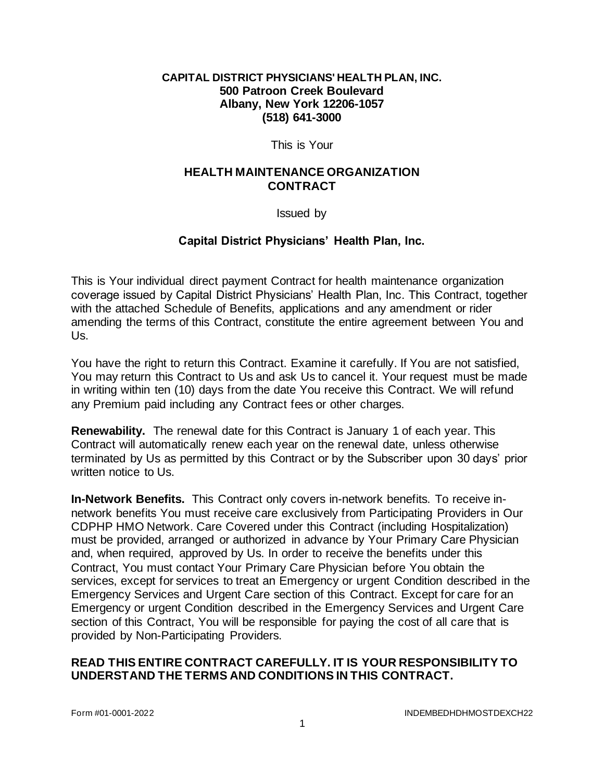#### **CAPITAL DISTRICT PHYSICIANS' HEALTH PLAN, INC. 500 Patroon Creek Boulevard Albany, New York 12206-1057 (518) 641-3000**

This is Your

### **HEALTH MAINTENANCE ORGANIZATION CONTRACT**

Issued by

# **Capital District Physicians' Health Plan, Inc.**

This is Your individual direct payment Contract for health maintenance organization coverage issued by Capital District Physicians' Health Plan, Inc. This Contract, together with the attached Schedule of Benefits, applications and any amendment or rider amending the terms of this Contract, constitute the entire agreement between You and Us.

You have the right to return this Contract. Examine it carefully. If You are not satisfied, You may return this Contract to Us and ask Us to cancel it. Your request must be made in writing within ten (10) days from the date You receive this Contract. We will refund any Premium paid including any Contract fees or other charges.

**Renewability.** The renewal date for this Contract is January 1 of each year. This Contract will automatically renew each year on the renewal date, unless otherwise terminated by Us as permitted by this Contract or by the Subscriber upon 30 days' prior written notice to Us.

**In-Network Benefits.** This Contract only covers in-network benefits. To receive innetwork benefits You must receive care exclusively from Participating Providers in Our CDPHP HMO Network. Care Covered under this Contract (including Hospitalization) must be provided, arranged or authorized in advance by Your Primary Care Physician and, when required, approved by Us. In order to receive the benefits under this Contract, You must contact Your Primary Care Physician before You obtain the services, except for services to treat an Emergency or urgent Condition described in the Emergency Services and Urgent Care section of this Contract. Except for care for an Emergency or urgent Condition described in the Emergency Services and Urgent Care section of this Contract, You will be responsible for paying the cost of all care that is provided by Non-Participating Providers.

### **READ THIS ENTIRE CONTRACT CAREFULLY. IT IS YOUR RESPONSIBILITY TO UNDERSTAND THE TERMS AND CONDITIONS IN THIS CONTRACT.**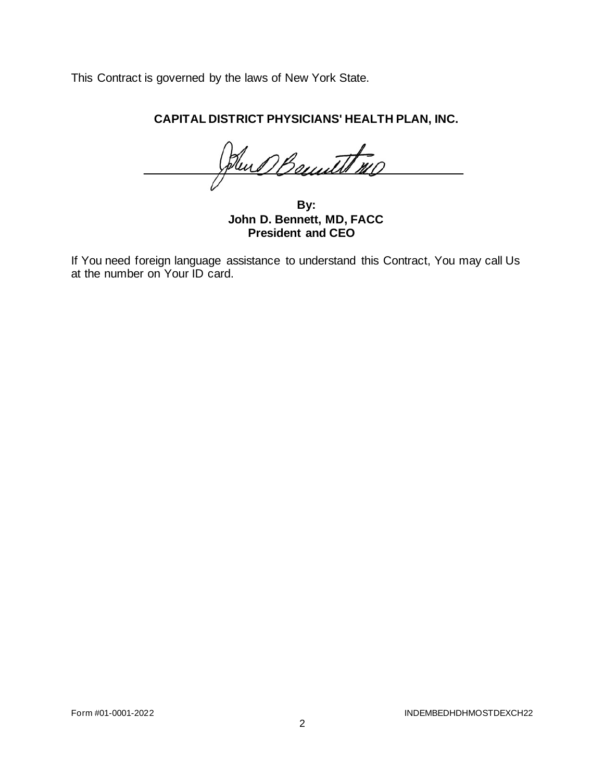This Contract is governed by the laws of New York State.

**CAPITAL DISTRICT PHYSICIANS' HEALTH PLAN, INC.**

Hun Bennett 110

**By: John D. Bennett, MD, FACC President and CEO**

If You need foreign language assistance to understand this Contract, You may call Us at the number on Your ID card.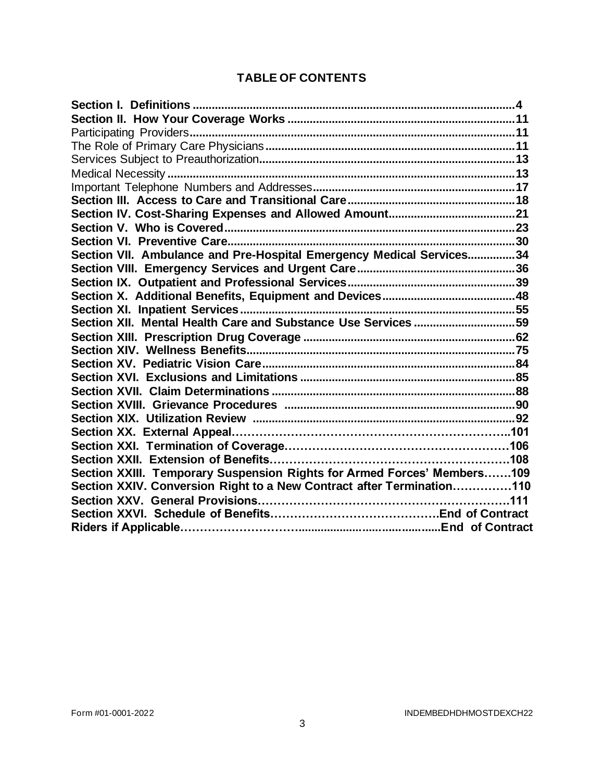# **TABLE OF CONTENTS**

| Section VII. Ambulance and Pre-Hospital Emergency Medical Services34    |  |
|-------------------------------------------------------------------------|--|
|                                                                         |  |
|                                                                         |  |
|                                                                         |  |
|                                                                         |  |
| Section XII. Mental Health Care and Substance Use Services 59           |  |
|                                                                         |  |
|                                                                         |  |
|                                                                         |  |
|                                                                         |  |
|                                                                         |  |
|                                                                         |  |
|                                                                         |  |
|                                                                         |  |
|                                                                         |  |
|                                                                         |  |
| Section XXIII. Temporary Suspension Rights for Armed Forces' Members109 |  |
| Section XXIV. Conversion Right to a New Contract after Termination110   |  |
|                                                                         |  |
|                                                                         |  |
|                                                                         |  |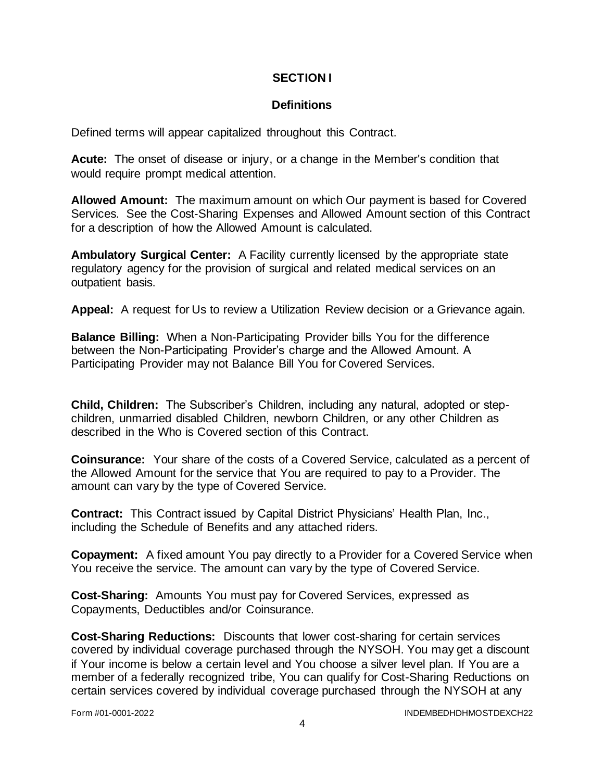### **SECTION I**

# **Definitions**

Defined terms will appear capitalized throughout this Contract.

**Acute:** The onset of disease or injury, or a change in the Member's condition that would require prompt medical attention.

**Allowed Amount:** The maximum amount on which Our payment is based for Covered Services. See the Cost-Sharing Expenses and Allowed Amount section of this Contract for a description of how the Allowed Amount is calculated.

**Ambulatory Surgical Center:** A Facility currently licensed by the appropriate state regulatory agency for the provision of surgical and related medical services on an outpatient basis.

**Appeal:** A request for Us to review a Utilization Review decision or a Grievance again.

**Balance Billing:** When a Non-Participating Provider bills You for the difference between the Non-Participating Provider's charge and the Allowed Amount. A Participating Provider may not Balance Bill You for Covered Services.

**Child, Children:** The Subscriber's Children, including any natural, adopted or stepchildren, unmarried disabled Children, newborn Children, or any other Children as described in the Who is Covered section of this Contract.

**Coinsurance:** Your share of the costs of a Covered Service, calculated as a percent of the Allowed Amount for the service that You are required to pay to a Provider. The amount can vary by the type of Covered Service.

**Contract:** This Contract issued by Capital District Physicians' Health Plan, Inc., including the Schedule of Benefits and any attached riders.

**Copayment:** A fixed amount You pay directly to a Provider for a Covered Service when You receive the service. The amount can vary by the type of Covered Service.

**Cost-Sharing:** Amounts You must pay for Covered Services, expressed as Copayments, Deductibles and/or Coinsurance.

**Cost-Sharing Reductions:** Discounts that lower cost-sharing for certain services covered by individual coverage purchased through the NYSOH. You may get a discount if Your income is below a certain level and You choose a silver level plan. If You are a member of a federally recognized tribe, You can qualify for Cost-Sharing Reductions on certain services covered by individual coverage purchased through the NYSOH at any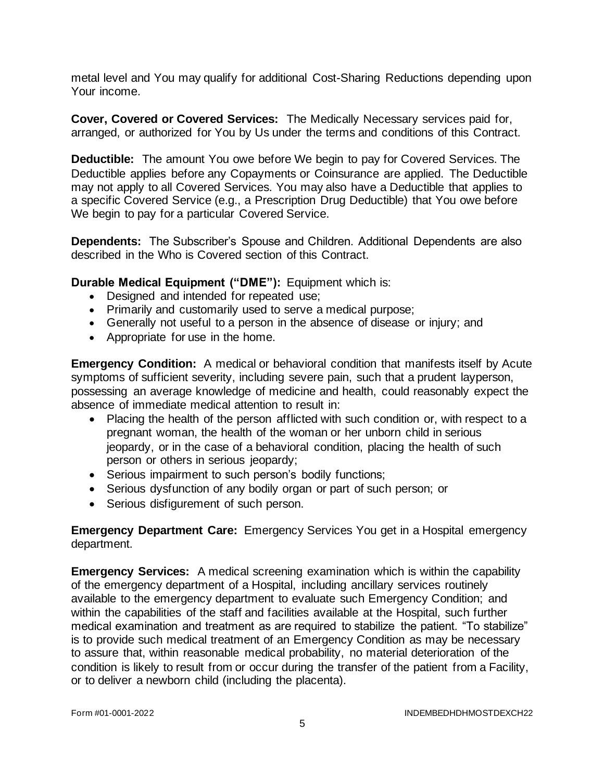metal level and You may qualify for additional Cost-Sharing Reductions depending upon Your income.

**Cover, Covered or Covered Services:** The Medically Necessary services paid for, arranged, or authorized for You by Us under the terms and conditions of this Contract.

**Deductible:** The amount You owe before We begin to pay for Covered Services. The Deductible applies before any Copayments or Coinsurance are applied. The Deductible may not apply to all Covered Services. You may also have a Deductible that applies to a specific Covered Service (e.g., a Prescription Drug Deductible) that You owe before We begin to pay for a particular Covered Service.

**Dependents:** The Subscriber's Spouse and Children. Additional Dependents are also described in the Who is Covered section of this Contract.

### **Durable Medical Equipment ("DME"):** Equipment which is:

- Designed and intended for repeated use;
- Primarily and customarily used to serve a medical purpose;
- Generally not useful to a person in the absence of disease or injury; and
- Appropriate for use in the home.

**Emergency Condition:** A medical or behavioral condition that manifests itself by Acute symptoms of sufficient severity, including severe pain, such that a prudent layperson, possessing an average knowledge of medicine and health, could reasonably expect the absence of immediate medical attention to result in:

- Placing the health of the person afflicted with such condition or, with respect to a pregnant woman, the health of the woman or her unborn child in serious jeopardy, or in the case of a behavioral condition, placing the health of such person or others in serious jeopardy;
- Serious impairment to such person's bodily functions;
- Serious dysfunction of any bodily organ or part of such person; or
- Serious disfigurement of such person.

**Emergency Department Care:** Emergency Services You get in a Hospital emergency department.

**Emergency Services:** A medical screening examination which is within the capability of the emergency department of a Hospital, including ancillary services routinely available to the emergency department to evaluate such Emergency Condition; and within the capabilities of the staff and facilities available at the Hospital, such further medical examination and treatment as are required to stabilize the patient. "To stabilize" is to provide such medical treatment of an Emergency Condition as may be necessary to assure that, within reasonable medical probability, no material deterioration of the condition is likely to result from or occur during the transfer of the patient from a Facility, or to deliver a newborn child (including the placenta).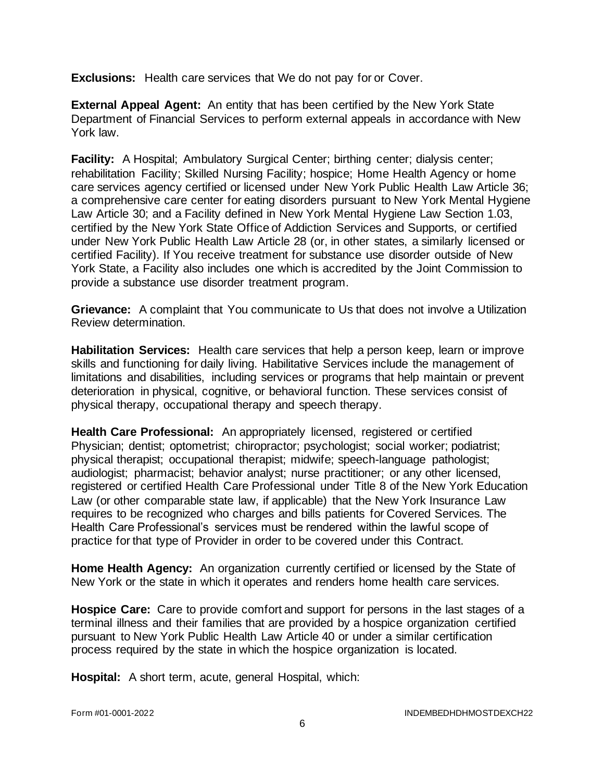**Exclusions:** Health care services that We do not pay for or Cover.

**External Appeal Agent:** An entity that has been certified by the New York State Department of Financial Services to perform external appeals in accordance with New York law.

**Facility:** A Hospital; Ambulatory Surgical Center; birthing center; dialysis center; rehabilitation Facility; Skilled Nursing Facility; hospice; Home Health Agency or home care services agency certified or licensed under New York Public Health Law Article 36; a comprehensive care center for eating disorders pursuant to New York Mental Hygiene Law Article 30; and a Facility defined in New York Mental Hygiene Law Section 1.03, certified by the New York State Office of Addiction Services and Supports, or certified under New York Public Health Law Article 28 (or, in other states, a similarly licensed or certified Facility). If You receive treatment for substance use disorder outside of New York State, a Facility also includes one which is accredited by the Joint Commission to provide a substance use disorder treatment program.

**Grievance:** A complaint that You communicate to Us that does not involve a Utilization Review determination.

**Habilitation Services:** Health care services that help a person keep, learn or improve skills and functioning for daily living. Habilitative Services include the management of limitations and disabilities, including services or programs that help maintain or prevent deterioration in physical, cognitive, or behavioral function. These services consist of physical therapy, occupational therapy and speech therapy.

**Health Care Professional:** An appropriately licensed, registered or certified Physician; dentist; optometrist; chiropractor; psychologist; social worker; podiatrist; physical therapist; occupational therapist; midwife; speech-language pathologist; audiologist; pharmacist; behavior analyst; nurse practitioner; or any other licensed, registered or certified Health Care Professional under Title 8 of the New York Education Law (or other comparable state law, if applicable) that the New York Insurance Law requires to be recognized who charges and bills patients for Covered Services. The Health Care Professional's services must be rendered within the lawful scope of practice for that type of Provider in order to be covered under this Contract.

**Home Health Agency:** An organization currently certified or licensed by the State of New York or the state in which it operates and renders home health care services.

**Hospice Care:** Care to provide comfort and support for persons in the last stages of a terminal illness and their families that are provided by a hospice organization certified pursuant to New York Public Health Law Article 40 or under a similar certification process required by the state in which the hospice organization is located.

**Hospital:** A short term, acute, general Hospital, which: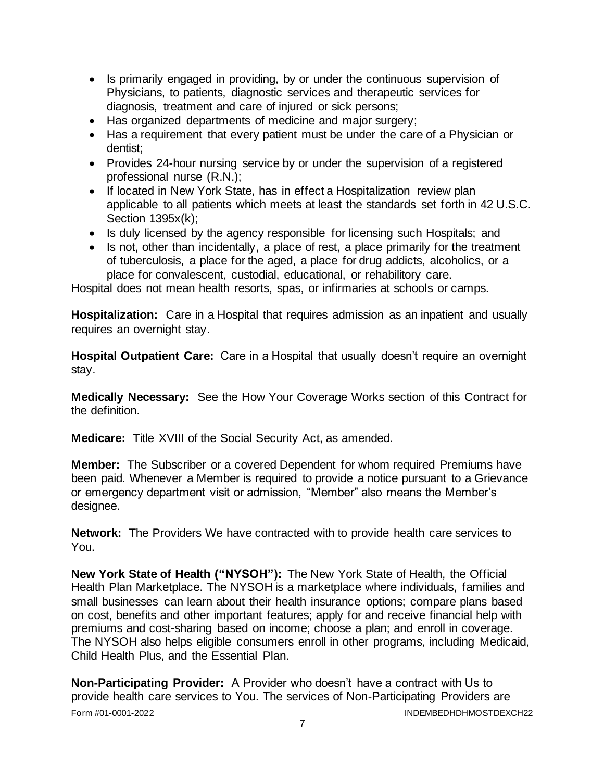- Is primarily engaged in providing, by or under the continuous supervision of Physicians, to patients, diagnostic services and therapeutic services for diagnosis, treatment and care of injured or sick persons;
- Has organized departments of medicine and major surgery;
- Has a requirement that every patient must be under the care of a Physician or dentist;
- Provides 24-hour nursing service by or under the supervision of a registered professional nurse (R.N.);
- If located in New York State, has in effect a Hospitalization review plan applicable to all patients which meets at least the standards set forth in 42 U.S.C. Section 1395x(k);
- Is duly licensed by the agency responsible for licensing such Hospitals; and
- Is not, other than incidentally, a place of rest, a place primarily for the treatment of tuberculosis, a place for the aged, a place for drug addicts, alcoholics, or a place for convalescent, custodial, educational, or rehabilitory care.

Hospital does not mean health resorts, spas, or infirmaries at schools or camps.

**Hospitalization:** Care in a Hospital that requires admission as an inpatient and usually requires an overnight stay.

**Hospital Outpatient Care:** Care in a Hospital that usually doesn't require an overnight stay.

**Medically Necessary:** See the How Your Coverage Works section of this Contract for the definition.

**Medicare:** Title XVIII of the Social Security Act, as amended.

**Member:** The Subscriber or a covered Dependent for whom required Premiums have been paid. Whenever a Member is required to provide a notice pursuant to a Grievance or emergency department visit or admission, "Member" also means the Member's designee.

**Network:** The Providers We have contracted with to provide health care services to You.

**New York State of Health ("NYSOH"):** The New York State of Health, the Official Health Plan Marketplace. The NYSOH is a marketplace where individuals, families and small businesses can learn about their health insurance options; compare plans based on cost, benefits and other important features; apply for and receive financial help with premiums and cost-sharing based on income; choose a plan; and enroll in coverage. The NYSOH also helps eligible consumers enroll in other programs, including Medicaid, Child Health Plus, and the Essential Plan.

Form #01-0001-2022 INDEMBEDHDHMOSTDEXCH22 **Non-Participating Provider:** A Provider who doesn't have a contract with Us to provide health care services to You. The services of Non-Participating Providers are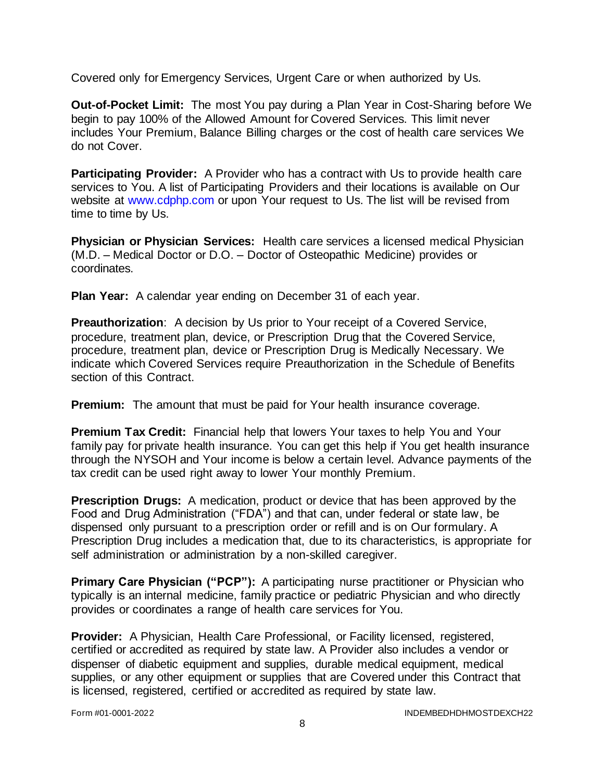Covered only for Emergency Services, Urgent Care or when authorized by Us.

**Out-of-Pocket Limit:** The most You pay during a Plan Year in Cost-Sharing before We begin to pay 100% of the Allowed Amount for Covered Services. This limit never includes Your Premium, Balance Billing charges or the cost of health care services We do not Cover.

**Participating Provider:** A Provider who has a contract with Us to provide health care services to You. A list of Participating Providers and their locations is available on Our website at [www.cdphp.com](http://www.cdphp.com/) or upon Your request to Us. The list will be revised from time to time by Us.

**Physician or Physician Services:** Health care services a licensed medical Physician (M.D. – Medical Doctor or D.O. – Doctor of Osteopathic Medicine) provides or coordinates.

**Plan Year:** A calendar year ending on December 31 of each year.

**Preauthorization**: A decision by Us prior to Your receipt of a Covered Service, procedure, treatment plan, device, or Prescription Drug that the Covered Service, procedure, treatment plan, device or Prescription Drug is Medically Necessary. We indicate which Covered Services require Preauthorization in the Schedule of Benefits section of this Contract.

**Premium:** The amount that must be paid for Your health insurance coverage.

**Premium Tax Credit:** Financial help that lowers Your taxes to help You and Your family pay for private health insurance. You can get this help if You get health insurance through the NYSOH and Your income is below a certain level. Advance payments of the tax credit can be used right away to lower Your monthly Premium.

**Prescription Drugs:** A medication, product or device that has been approved by the Food and Drug Administration ("FDA") and that can, under federal or state law, be dispensed only pursuant to a prescription order or refill and is on Our formulary. A Prescription Drug includes a medication that, due to its characteristics, is appropriate for self administration or administration by a non-skilled caregiver.

**Primary Care Physician ("PCP"):** A participating nurse practitioner or Physician who typically is an internal medicine, family practice or pediatric Physician and who directly provides or coordinates a range of health care services for You.

**Provider:** A Physician, Health Care Professional, or Facility licensed, registered, certified or accredited as required by state law. A Provider also includes a vendor or dispenser of diabetic equipment and supplies, durable medical equipment, medical supplies, or any other equipment or supplies that are Covered under this Contract that is licensed, registered, certified or accredited as required by state law.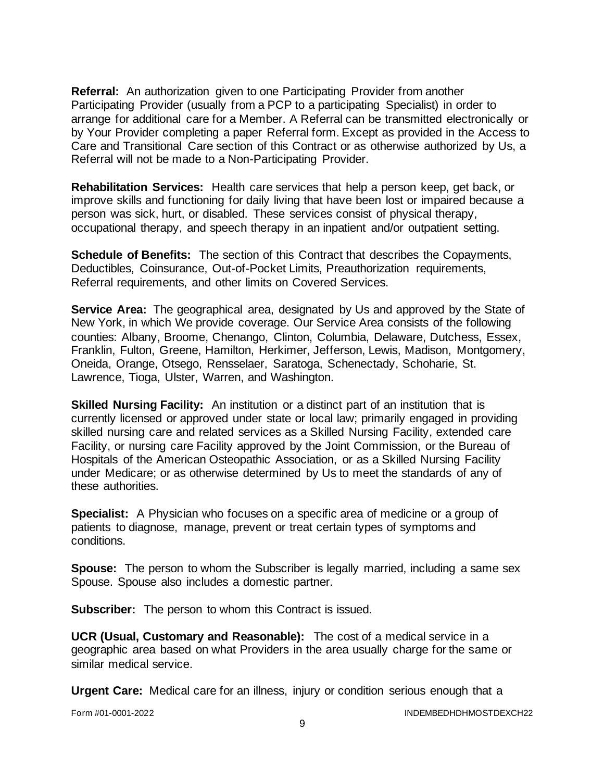**Referral:** An authorization given to one Participating Provider from another Participating Provider (usually from a PCP to a participating Specialist) in order to arrange for additional care for a Member. A Referral can be transmitted electronically or by Your Provider completing a paper Referral form. Except as provided in the Access to Care and Transitional Care section of this Contract or as otherwise authorized by Us, a Referral will not be made to a Non-Participating Provider.

**Rehabilitation Services:** Health care services that help a person keep, get back, or improve skills and functioning for daily living that have been lost or impaired because a person was sick, hurt, or disabled. These services consist of physical therapy, occupational therapy, and speech therapy in an inpatient and/or outpatient setting.

**Schedule of Benefits:** The section of this Contract that describes the Copayments, Deductibles, Coinsurance, Out-of-Pocket Limits, Preauthorization requirements, Referral requirements, and other limits on Covered Services.

**Service Area:** The geographical area, designated by Us and approved by the State of New York, in which We provide coverage. Our Service Area consists of the following counties: Albany, Broome, Chenango, Clinton, Columbia, Delaware, Dutchess, Essex, Franklin, Fulton, Greene, Hamilton, Herkimer, Jefferson, Lewis, Madison, Montgomery, Oneida, Orange, Otsego, Rensselaer, Saratoga, Schenectady, Schoharie, St. Lawrence, Tioga, Ulster, Warren, and Washington.

**Skilled Nursing Facility:** An institution or a distinct part of an institution that is currently licensed or approved under state or local law; primarily engaged in providing skilled nursing care and related services as a Skilled Nursing Facility, extended care Facility, or nursing care Facility approved by the Joint Commission, or the Bureau of Hospitals of the American Osteopathic Association, or as a Skilled Nursing Facility under Medicare; or as otherwise determined by Us to meet the standards of any of these authorities.

**Specialist:** A Physician who focuses on a specific area of medicine or a group of patients to diagnose, manage, prevent or treat certain types of symptoms and conditions.

**Spouse:** The person to whom the Subscriber is legally married, including a same sex Spouse. Spouse also includes a domestic partner.

**Subscriber:** The person to whom this Contract is issued.

**UCR (Usual, Customary and Reasonable):** The cost of a medical service in a geographic area based on what Providers in the area usually charge for the same or similar medical service.

**Urgent Care:** Medical care for an illness, injury or condition serious enough that a

Form #01-0001-2022 INDEMBEDHDHMOSTDEXCH22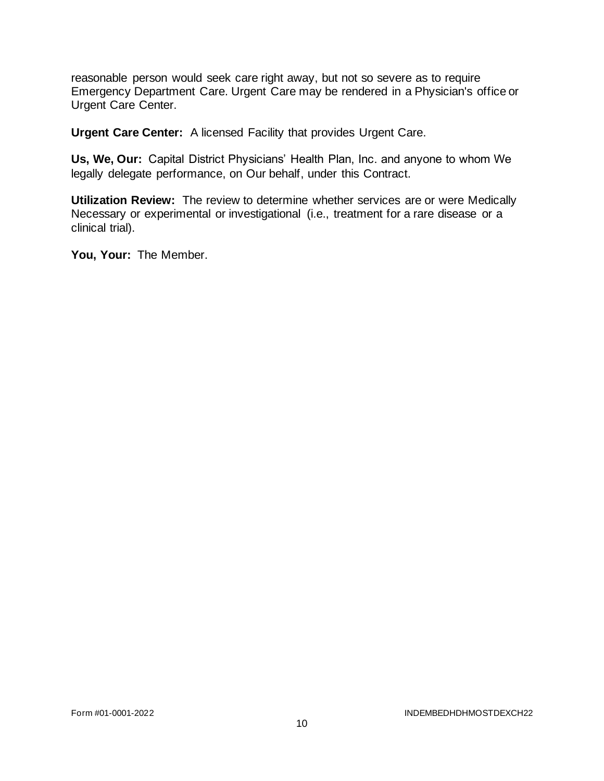reasonable person would seek care right away, but not so severe as to require Emergency Department Care. Urgent Care may be rendered in a Physician's office or Urgent Care Center.

**Urgent Care Center:** A licensed Facility that provides Urgent Care.

**Us, We, Our:** Capital District Physicians' Health Plan, Inc. and anyone to whom We legally delegate performance, on Our behalf, under this Contract.

**Utilization Review:** The review to determine whether services are or were Medically Necessary or experimental or investigational (i.e., treatment for a rare disease or a clinical trial).

**You, Your:** The Member.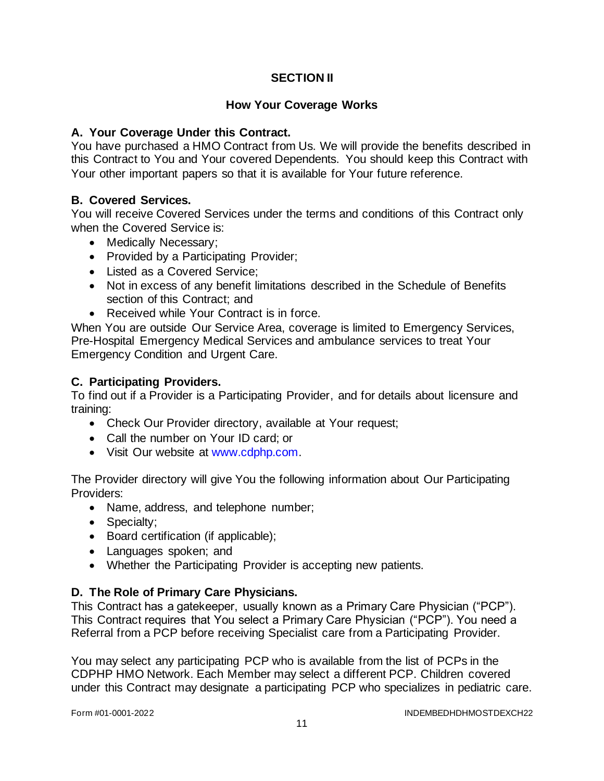# **SECTION II**

## **How Your Coverage Works**

## **A. Your Coverage Under this Contract.**

You have purchased a HMO Contract from Us. We will provide the benefits described in this Contract to You and Your covered Dependents. You should keep this Contract with Your other important papers so that it is available for Your future reference.

# **B. Covered Services.**

You will receive Covered Services under the terms and conditions of this Contract only when the Covered Service is:

- Medically Necessary;
- Provided by a Participating Provider;
- Listed as a Covered Service;
- Not in excess of any benefit limitations described in the Schedule of Benefits section of this Contract; and
- Received while Your Contract is in force.

When You are outside Our Service Area, coverage is limited to Emergency Services, Pre-Hospital Emergency Medical Services and ambulance services to treat Your Emergency Condition and Urgent Care.

# **C. Participating Providers.**

To find out if a Provider is a Participating Provider, and for details about licensure and training:

- Check Our Provider directory, available at Your request;
- Call the number on Your ID card; or
- Visit Our website at [www.cdphp.com.](http://www.cdphp.com/)

The Provider directory will give You the following information about Our Participating Providers:

- Name, address, and telephone number;
- Specialty;
- Board certification (if applicable);
- Languages spoken; and
- Whether the Participating Provider is accepting new patients.

# **D. The Role of Primary Care Physicians.**

This Contract has a gatekeeper, usually known as a Primary Care Physician ("PCP"). This Contract requires that You select a Primary Care Physician ("PCP"). You need a Referral from a PCP before receiving Specialist care from a Participating Provider.

You may select any participating PCP who is available from the list of PCPs in the CDPHP HMO Network. Each Member may select a different PCP. Children covered under this Contract may designate a participating PCP who specializes in pediatric care.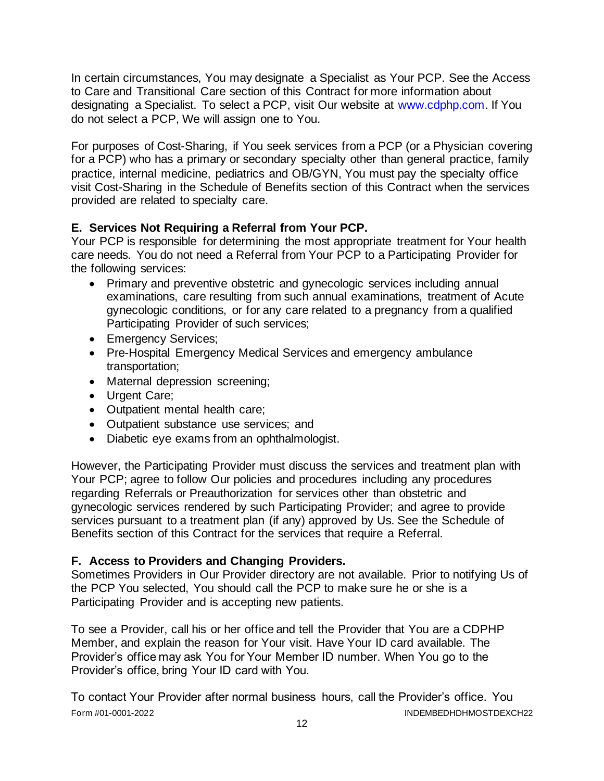In certain circumstances, You may designate a Specialist as Your PCP. See the Access to Care and Transitional Care section of this Contract for more information about designating a Specialist. To select a PCP, visit Our website at [www.cdphp.com.](http://www.cdphp.com/) If You do not select a PCP, We will assign one to You.

For purposes of Cost-Sharing, if You seek services from a PCP (or a Physician covering for a PCP) who has a primary or secondary specialty other than general practice, family practice, internal medicine, pediatrics and OB/GYN, You must pay the specialty office visit Cost-Sharing in the Schedule of Benefits section of this Contract when the services provided are related to specialty care.

# **E. Services Not Requiring a Referral from Your PCP.**

Your PCP is responsible for determining the most appropriate treatment for Your health care needs. You do not need a Referral from Your PCP to a Participating Provider for the following services:

- Primary and preventive obstetric and gynecologic services including annual examinations, care resulting from such annual examinations, treatment of Acute gynecologic conditions, or for any care related to a pregnancy from a qualified Participating Provider of such services;
- Emergency Services;
- Pre-Hospital Emergency Medical Services and emergency ambulance transportation;
- Maternal depression screening;
- Urgent Care;
- Outpatient mental health care;
- Outpatient substance use services; and
- Diabetic eye exams from an ophthalmologist.

However, the Participating Provider must discuss the services and treatment plan with Your PCP; agree to follow Our policies and procedures including any procedures regarding Referrals or Preauthorization for services other than obstetric and gynecologic services rendered by such Participating Provider; and agree to provide services pursuant to a treatment plan (if any) approved by Us. See the Schedule of Benefits section of this Contract for the services that require a Referral.

# **F. Access to Providers and Changing Providers.**

Sometimes Providers in Our Provider directory are not available. Prior to notifying Us of the PCP You selected, You should call the PCP to make sure he or she is a Participating Provider and is accepting new patients.

To see a Provider, call his or her office and tell the Provider that You are a CDPHP Member, and explain the reason for Your visit. Have Your ID card available. The Provider's office may ask You for Your Member ID number. When You go to the Provider's office, bring Your ID card with You.

Form #01-0001-2022 INDEMBEDHDHMOSTDEXCH22 To contact Your Provider after normal business hours, call the Provider's office. You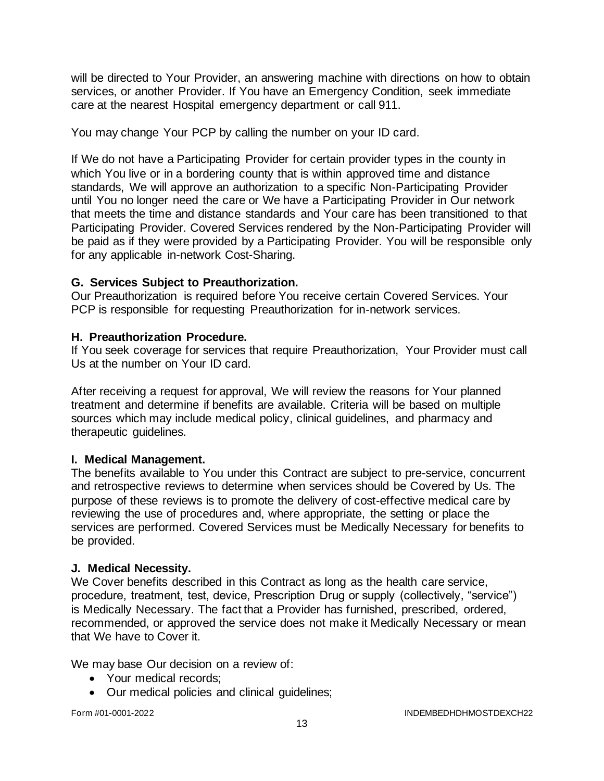will be directed to Your Provider, an answering machine with directions on how to obtain services, or another Provider. If You have an Emergency Condition, seek immediate care at the nearest Hospital emergency department or call 911.

You may change Your PCP by calling the number on your ID card.

If We do not have a Participating Provider for certain provider types in the county in which You live or in a bordering county that is within approved time and distance standards, We will approve an authorization to a specific Non-Participating Provider until You no longer need the care or We have a Participating Provider in Our network that meets the time and distance standards and Your care has been transitioned to that Participating Provider. Covered Services rendered by the Non-Participating Provider will be paid as if they were provided by a Participating Provider. You will be responsible only for any applicable in-network Cost-Sharing.

# **G. Services Subject to Preauthorization.**

Our Preauthorization is required before You receive certain Covered Services. Your PCP is responsible for requesting Preauthorization for in-network services.

# **H. Preauthorization Procedure.**

If You seek coverage for services that require Preauthorization, Your Provider must call Us at the number on Your ID card.

After receiving a request for approval, We will review the reasons for Your planned treatment and determine if benefits are available. Criteria will be based on multiple sources which may include medical policy, clinical guidelines, and pharmacy and therapeutic guidelines.

# **I. Medical Management.**

The benefits available to You under this Contract are subject to pre-service, concurrent and retrospective reviews to determine when services should be Covered by Us. The purpose of these reviews is to promote the delivery of cost-effective medical care by reviewing the use of procedures and, where appropriate, the setting or place the services are performed. Covered Services must be Medically Necessary for benefits to be provided.

### **J. Medical Necessity.**

We Cover benefits described in this Contract as long as the health care service, procedure, treatment, test, device, Prescription Drug or supply (collectively, "service") is Medically Necessary. The fact that a Provider has furnished, prescribed, ordered, recommended, or approved the service does not make it Medically Necessary or mean that We have to Cover it.

We may base Our decision on a review of:

- Your medical records:
- Our medical policies and clinical guidelines;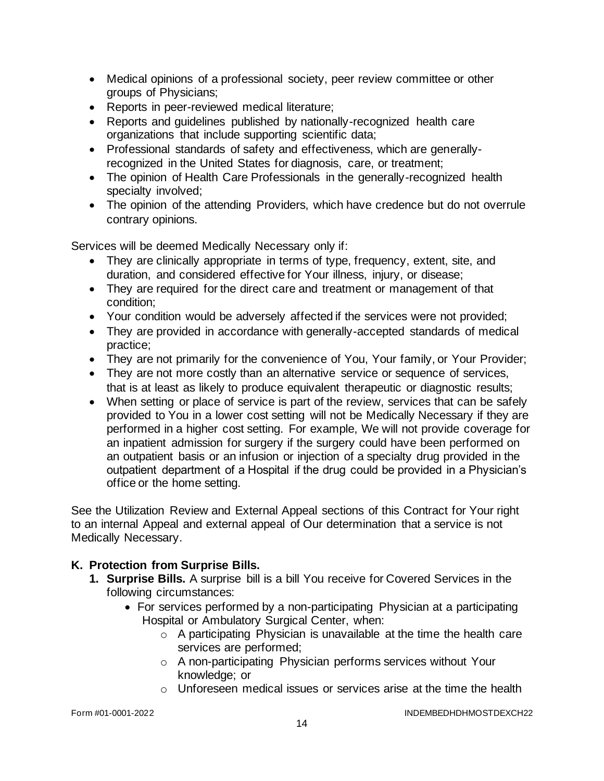- Medical opinions of a professional society, peer review committee or other groups of Physicians;
- Reports in peer-reviewed medical literature;
- Reports and guidelines published by nationally-recognized health care organizations that include supporting scientific data;
- Professional standards of safety and effectiveness, which are generallyrecognized in the United States for diagnosis, care, or treatment;
- The opinion of Health Care Professionals in the generally-recognized health specialty involved;
- The opinion of the attending Providers, which have credence but do not overrule contrary opinions.

Services will be deemed Medically Necessary only if:

- They are clinically appropriate in terms of type, frequency, extent, site, and duration, and considered effective for Your illness, injury, or disease;
- They are required for the direct care and treatment or management of that condition;
- Your condition would be adversely affected if the services were not provided;
- They are provided in accordance with generally-accepted standards of medical practice;
- They are not primarily for the convenience of You, Your family, or Your Provider;
- They are not more costly than an alternative service or sequence of services, that is at least as likely to produce equivalent therapeutic or diagnostic results;
- When setting or place of service is part of the review, services that can be safely provided to You in a lower cost setting will not be Medically Necessary if they are performed in a higher cost setting. For example, We will not provide coverage for an inpatient admission for surgery if the surgery could have been performed on an outpatient basis or an infusion or injection of a specialty drug provided in the outpatient department of a Hospital if the drug could be provided in a Physician's office or the home setting.

See the Utilization Review and External Appeal sections of this Contract for Your right to an internal Appeal and external appeal of Our determination that a service is not Medically Necessary.

# **K. Protection from Surprise Bills.**

- **1. Surprise Bills.** A surprise bill is a bill You receive for Covered Services in the following circumstances:
	- For services performed by a non-participating Physician at a participating Hospital or Ambulatory Surgical Center, when:
		- $\circ$  A participating Physician is unavailable at the time the health care services are performed;
		- o A non-participating Physician performs services without Your knowledge; or
		- o Unforeseen medical issues or services arise at the time the health

Form #01-0001-2022 INDEMBEDHDHMOSTDEXCH22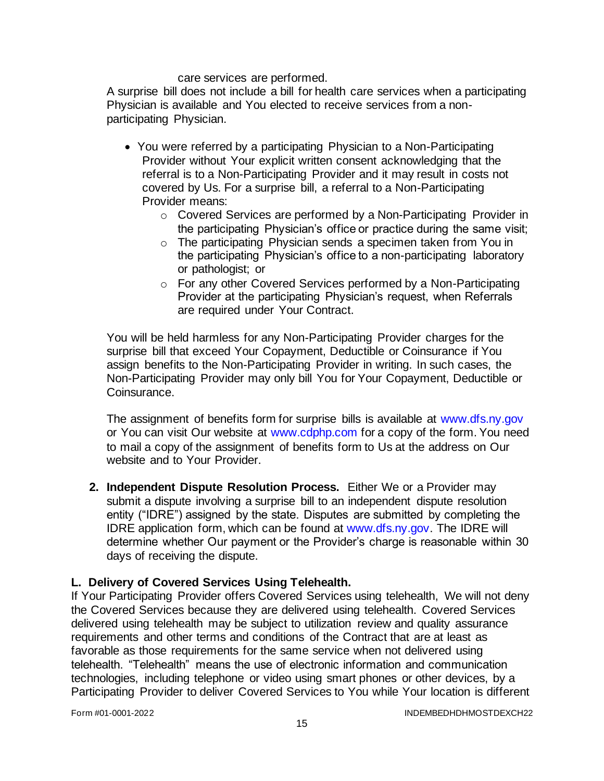care services are performed.

A surprise bill does not include a bill for health care services when a participating Physician is available and You elected to receive services from a nonparticipating Physician.

- You were referred by a participating Physician to a Non-Participating Provider without Your explicit written consent acknowledging that the referral is to a Non-Participating Provider and it may result in costs not covered by Us. For a surprise bill, a referral to a Non-Participating Provider means:
	- o Covered Services are performed by a Non-Participating Provider in the participating Physician's office or practice during the same visit;
	- o The participating Physician sends a specimen taken from You in the participating Physician's office to a non-participating laboratory or pathologist; or
	- o For any other Covered Services performed by a Non-Participating Provider at the participating Physician's request, when Referrals are required under Your Contract.

You will be held harmless for any Non-Participating Provider charges for the surprise bill that exceed Your Copayment, Deductible or Coinsurance if You assign benefits to the Non-Participating Provider in writing. In such cases, the Non-Participating Provider may only bill You for Your Copayment, Deductible or Coinsurance.

The assignment of benefits form for surprise bills is available at [www.dfs.ny.gov](http://www.dfs.ny.gov/) or You can visit Our website at [www.cdphp.com](http://www.cdphp.com/) for a copy of the form. You need to mail a copy of the assignment of benefits form to Us at the address on Our website and to Your Provider.

**2. Independent Dispute Resolution Process.** Either We or a Provider may submit a dispute involving a surprise bill to an independent dispute resolution entity ("IDRE") assigned by the state. Disputes are submitted by completing the IDRE application form, which can be found at [www.dfs.ny.gov.](http://www.dfs.ny.gov/) The IDRE will determine whether Our payment or the Provider's charge is reasonable within 30 days of receiving the dispute.

### **L. Delivery of Covered Services Using Telehealth.**

If Your Participating Provider offers Covered Services using telehealth, We will not deny the Covered Services because they are delivered using telehealth. Covered Services delivered using telehealth may be subject to utilization review and quality assurance requirements and other terms and conditions of the Contract that are at least as favorable as those requirements for the same service when not delivered using telehealth. "Telehealth" means the use of electronic information and communication technologies, including telephone or video using smart phones or other devices, by a Participating Provider to deliver Covered Services to You while Your location is different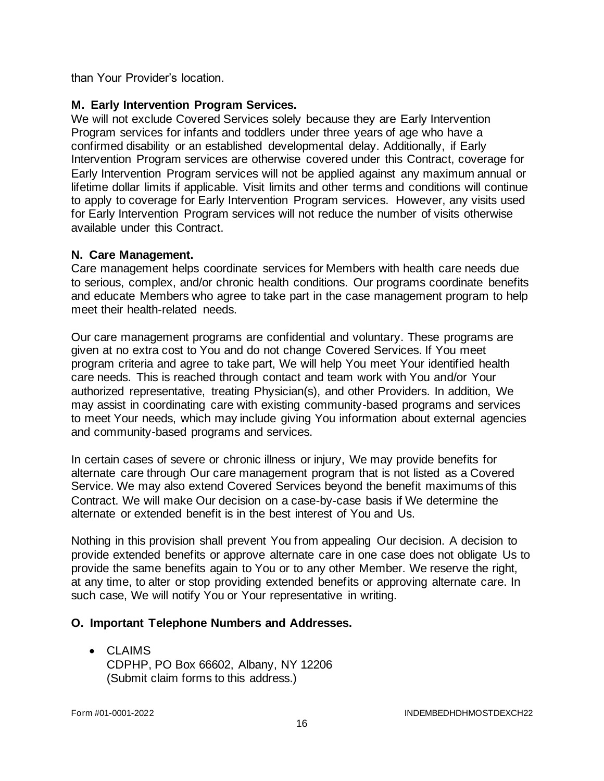than Your Provider's location.

### **M. Early Intervention Program Services.**

We will not exclude Covered Services solely because they are Early Intervention Program services for infants and toddlers under three years of age who have a confirmed disability or an established developmental delay. Additionally, if Early Intervention Program services are otherwise covered under this Contract, coverage for Early Intervention Program services will not be applied against any maximum annual or lifetime dollar limits if applicable. Visit limits and other terms and conditions will continue to apply to coverage for Early Intervention Program services. However, any visits used for Early Intervention Program services will not reduce the number of visits otherwise available under this Contract.

#### **N. Care Management.**

Care management helps coordinate services for Members with health care needs due to serious, complex, and/or chronic health conditions. Our programs coordinate benefits and educate Members who agree to take part in the case management program to help meet their health-related needs.

Our care management programs are confidential and voluntary. These programs are given at no extra cost to You and do not change Covered Services. If You meet program criteria and agree to take part, We will help You meet Your identified health care needs. This is reached through contact and team work with You and/or Your authorized representative, treating Physician(s), and other Providers. In addition, We may assist in coordinating care with existing community-based programs and services to meet Your needs, which may include giving You information about external agencies and community-based programs and services.

In certain cases of severe or chronic illness or injury, We may provide benefits for alternate care through Our care management program that is not listed as a Covered Service. We may also extend Covered Services beyond the benefit maximums of this Contract. We will make Our decision on a case-by-case basis if We determine the alternate or extended benefit is in the best interest of You and Us.

Nothing in this provision shall prevent You from appealing Our decision. A decision to provide extended benefits or approve alternate care in one case does not obligate Us to provide the same benefits again to You or to any other Member. We reserve the right, at any time, to alter or stop providing extended benefits or approving alternate care. In such case, We will notify You or Your representative in writing.

### **O. Important Telephone Numbers and Addresses.**

• CLAIMS CDPHP, PO Box 66602, Albany, NY 12206 (Submit claim forms to this address.)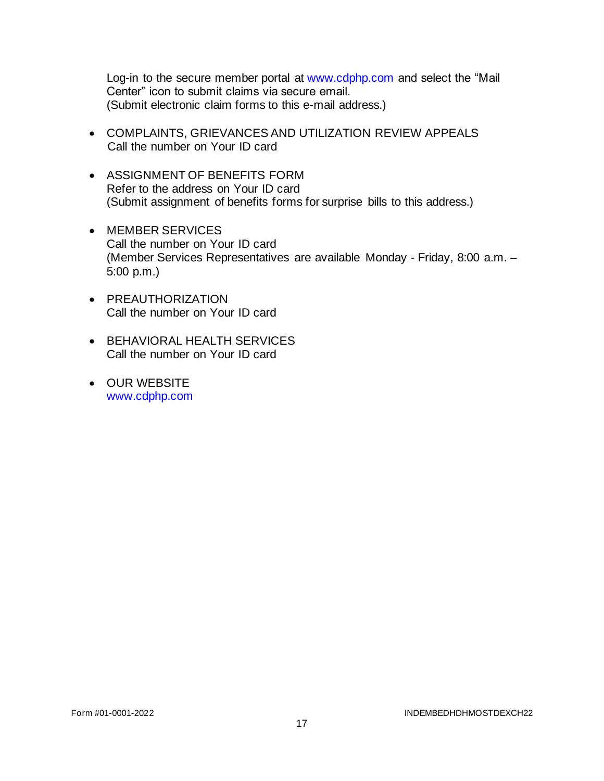Log-in to the secure member portal at [www.cdphp.com](http://www.cdphp.com/) and select the "Mail Center" icon to submit claims via secure email. (Submit electronic claim forms to this e-mail address.)

- COMPLAINTS, GRIEVANCES AND UTILIZATION REVIEW APPEALS Call the number on Your ID card
- ASSIGNMENT OF BENEFITS FORM Refer to the address on Your ID card (Submit assignment of benefits forms for surprise bills to this address.)
- MEMBER SERVICES Call the number on Your ID card (Member Services Representatives are available Monday - Friday, 8:00 a.m. – 5:00 p.m.)
- PREAUTHORIZATION Call the number on Your ID card
- BEHAVIORAL HEALTH SERVICES Call the number on Your ID card
- OUR WEBSITE [www.cdphp.com](http://www.cdphp.com/)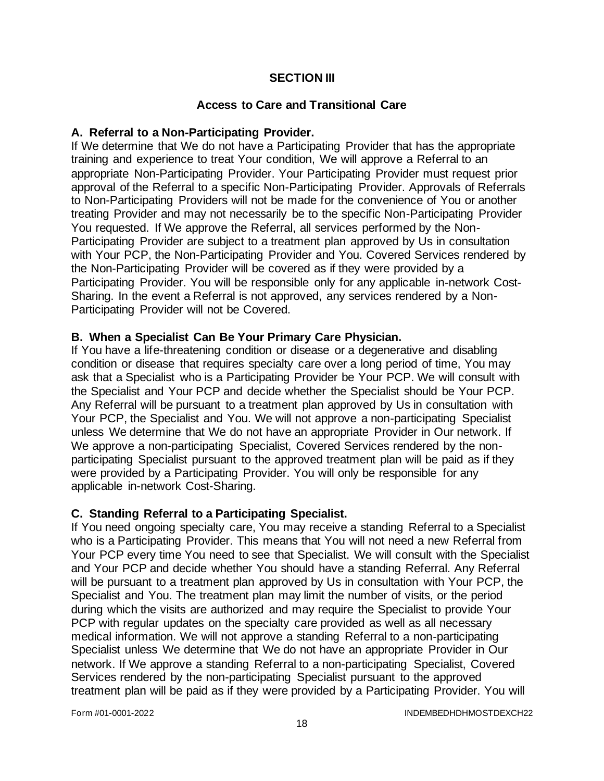# **SECTION III**

## **Access to Care and Transitional Care**

### **A. Referral to a Non-Participating Provider.**

If We determine that We do not have a Participating Provider that has the appropriate training and experience to treat Your condition, We will approve a Referral to an appropriate Non-Participating Provider. Your Participating Provider must request prior approval of the Referral to a specific Non-Participating Provider. Approvals of Referrals to Non-Participating Providers will not be made for the convenience of You or another treating Provider and may not necessarily be to the specific Non-Participating Provider You requested. If We approve the Referral, all services performed by the Non-Participating Provider are subject to a treatment plan approved by Us in consultation with Your PCP, the Non-Participating Provider and You. Covered Services rendered by the Non-Participating Provider will be covered as if they were provided by a Participating Provider. You will be responsible only for any applicable in-network Cost-Sharing. In the event a Referral is not approved, any services rendered by a Non-Participating Provider will not be Covered.

# **B. When a Specialist Can Be Your Primary Care Physician.**

If You have a life-threatening condition or disease or a degenerative and disabling condition or disease that requires specialty care over a long period of time, You may ask that a Specialist who is a Participating Provider be Your PCP. We will consult with the Specialist and Your PCP and decide whether the Specialist should be Your PCP. Any Referral will be pursuant to a treatment plan approved by Us in consultation with Your PCP, the Specialist and You. We will not approve a non-participating Specialist unless We determine that We do not have an appropriate Provider in Our network. If We approve a non-participating Specialist, Covered Services rendered by the nonparticipating Specialist pursuant to the approved treatment plan will be paid as if they were provided by a Participating Provider. You will only be responsible for any applicable in-network Cost-Sharing.

### **C. Standing Referral to a Participating Specialist.**

If You need ongoing specialty care, You may receive a standing Referral to a Specialist who is a Participating Provider. This means that You will not need a new Referral from Your PCP every time You need to see that Specialist. We will consult with the Specialist and Your PCP and decide whether You should have a standing Referral. Any Referral will be pursuant to a treatment plan approved by Us in consultation with Your PCP, the Specialist and You. The treatment plan may limit the number of visits, or the period during which the visits are authorized and may require the Specialist to provide Your PCP with regular updates on the specialty care provided as well as all necessary medical information. We will not approve a standing Referral to a non-participating Specialist unless We determine that We do not have an appropriate Provider in Our network. If We approve a standing Referral to a non-participating Specialist, Covered Services rendered by the non-participating Specialist pursuant to the approved treatment plan will be paid as if they were provided by a Participating Provider. You will

Form #01-0001-2022 INDEMBEDHDHMOSTDEXCH22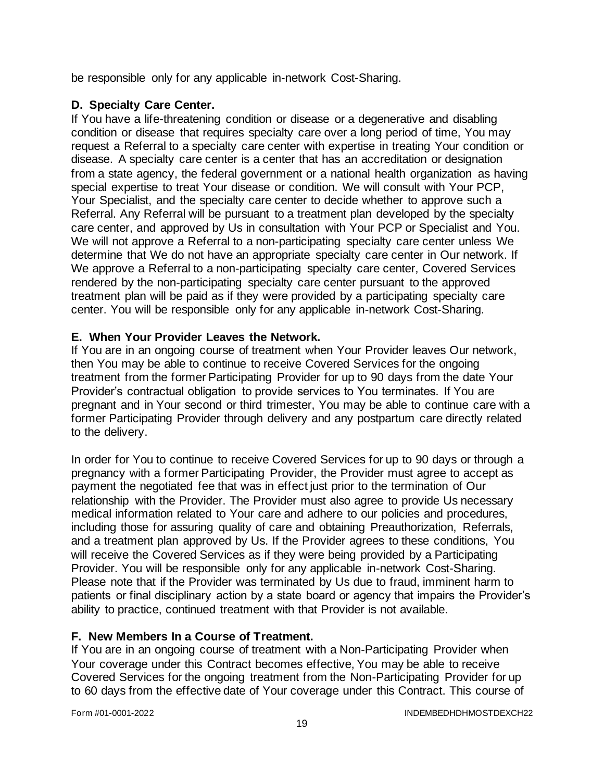be responsible only for any applicable in-network Cost-Sharing.

## **D. Specialty Care Center.**

If You have a life-threatening condition or disease or a degenerative and disabling condition or disease that requires specialty care over a long period of time, You may request a Referral to a specialty care center with expertise in treating Your condition or disease. A specialty care center is a center that has an accreditation or designation from a state agency, the federal government or a national health organization as having special expertise to treat Your disease or condition. We will consult with Your PCP, Your Specialist, and the specialty care center to decide whether to approve such a Referral. Any Referral will be pursuant to a treatment plan developed by the specialty care center, and approved by Us in consultation with Your PCP or Specialist and You. We will not approve a Referral to a non-participating specialty care center unless We determine that We do not have an appropriate specialty care center in Our network. If We approve a Referral to a non-participating specialty care center, Covered Services rendered by the non-participating specialty care center pursuant to the approved treatment plan will be paid as if they were provided by a participating specialty care center. You will be responsible only for any applicable in-network Cost-Sharing.

# **E. When Your Provider Leaves the Network.**

If You are in an ongoing course of treatment when Your Provider leaves Our network, then You may be able to continue to receive Covered Services for the ongoing treatment from the former Participating Provider for up to 90 days from the date Your Provider's contractual obligation to provide services to You terminates. If You are pregnant and in Your second or third trimester, You may be able to continue care with a former Participating Provider through delivery and any postpartum care directly related to the delivery.

In order for You to continue to receive Covered Services for up to 90 days or through a pregnancy with a former Participating Provider, the Provider must agree to accept as payment the negotiated fee that was in effect just prior to the termination of Our relationship with the Provider. The Provider must also agree to provide Us necessary medical information related to Your care and adhere to our policies and procedures, including those for assuring quality of care and obtaining Preauthorization, Referrals, and a treatment plan approved by Us. If the Provider agrees to these conditions, You will receive the Covered Services as if they were being provided by a Participating Provider. You will be responsible only for any applicable in-network Cost-Sharing. Please note that if the Provider was terminated by Us due to fraud, imminent harm to patients or final disciplinary action by a state board or agency that impairs the Provider's ability to practice, continued treatment with that Provider is not available.

### **F. New Members In a Course of Treatment.**

If You are in an ongoing course of treatment with a Non-Participating Provider when Your coverage under this Contract becomes effective, You may be able to receive Covered Services for the ongoing treatment from the Non-Participating Provider for up to 60 days from the effective date of Your coverage under this Contract. This course of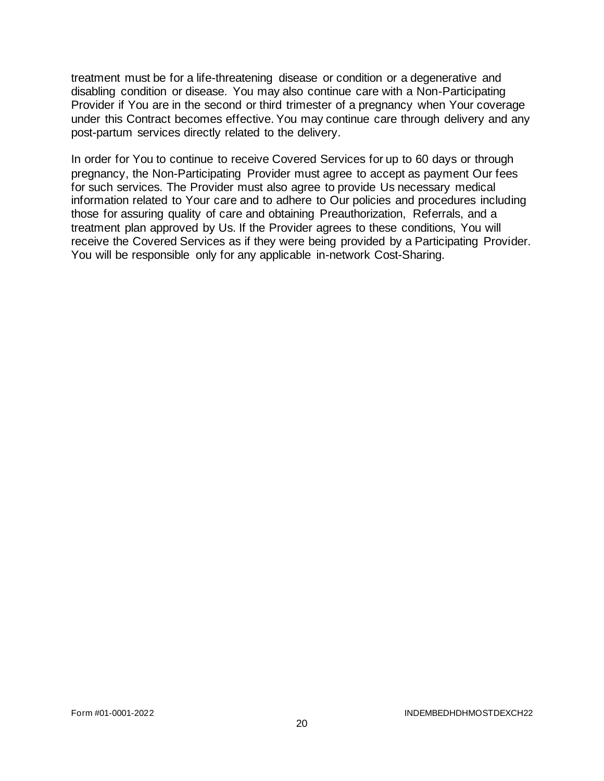treatment must be for a life-threatening disease or condition or a degenerative and disabling condition or disease. You may also continue care with a Non-Participating Provider if You are in the second or third trimester of a pregnancy when Your coverage under this Contract becomes effective. You may continue care through delivery and any post-partum services directly related to the delivery.

In order for You to continue to receive Covered Services for up to 60 days or through pregnancy, the Non-Participating Provider must agree to accept as payment Our fees for such services. The Provider must also agree to provide Us necessary medical information related to Your care and to adhere to Our policies and procedures including those for assuring quality of care and obtaining Preauthorization, Referrals, and a treatment plan approved by Us. If the Provider agrees to these conditions, You will receive the Covered Services as if they were being provided by a Participating Provider. You will be responsible only for any applicable in-network Cost-Sharing.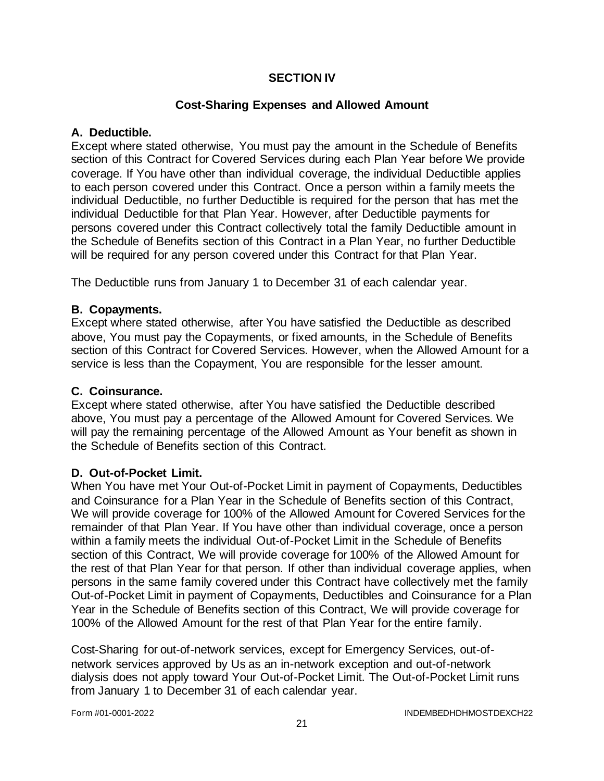### **SECTION IV**

### **Cost-Sharing Expenses and Allowed Amount**

### **A. Deductible.**

Except where stated otherwise, You must pay the amount in the Schedule of Benefits section of this Contract for Covered Services during each Plan Year before We provide coverage. If You have other than individual coverage, the individual Deductible applies to each person covered under this Contract. Once a person within a family meets the individual Deductible, no further Deductible is required for the person that has met the individual Deductible for that Plan Year. However, after Deductible payments for persons covered under this Contract collectively total the family Deductible amount in the Schedule of Benefits section of this Contract in a Plan Year, no further Deductible will be required for any person covered under this Contract for that Plan Year.

The Deductible runs from January 1 to December 31 of each calendar year.

### **B. Copayments.**

Except where stated otherwise, after You have satisfied the Deductible as described above, You must pay the Copayments, or fixed amounts, in the Schedule of Benefits section of this Contract for Covered Services. However, when the Allowed Amount for a service is less than the Copayment, You are responsible for the lesser amount.

### **C. Coinsurance.**

Except where stated otherwise, after You have satisfied the Deductible described above, You must pay a percentage of the Allowed Amount for Covered Services. We will pay the remaining percentage of the Allowed Amount as Your benefit as shown in the Schedule of Benefits section of this Contract.

#### **D. Out-of-Pocket Limit.**

When You have met Your Out-of-Pocket Limit in payment of Copayments, Deductibles and Coinsurance for a Plan Year in the Schedule of Benefits section of this Contract, We will provide coverage for 100% of the Allowed Amount for Covered Services for the remainder of that Plan Year. If You have other than individual coverage, once a person within a family meets the individual Out-of-Pocket Limit in the Schedule of Benefits section of this Contract, We will provide coverage for 100% of the Allowed Amount for the rest of that Plan Year for that person. If other than individual coverage applies, when persons in the same family covered under this Contract have collectively met the family Out-of-Pocket Limit in payment of Copayments, Deductibles and Coinsurance for a Plan Year in the Schedule of Benefits section of this Contract, We will provide coverage for 100% of the Allowed Amount for the rest of that Plan Year for the entire family.

Cost-Sharing for out-of-network services, except for Emergency Services, out-ofnetwork services approved by Us as an in-network exception and out-of-network dialysis does not apply toward Your Out-of-Pocket Limit. The Out-of-Pocket Limit runs from January 1 to December 31 of each calendar year.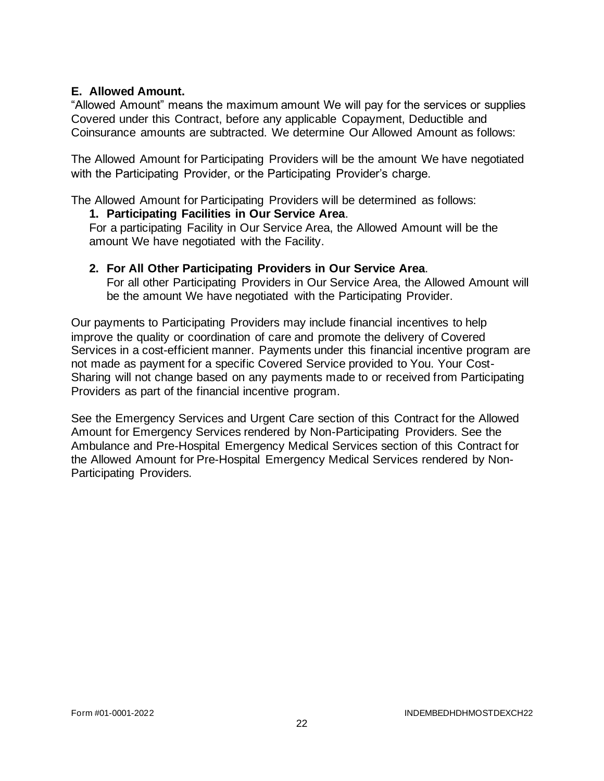### **E. Allowed Amount.**

"Allowed Amount" means the maximum amount We will pay for the services or supplies Covered under this Contract, before any applicable Copayment, Deductible and Coinsurance amounts are subtracted. We determine Our Allowed Amount as follows:

The Allowed Amount for Participating Providers will be the amount We have negotiated with the Participating Provider, or the Participating Provider's charge.

The Allowed Amount for Participating Providers will be determined as follows:

### **1. Participating Facilities in Our Service Area**.

For a participating Facility in Our Service Area, the Allowed Amount will be the amount We have negotiated with the Facility.

# **2. For All Other Participating Providers in Our Service Area**.

For all other Participating Providers in Our Service Area, the Allowed Amount will be the amount We have negotiated with the Participating Provider.

Our payments to Participating Providers may include financial incentives to help improve the quality or coordination of care and promote the delivery of Covered Services in a cost-efficient manner. Payments under this financial incentive program are not made as payment for a specific Covered Service provided to You. Your Cost-Sharing will not change based on any payments made to or received from Participating Providers as part of the financial incentive program.

See the Emergency Services and Urgent Care section of this Contract for the Allowed Amount for Emergency Services rendered by Non-Participating Providers. See the Ambulance and Pre-Hospital Emergency Medical Services section of this Contract for the Allowed Amount for Pre-Hospital Emergency Medical Services rendered by Non-Participating Providers.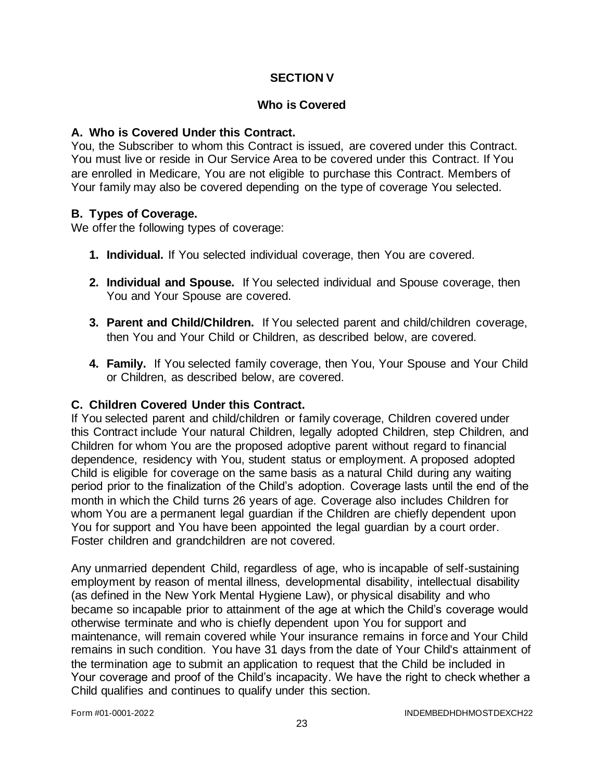# **SECTION V**

#### **Who is Covered**

#### **A. Who is Covered Under this Contract.**

You, the Subscriber to whom this Contract is issued, are covered under this Contract. You must live or reside in Our Service Area to be covered under this Contract. If You are enrolled in Medicare, You are not eligible to purchase this Contract. Members of Your family may also be covered depending on the type of coverage You selected.

### **B. Types of Coverage.**

We offer the following types of coverage:

- **1. Individual.** If You selected individual coverage, then You are covered.
- **2. Individual and Spouse.** If You selected individual and Spouse coverage, then You and Your Spouse are covered.
- **3. Parent and Child/Children.** If You selected parent and child/children coverage, then You and Your Child or Children, as described below, are covered.
- **4. Family.** If You selected family coverage, then You, Your Spouse and Your Child or Children, as described below, are covered.

#### **C. Children Covered Under this Contract.**

If You selected parent and child/children or family coverage, Children covered under this Contract include Your natural Children, legally adopted Children, step Children, and Children for whom You are the proposed adoptive parent without regard to financial dependence, residency with You, student status or employment. A proposed adopted Child is eligible for coverage on the same basis as a natural Child during any waiting period prior to the finalization of the Child's adoption. Coverage lasts until the end of the month in which the Child turns 26 years of age. Coverage also includes Children for whom You are a permanent legal guardian if the Children are chiefly dependent upon You for support and You have been appointed the legal guardian by a court order. Foster children and grandchildren are not covered.

Any unmarried dependent Child, regardless of age, who is incapable of self-sustaining employment by reason of mental illness, developmental disability, intellectual disability (as defined in the New York Mental Hygiene Law), or physical disability and who became so incapable prior to attainment of the age at which the Child's coverage would otherwise terminate and who is chiefly dependent upon You for support and maintenance, will remain covered while Your insurance remains in force and Your Child remains in such condition. You have 31 days from the date of Your Child's attainment of the termination age to submit an application to request that the Child be included in Your coverage and proof of the Child's incapacity. We have the right to check whether a Child qualifies and continues to qualify under this section.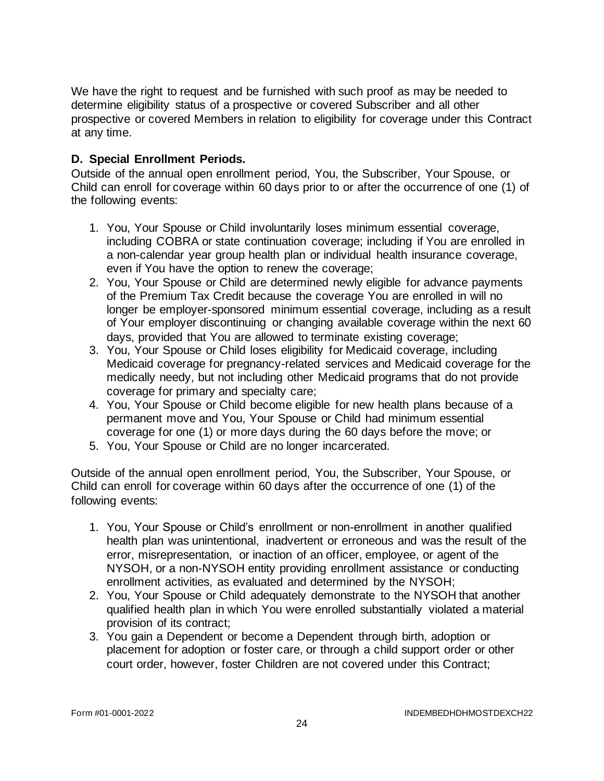We have the right to request and be furnished with such proof as may be needed to determine eligibility status of a prospective or covered Subscriber and all other prospective or covered Members in relation to eligibility for coverage under this Contract at any time.

# **D. Special Enrollment Periods.**

Outside of the annual open enrollment period, You, the Subscriber, Your Spouse, or Child can enroll for coverage within 60 days prior to or after the occurrence of one (1) of the following events:

- 1. You, Your Spouse or Child involuntarily loses minimum essential coverage, including COBRA or state continuation coverage; including if You are enrolled in a non-calendar year group health plan or individual health insurance coverage, even if You have the option to renew the coverage;
- 2. You, Your Spouse or Child are determined newly eligible for advance payments of the Premium Tax Credit because the coverage You are enrolled in will no longer be employer-sponsored minimum essential coverage, including as a result of Your employer discontinuing or changing available coverage within the next 60 days, provided that You are allowed to terminate existing coverage;
- 3. You, Your Spouse or Child loses eligibility for Medicaid coverage, including Medicaid coverage for pregnancy-related services and Medicaid coverage for the medically needy, but not including other Medicaid programs that do not provide coverage for primary and specialty care;
- 4. You, Your Spouse or Child become eligible for new health plans because of a permanent move and You, Your Spouse or Child had minimum essential coverage for one (1) or more days during the 60 days before the move; or
- 5. You, Your Spouse or Child are no longer incarcerated.

Outside of the annual open enrollment period, You, the Subscriber, Your Spouse, or Child can enroll for coverage within 60 days after the occurrence of one (1) of the following events:

- 1. You, Your Spouse or Child's enrollment or non-enrollment in another qualified health plan was unintentional, inadvertent or erroneous and was the result of the error, misrepresentation, or inaction of an officer, employee, or agent of the NYSOH, or a non-NYSOH entity providing enrollment assistance or conducting enrollment activities, as evaluated and determined by the NYSOH;
- 2. You, Your Spouse or Child adequately demonstrate to the NYSOH that another qualified health plan in which You were enrolled substantially violated a material provision of its contract;
- 3. You gain a Dependent or become a Dependent through birth, adoption or placement for adoption or foster care, or through a child support order or other court order, however, foster Children are not covered under this Contract;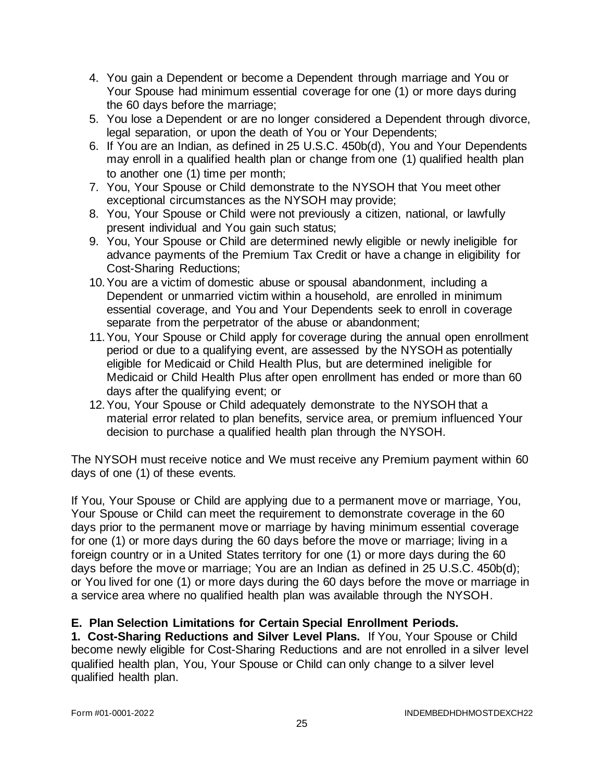- 4. You gain a Dependent or become a Dependent through marriage and You or Your Spouse had minimum essential coverage for one (1) or more days during the 60 days before the marriage;
- 5. You lose a Dependent or are no longer considered a Dependent through divorce, legal separation, or upon the death of You or Your Dependents;
- 6. If You are an Indian, as defined in 25 U.S.C. 450b(d), You and Your Dependents may enroll in a qualified health plan or change from one (1) qualified health plan to another one (1) time per month;
- 7. You, Your Spouse or Child demonstrate to the NYSOH that You meet other exceptional circumstances as the NYSOH may provide;
- 8. You, Your Spouse or Child were not previously a citizen, national, or lawfully present individual and You gain such status;
- 9. You, Your Spouse or Child are determined newly eligible or newly ineligible for advance payments of the Premium Tax Credit or have a change in eligibility for Cost-Sharing Reductions;
- 10.You are a victim of domestic abuse or spousal abandonment, including a Dependent or unmarried victim within a household, are enrolled in minimum essential coverage, and You and Your Dependents seek to enroll in coverage separate from the perpetrator of the abuse or abandonment;
- 11.You, Your Spouse or Child apply for coverage during the annual open enrollment period or due to a qualifying event, are assessed by the NYSOH as potentially eligible for Medicaid or Child Health Plus, but are determined ineligible for Medicaid or Child Health Plus after open enrollment has ended or more than 60 days after the qualifying event; or
- 12.You, Your Spouse or Child adequately demonstrate to the NYSOH that a material error related to plan benefits, service area, or premium influenced Your decision to purchase a qualified health plan through the NYSOH.

The NYSOH must receive notice and We must receive any Premium payment within 60 days of one (1) of these events.

If You, Your Spouse or Child are applying due to a permanent move or marriage, You, Your Spouse or Child can meet the requirement to demonstrate coverage in the 60 days prior to the permanent move or marriage by having minimum essential coverage for one (1) or more days during the 60 days before the move or marriage; living in a foreign country or in a United States territory for one (1) or more days during the 60 days before the move or marriage; You are an Indian as defined in 25 U.S.C. 450b(d); or You lived for one (1) or more days during the 60 days before the move or marriage in a service area where no qualified health plan was available through the NYSOH.

# **E. Plan Selection Limitations for Certain Special Enrollment Periods.**

**1. Cost-Sharing Reductions and Silver Level Plans.** If You, Your Spouse or Child become newly eligible for Cost-Sharing Reductions and are not enrolled in a silver level qualified health plan, You, Your Spouse or Child can only change to a silver level qualified health plan.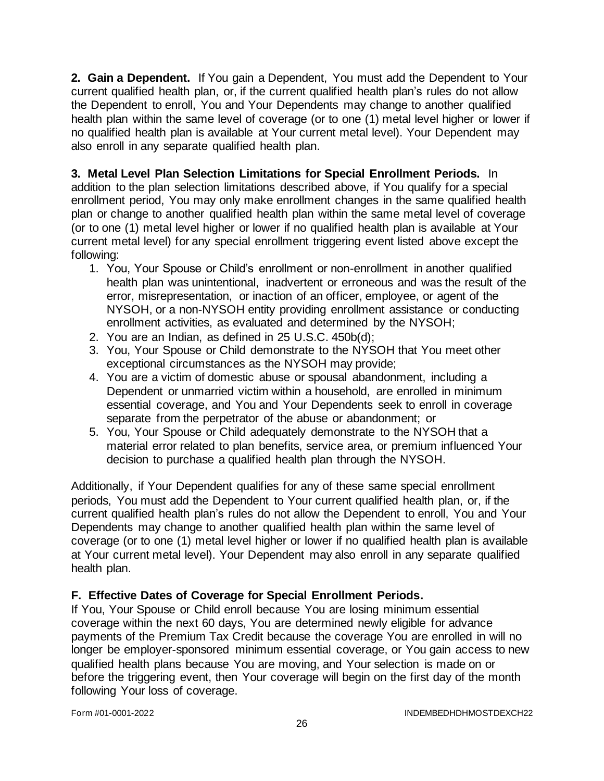**2. Gain a Dependent.** If You gain a Dependent, You must add the Dependent to Your current qualified health plan, or, if the current qualified health plan's rules do not allow the Dependent to enroll, You and Your Dependents may change to another qualified health plan within the same level of coverage (or to one (1) metal level higher or lower if no qualified health plan is available at Your current metal level). Your Dependent may also enroll in any separate qualified health plan.

**3. Metal Level Plan Selection Limitations for Special Enrollment Periods.** In addition to the plan selection limitations described above, if You qualify for a special enrollment period, You may only make enrollment changes in the same qualified health plan or change to another qualified health plan within the same metal level of coverage (or to one (1) metal level higher or lower if no qualified health plan is available at Your current metal level) for any special enrollment triggering event listed above except the following:

- 1. You, Your Spouse or Child's enrollment or non-enrollment in another qualified health plan was unintentional, inadvertent or erroneous and was the result of the error, misrepresentation, or inaction of an officer, employee, or agent of the NYSOH, or a non-NYSOH entity providing enrollment assistance or conducting enrollment activities, as evaluated and determined by the NYSOH;
- 2. You are an Indian, as defined in 25 U.S.C. 450b(d);
- 3. You, Your Spouse or Child demonstrate to the NYSOH that You meet other exceptional circumstances as the NYSOH may provide;
- 4. You are a victim of domestic abuse or spousal abandonment, including a Dependent or unmarried victim within a household, are enrolled in minimum essential coverage, and You and Your Dependents seek to enroll in coverage separate from the perpetrator of the abuse or abandonment; or
- 5. You, Your Spouse or Child adequately demonstrate to the NYSOH that a material error related to plan benefits, service area, or premium influenced Your decision to purchase a qualified health plan through the NYSOH.

Additionally, if Your Dependent qualifies for any of these same special enrollment periods, You must add the Dependent to Your current qualified health plan, or, if the current qualified health plan's rules do not allow the Dependent to enroll, You and Your Dependents may change to another qualified health plan within the same level of coverage (or to one (1) metal level higher or lower if no qualified health plan is available at Your current metal level). Your Dependent may also enroll in any separate qualified health plan.

# **F. Effective Dates of Coverage for Special Enrollment Periods.**

If You, Your Spouse or Child enroll because You are losing minimum essential coverage within the next 60 days, You are determined newly eligible for advance payments of the Premium Tax Credit because the coverage You are enrolled in will no longer be employer-sponsored minimum essential coverage, or You gain access to new qualified health plans because You are moving, and Your selection is made on or before the triggering event, then Your coverage will begin on the first day of the month following Your loss of coverage.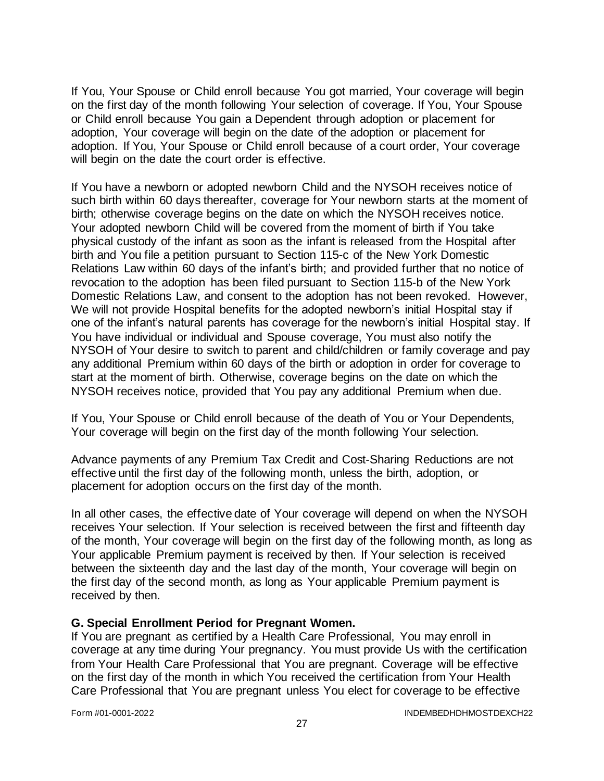If You, Your Spouse or Child enroll because You got married, Your coverage will begin on the first day of the month following Your selection of coverage. If You, Your Spouse or Child enroll because You gain a Dependent through adoption or placement for adoption, Your coverage will begin on the date of the adoption or placement for adoption. If You, Your Spouse or Child enroll because of a court order, Your coverage will begin on the date the court order is effective.

If You have a newborn or adopted newborn Child and the NYSOH receives notice of such birth within 60 days thereafter, coverage for Your newborn starts at the moment of birth; otherwise coverage begins on the date on which the NYSOH receives notice. Your adopted newborn Child will be covered from the moment of birth if You take physical custody of the infant as soon as the infant is released from the Hospital after birth and You file a petition pursuant to Section 115-c of the New York Domestic Relations Law within 60 days of the infant's birth; and provided further that no notice of revocation to the adoption has been filed pursuant to Section 115-b of the New York Domestic Relations Law, and consent to the adoption has not been revoked. However, We will not provide Hospital benefits for the adopted newborn's initial Hospital stay if one of the infant's natural parents has coverage for the newborn's initial Hospital stay. If You have individual or individual and Spouse coverage, You must also notify the NYSOH of Your desire to switch to parent and child/children or family coverage and pay any additional Premium within 60 days of the birth or adoption in order for coverage to start at the moment of birth. Otherwise, coverage begins on the date on which the NYSOH receives notice, provided that You pay any additional Premium when due.

If You, Your Spouse or Child enroll because of the death of You or Your Dependents, Your coverage will begin on the first day of the month following Your selection.

Advance payments of any Premium Tax Credit and Cost-Sharing Reductions are not effective until the first day of the following month, unless the birth, adoption, or placement for adoption occurs on the first day of the month.

In all other cases, the effective date of Your coverage will depend on when the NYSOH receives Your selection. If Your selection is received between the first and fifteenth day of the month, Your coverage will begin on the first day of the following month, as long as Your applicable Premium payment is received by then. If Your selection is received between the sixteenth day and the last day of the month, Your coverage will begin on the first day of the second month, as long as Your applicable Premium payment is received by then.

#### **G. Special Enrollment Period for Pregnant Women.**

If You are pregnant as certified by a Health Care Professional, You may enroll in coverage at any time during Your pregnancy. You must provide Us with the certification from Your Health Care Professional that You are pregnant. Coverage will be effective on the first day of the month in which You received the certification from Your Health Care Professional that You are pregnant unless You elect for coverage to be effective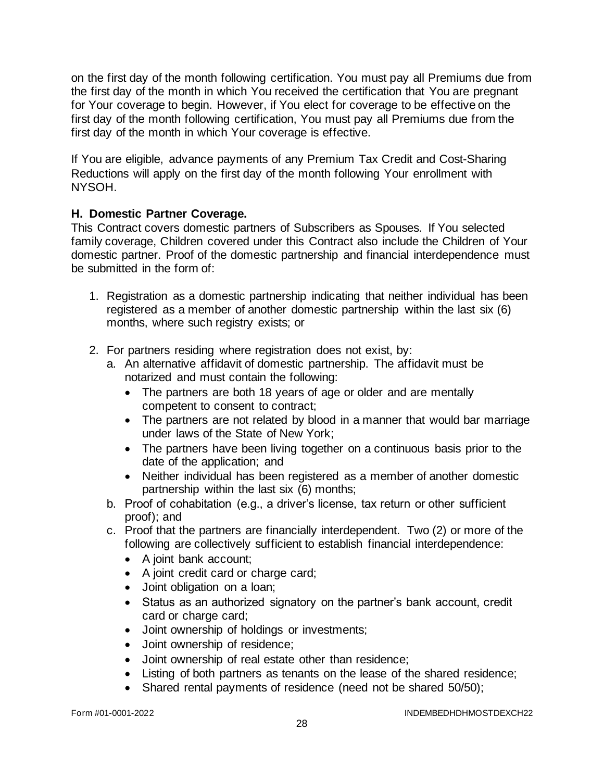on the first day of the month following certification. You must pay all Premiums due from the first day of the month in which You received the certification that You are pregnant for Your coverage to begin. However, if You elect for coverage to be effective on the first day of the month following certification, You must pay all Premiums due from the first day of the month in which Your coverage is effective.

If You are eligible, advance payments of any Premium Tax Credit and Cost-Sharing Reductions will apply on the first day of the month following Your enrollment with NYSOH.

# **H. Domestic Partner Coverage.**

This Contract covers domestic partners of Subscribers as Spouses. If You selected family coverage, Children covered under this Contract also include the Children of Your domestic partner. Proof of the domestic partnership and financial interdependence must be submitted in the form of:

- 1. Registration as a domestic partnership indicating that neither individual has been registered as a member of another domestic partnership within the last six (6) months, where such registry exists; or
- 2. For partners residing where registration does not exist, by:
	- a. An alternative affidavit of domestic partnership. The affidavit must be notarized and must contain the following:
		- The partners are both 18 years of age or older and are mentally competent to consent to contract;
		- The partners are not related by blood in a manner that would bar marriage under laws of the State of New York;
		- The partners have been living together on a continuous basis prior to the date of the application; and
		- Neither individual has been registered as a member of another domestic partnership within the last six (6) months;
	- b. Proof of cohabitation (e.g., a driver's license, tax return or other sufficient proof); and
	- c. Proof that the partners are financially interdependent. Two (2) or more of the following are collectively sufficient to establish financial interdependence:
		- A joint bank account;
		- A joint credit card or charge card;
		- Joint obligation on a loan;
		- Status as an authorized signatory on the partner's bank account, credit card or charge card;
		- Joint ownership of holdings or investments;
		- Joint ownership of residence;
		- Joint ownership of real estate other than residence;
		- Listing of both partners as tenants on the lease of the shared residence;
		- Shared rental payments of residence (need not be shared 50/50);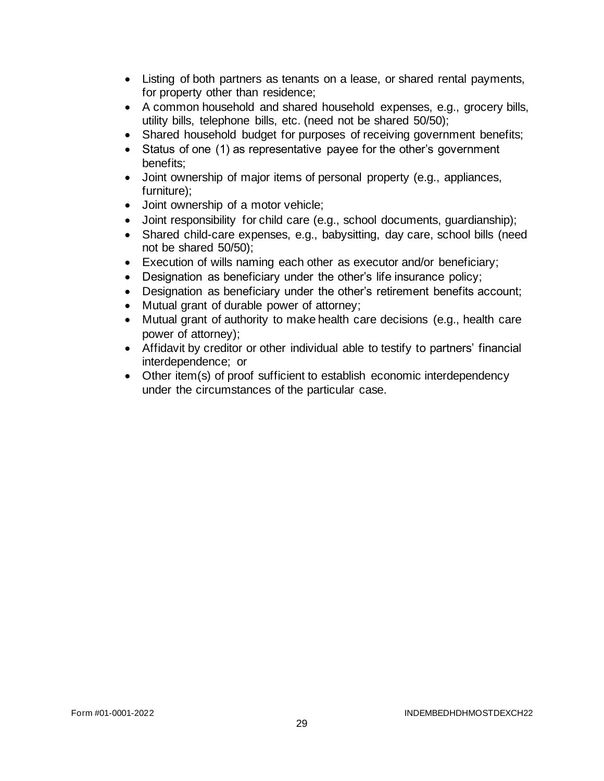- Listing of both partners as tenants on a lease, or shared rental payments, for property other than residence;
- A common household and shared household expenses, e.g., grocery bills, utility bills, telephone bills, etc. (need not be shared 50/50);
- Shared household budget for purposes of receiving government benefits;
- Status of one (1) as representative payee for the other's government benefits;
- Joint ownership of major items of personal property (e.g., appliances, furniture);
- Joint ownership of a motor vehicle;
- Joint responsibility for child care (e.g., school documents, guardianship);
- Shared child-care expenses, e.g., babysitting, day care, school bills (need not be shared 50/50);
- Execution of wills naming each other as executor and/or beneficiary;
- Designation as beneficiary under the other's life insurance policy;
- Designation as beneficiary under the other's retirement benefits account;
- Mutual grant of durable power of attorney;
- Mutual grant of authority to make health care decisions (e.g., health care power of attorney);
- Affidavit by creditor or other individual able to testify to partners' financial interdependence; or
- Other item(s) of proof sufficient to establish economic interdependency under the circumstances of the particular case.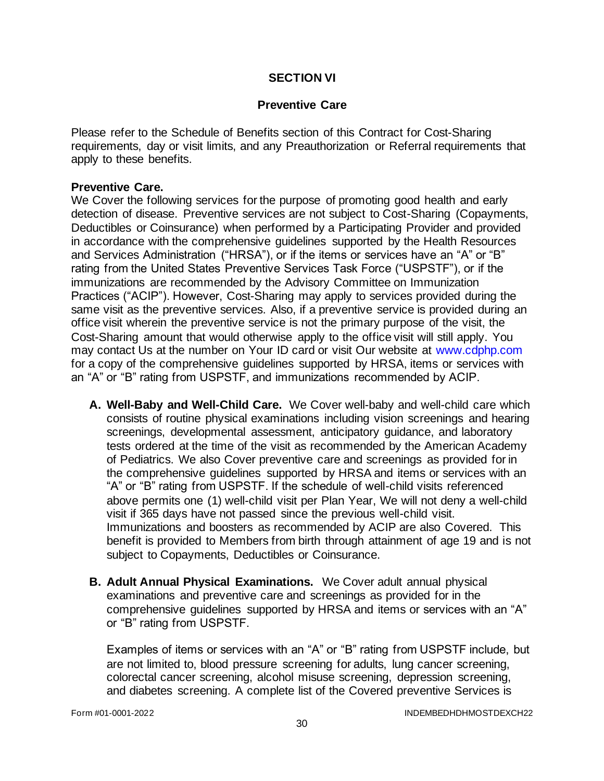### **SECTION VI**

#### **Preventive Care**

Please refer to the Schedule of Benefits section of this Contract for Cost-Sharing requirements, day or visit limits, and any Preauthorization or Referral requirements that apply to these benefits.

#### **Preventive Care.**

We Cover the following services for the purpose of promoting good health and early detection of disease. Preventive services are not subject to Cost-Sharing (Copayments, Deductibles or Coinsurance) when performed by a Participating Provider and provided in accordance with the comprehensive guidelines supported by the Health Resources and Services Administration ("HRSA"), or if the items or services have an "A" or "B" rating from the United States Preventive Services Task Force ("USPSTF"), or if the immunizations are recommended by the Advisory Committee on Immunization Practices ("ACIP"). However, Cost-Sharing may apply to services provided during the same visit as the preventive services. Also, if a preventive service is provided during an office visit wherein the preventive service is not the primary purpose of the visit, the Cost-Sharing amount that would otherwise apply to the office visit will still apply. You may contact Us at the number on Your ID card or visit Our website at [www.cdphp.com](http://www.cdphp.com/) for a copy of the comprehensive guidelines supported by HRSA, items or services with an "A" or "B" rating from USPSTF, and immunizations recommended by ACIP.

- **A. Well-Baby and Well-Child Care.** We Cover well-baby and well-child care which consists of routine physical examinations including vision screenings and hearing screenings, developmental assessment, anticipatory guidance, and laboratory tests ordered at the time of the visit as recommended by the American Academy of Pediatrics. We also Cover preventive care and screenings as provided for in the comprehensive guidelines supported by HRSA and items or services with an "A" or "B" rating from USPSTF. If the schedule of well-child visits referenced above permits one (1) well-child visit per Plan Year, We will not deny a well-child visit if 365 days have not passed since the previous well-child visit. Immunizations and boosters as recommended by ACIP are also Covered. This benefit is provided to Members from birth through attainment of age 19 and is not subject to Copayments, Deductibles or Coinsurance.
- **B. Adult Annual Physical Examinations.** We Cover adult annual physical examinations and preventive care and screenings as provided for in the comprehensive guidelines supported by HRSA and items or services with an "A" or "B" rating from USPSTF.

Examples of items or services with an "A" or "B" rating from USPSTF include, but are not limited to, blood pressure screening for adults, lung cancer screening, colorectal cancer screening, alcohol misuse screening, depression screening, and diabetes screening. A complete list of the Covered preventive Services is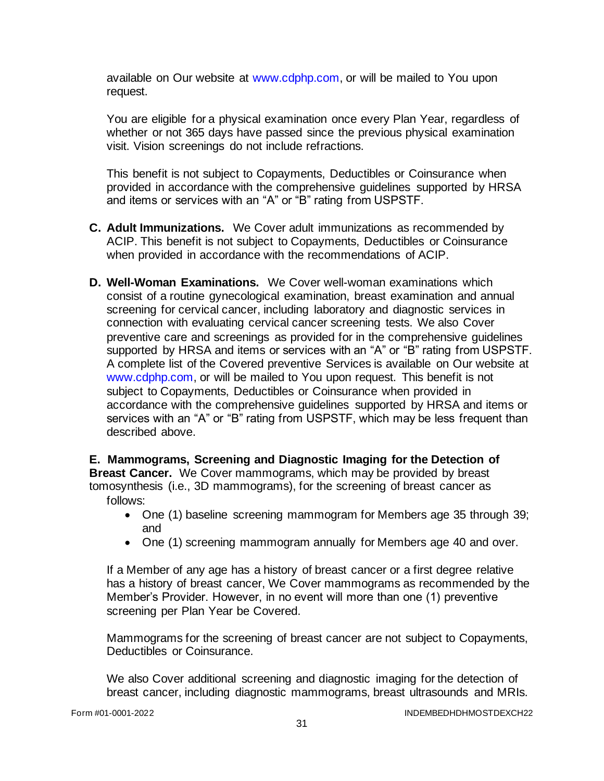available on Our website at [www.cdphp.com,](http://www.cdphp.com/) or will be mailed to You upon request.

You are eligible for a physical examination once every Plan Year, regardless of whether or not 365 days have passed since the previous physical examination visit. Vision screenings do not include refractions.

This benefit is not subject to Copayments, Deductibles or Coinsurance when provided in accordance with the comprehensive guidelines supported by HRSA and items or services with an "A" or "B" rating from USPSTF.

- **C. Adult Immunizations.** We Cover adult immunizations as recommended by ACIP. This benefit is not subject to Copayments, Deductibles or Coinsurance when provided in accordance with the recommendations of ACIP.
- **D. Well-Woman Examinations.** We Cover well-woman examinations which consist of a routine gynecological examination, breast examination and annual screening for cervical cancer, including laboratory and diagnostic services in connection with evaluating cervical cancer screening tests. We also Cover preventive care and screenings as provided for in the comprehensive guidelines supported by HRSA and items or services with an "A" or "B" rating from USPSTF. A complete list of the Covered preventive Services is available on Our website at [www.cdphp.com,](http://www.cdphp.com/) or will be mailed to You upon request. This benefit is not subject to Copayments, Deductibles or Coinsurance when provided in accordance with the comprehensive guidelines supported by HRSA and items or services with an "A" or "B" rating from USPSTF, which may be less frequent than described above.

**E. Mammograms, Screening and Diagnostic Imaging for the Detection of Breast Cancer.** We Cover mammograms, which may be provided by breast tomosynthesis (i.e., 3D mammograms), for the screening of breast cancer as follows:

- One (1) baseline screening mammogram for Members age 35 through 39; and
- One (1) screening mammogram annually for Members age 40 and over.

If a Member of any age has a history of breast cancer or a first degree relative has a history of breast cancer, We Cover mammograms as recommended by the Member's Provider. However, in no event will more than one (1) preventive screening per Plan Year be Covered.

Mammograms for the screening of breast cancer are not subject to Copayments, Deductibles or Coinsurance.

We also Cover additional screening and diagnostic imaging for the detection of breast cancer, including diagnostic mammograms, breast ultrasounds and MRIs.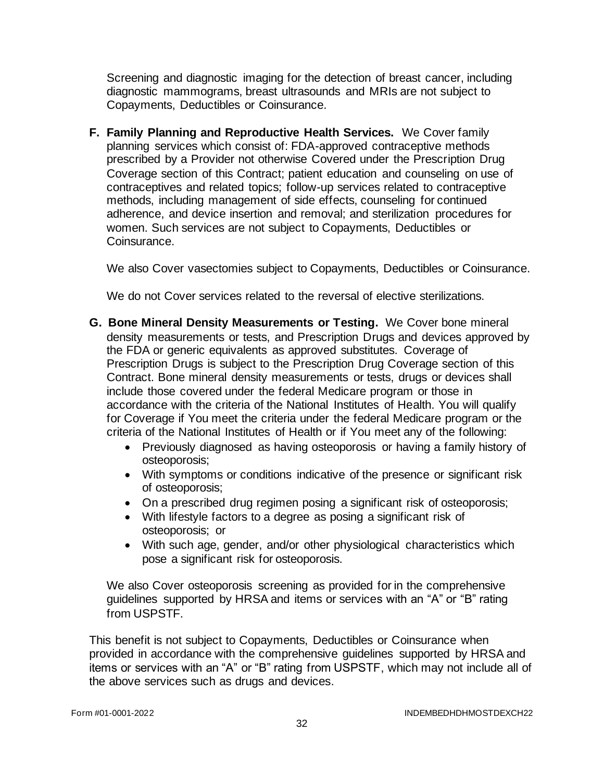Screening and diagnostic imaging for the detection of breast cancer, including diagnostic mammograms, breast ultrasounds and MRIs are not subject to Copayments, Deductibles or Coinsurance.

**F. Family Planning and Reproductive Health Services.** We Cover family planning services which consist of: FDA-approved contraceptive methods prescribed by a Provider not otherwise Covered under the Prescription Drug Coverage section of this Contract; patient education and counseling on use of contraceptives and related topics; follow-up services related to contraceptive methods, including management of side effects, counseling for continued adherence, and device insertion and removal; and sterilization procedures for women. Such services are not subject to Copayments, Deductibles or Coinsurance.

We also Cover vasectomies subject to Copayments, Deductibles or Coinsurance.

We do not Cover services related to the reversal of elective sterilizations.

- **G. Bone Mineral Density Measurements or Testing.** We Cover bone mineral density measurements or tests, and Prescription Drugs and devices approved by the FDA or generic equivalents as approved substitutes. Coverage of Prescription Drugs is subject to the Prescription Drug Coverage section of this Contract. Bone mineral density measurements or tests, drugs or devices shall include those covered under the federal Medicare program or those in accordance with the criteria of the National Institutes of Health. You will qualify for Coverage if You meet the criteria under the federal Medicare program or the criteria of the National Institutes of Health or if You meet any of the following:
	- Previously diagnosed as having osteoporosis or having a family history of osteoporosis;
	- With symptoms or conditions indicative of the presence or significant risk of osteoporosis;
	- On a prescribed drug regimen posing a significant risk of osteoporosis;
	- With lifestyle factors to a degree as posing a significant risk of osteoporosis; or
	- With such age, gender, and/or other physiological characteristics which pose a significant risk for osteoporosis.

We also Cover osteoporosis screening as provided for in the comprehensive guidelines supported by HRSA and items or services with an "A" or "B" rating from USPSTF.

This benefit is not subject to Copayments, Deductibles or Coinsurance when provided in accordance with the comprehensive guidelines supported by HRSA and items or services with an "A" or "B" rating from USPSTF, which may not include all of the above services such as drugs and devices.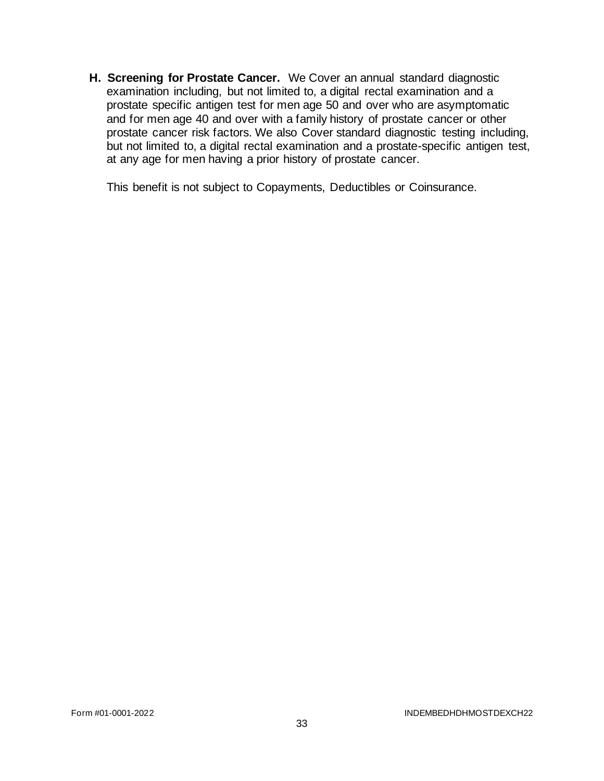**H. Screening for Prostate Cancer.** We Cover an annual standard diagnostic examination including, but not limited to, a digital rectal examination and a prostate specific antigen test for men age 50 and over who are asymptomatic and for men age 40 and over with a family history of prostate cancer or other prostate cancer risk factors. We also Cover standard diagnostic testing including, but not limited to, a digital rectal examination and a prostate-specific antigen test, at any age for men having a prior history of prostate cancer.

This benefit is not subject to Copayments, Deductibles or Coinsurance.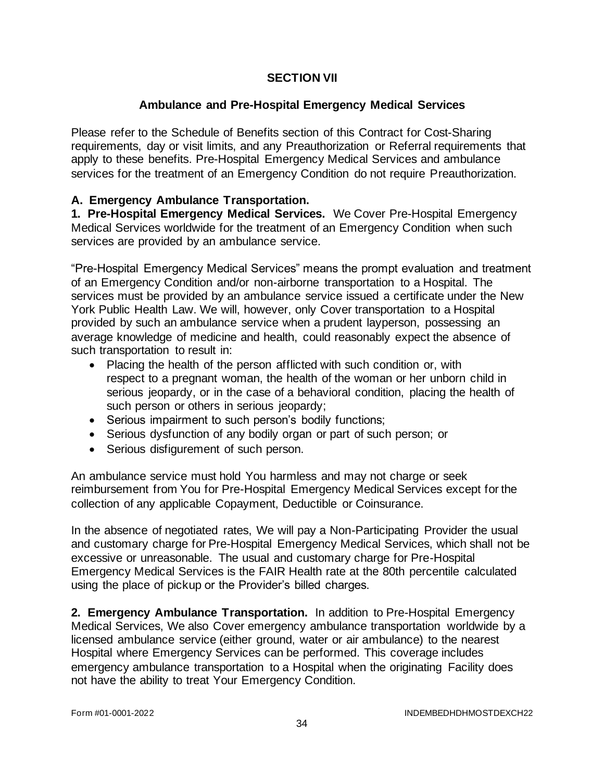# **SECTION VII**

# **Ambulance and Pre-Hospital Emergency Medical Services**

Please refer to the Schedule of Benefits section of this Contract for Cost-Sharing requirements, day or visit limits, and any Preauthorization or Referral requirements that apply to these benefits. Pre-Hospital Emergency Medical Services and ambulance services for the treatment of an Emergency Condition do not require Preauthorization.

# **A. Emergency Ambulance Transportation.**

**1. Pre-Hospital Emergency Medical Services.** We Cover Pre-Hospital Emergency Medical Services worldwide for the treatment of an Emergency Condition when such services are provided by an ambulance service.

"Pre-Hospital Emergency Medical Services" means the prompt evaluation and treatment of an Emergency Condition and/or non-airborne transportation to a Hospital. The services must be provided by an ambulance service issued a certificate under the New York Public Health Law. We will, however, only Cover transportation to a Hospital provided by such an ambulance service when a prudent layperson, possessing an average knowledge of medicine and health, could reasonably expect the absence of such transportation to result in:

- Placing the health of the person afflicted with such condition or, with respect to a pregnant woman, the health of the woman or her unborn child in serious jeopardy, or in the case of a behavioral condition, placing the health of such person or others in serious jeopardy;
- Serious impairment to such person's bodily functions;
- Serious dysfunction of any bodily organ or part of such person; or
- Serious disfigurement of such person.

An ambulance service must hold You harmless and may not charge or seek reimbursement from You for Pre-Hospital Emergency Medical Services except for the collection of any applicable Copayment, Deductible or Coinsurance.

In the absence of negotiated rates, We will pay a Non-Participating Provider the usual and customary charge for Pre-Hospital Emergency Medical Services, which shall not be excessive or unreasonable. The usual and customary charge for Pre-Hospital Emergency Medical Services is the FAIR Health rate at the 80th percentile calculated using the place of pickup or the Provider's billed charges.

**2. Emergency Ambulance Transportation.** In addition to Pre-Hospital Emergency Medical Services, We also Cover emergency ambulance transportation worldwide by a licensed ambulance service (either ground, water or air ambulance) to the nearest Hospital where Emergency Services can be performed. This coverage includes emergency ambulance transportation to a Hospital when the originating Facility does not have the ability to treat Your Emergency Condition.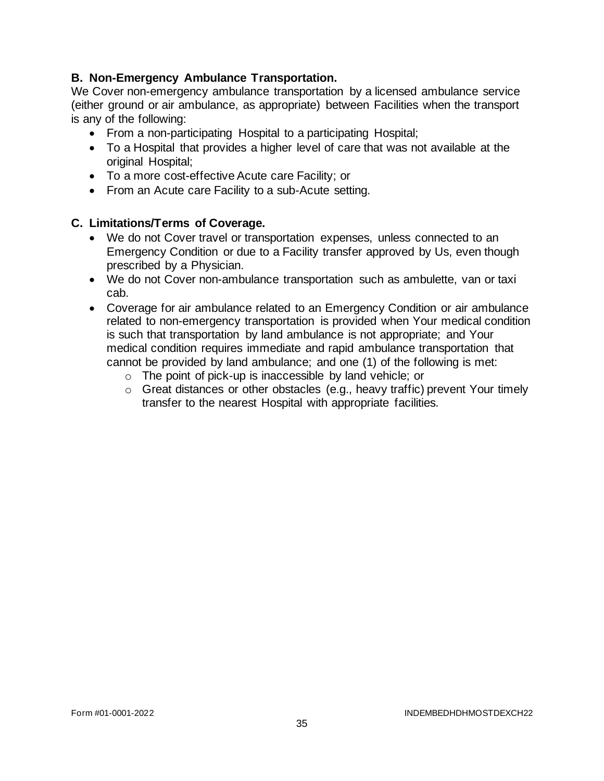# **B. Non-Emergency Ambulance Transportation.**

We Cover non-emergency ambulance transportation by a licensed ambulance service (either ground or air ambulance, as appropriate) between Facilities when the transport is any of the following:

- From a non-participating Hospital to a participating Hospital;
- To a Hospital that provides a higher level of care that was not available at the original Hospital;
- To a more cost-effective Acute care Facility; or
- From an Acute care Facility to a sub-Acute setting.

# **C. Limitations/Terms of Coverage.**

- We do not Cover travel or transportation expenses, unless connected to an Emergency Condition or due to a Facility transfer approved by Us, even though prescribed by a Physician.
- We do not Cover non-ambulance transportation such as ambulette, van or taxi cab.
- Coverage for air ambulance related to an Emergency Condition or air ambulance related to non-emergency transportation is provided when Your medical condition is such that transportation by land ambulance is not appropriate; and Your medical condition requires immediate and rapid ambulance transportation that cannot be provided by land ambulance; and one (1) of the following is met:
	- o The point of pick-up is inaccessible by land vehicle; or
	- o Great distances or other obstacles (e.g., heavy traffic) prevent Your timely transfer to the nearest Hospital with appropriate facilities.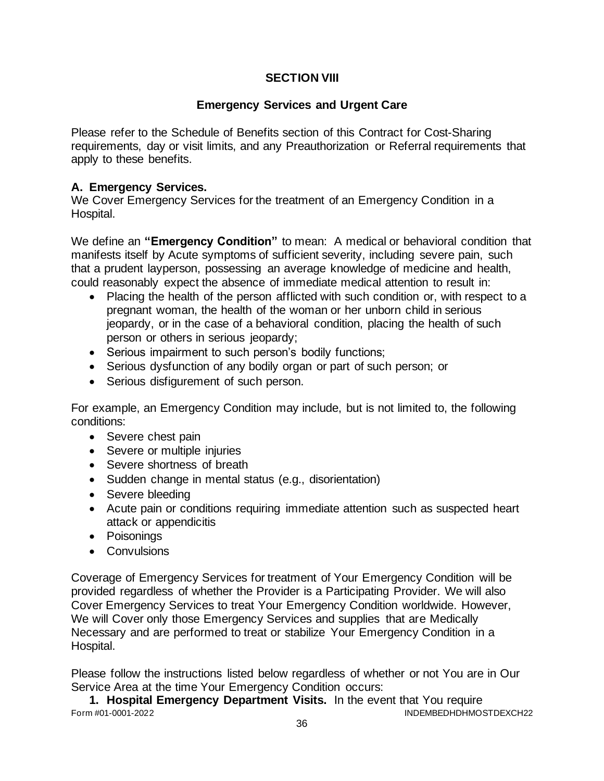# **SECTION VIII**

# **Emergency Services and Urgent Care**

Please refer to the Schedule of Benefits section of this Contract for Cost-Sharing requirements, day or visit limits, and any Preauthorization or Referral requirements that apply to these benefits.

# **A. Emergency Services.**

We Cover Emergency Services for the treatment of an Emergency Condition in a Hospital.

We define an **"Emergency Condition"** to mean: A medical or behavioral condition that manifests itself by Acute symptoms of sufficient severity, including severe pain, such that a prudent layperson, possessing an average knowledge of medicine and health, could reasonably expect the absence of immediate medical attention to result in:

- Placing the health of the person afflicted with such condition or, with respect to a pregnant woman, the health of the woman or her unborn child in serious jeopardy, or in the case of a behavioral condition, placing the health of such person or others in serious jeopardy;
- Serious impairment to such person's bodily functions;
- Serious dysfunction of any bodily organ or part of such person; or
- Serious disfigurement of such person.

For example, an Emergency Condition may include, but is not limited to, the following conditions:

- Severe chest pain
- Severe or multiple injuries
- Severe shortness of breath
- Sudden change in mental status (e.g., disorientation)
- Severe bleeding
- Acute pain or conditions requiring immediate attention such as suspected heart attack or appendicitis
- Poisonings
- Convulsions

Coverage of Emergency Services for treatment of Your Emergency Condition will be provided regardless of whether the Provider is a Participating Provider. We will also Cover Emergency Services to treat Your Emergency Condition worldwide. However, We will Cover only those Emergency Services and supplies that are Medically Necessary and are performed to treat or stabilize Your Emergency Condition in a Hospital.

Please follow the instructions listed below regardless of whether or not You are in Our Service Area at the time Your Emergency Condition occurs:

Form #01-0001-2022 INDEMBEDHDHMOSTDEXCH22 **1. Hospital Emergency Department Visits.** In the event that You require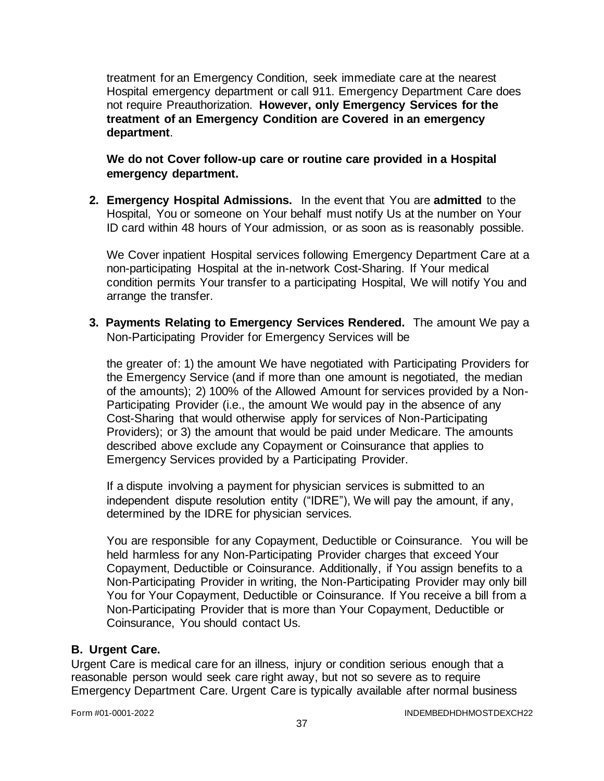treatment for an Emergency Condition, seek immediate care at the nearest Hospital emergency department or call 911. Emergency Department Care does not require Preauthorization. **However, only Emergency Services for the treatment of an Emergency Condition are Covered in an emergency department**.

**We do not Cover follow-up care or routine care provided in a Hospital emergency department.**

**2. Emergency Hospital Admissions.** In the event that You are **admitted** to the Hospital, You or someone on Your behalf must notify Us at the number on Your ID card within 48 hours of Your admission, or as soon as is reasonably possible.

We Cover inpatient Hospital services following Emergency Department Care at a non-participating Hospital at the in-network Cost-Sharing. If Your medical condition permits Your transfer to a participating Hospital, We will notify You and arrange the transfer.

**3. Payments Relating to Emergency Services Rendered.** The amount We pay a Non-Participating Provider for Emergency Services will be

the greater of: 1) the amount We have negotiated with Participating Providers for the Emergency Service (and if more than one amount is negotiated, the median of the amounts); 2) 100% of the Allowed Amount for services provided by a Non-Participating Provider (i.e., the amount We would pay in the absence of any Cost-Sharing that would otherwise apply for services of Non-Participating Providers); or 3) the amount that would be paid under Medicare. The amounts described above exclude any Copayment or Coinsurance that applies to Emergency Services provided by a Participating Provider.

If a dispute involving a payment for physician services is submitted to an independent dispute resolution entity ("IDRE"), We will pay the amount, if any, determined by the IDRE for physician services.

You are responsible for any Copayment, Deductible or Coinsurance. You will be held harmless for any Non-Participating Provider charges that exceed Your Copayment, Deductible or Coinsurance. Additionally, if You assign benefits to a Non-Participating Provider in writing, the Non-Participating Provider may only bill You for Your Copayment, Deductible or Coinsurance. If You receive a bill from a Non-Participating Provider that is more than Your Copayment, Deductible or Coinsurance, You should contact Us.

### **B. Urgent Care.**

Urgent Care is medical care for an illness, injury or condition serious enough that a reasonable person would seek care right away, but not so severe as to require Emergency Department Care. Urgent Care is typically available after normal business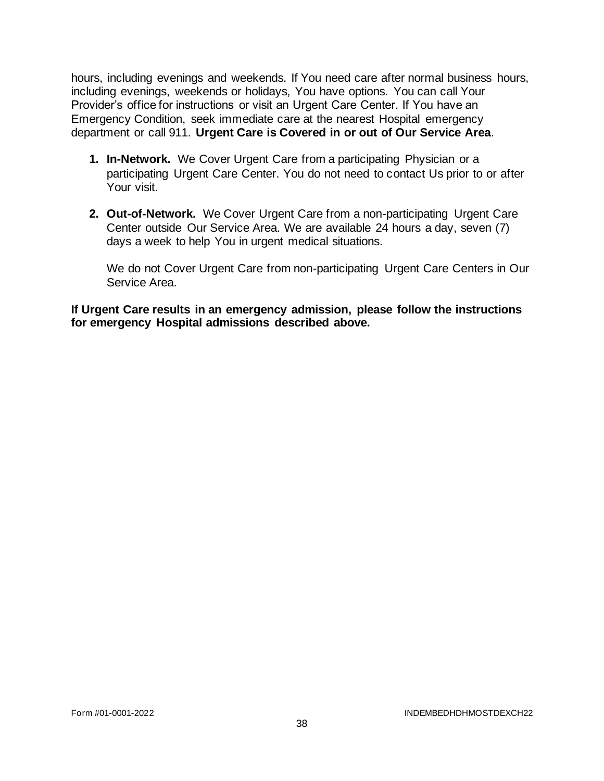hours, including evenings and weekends. If You need care after normal business hours, including evenings, weekends or holidays, You have options. You can call Your Provider's office for instructions or visit an Urgent Care Center. If You have an Emergency Condition, seek immediate care at the nearest Hospital emergency department or call 911. **Urgent Care is Covered in or out of Our Service Area***.* 

- **1. In-Network.** We Cover Urgent Care from a participating Physician or a participating Urgent Care Center. You do not need to contact Us prior to or after Your visit.
- **2. Out-of-Network.** We Cover Urgent Care from a non-participating Urgent Care Center outside Our Service Area. We are available 24 hours a day, seven (7) days a week to help You in urgent medical situations.

We do not Cover Urgent Care from non-participating Urgent Care Centers in Our Service Area.

**If Urgent Care results in an emergency admission, please follow the instructions for emergency Hospital admissions described above.**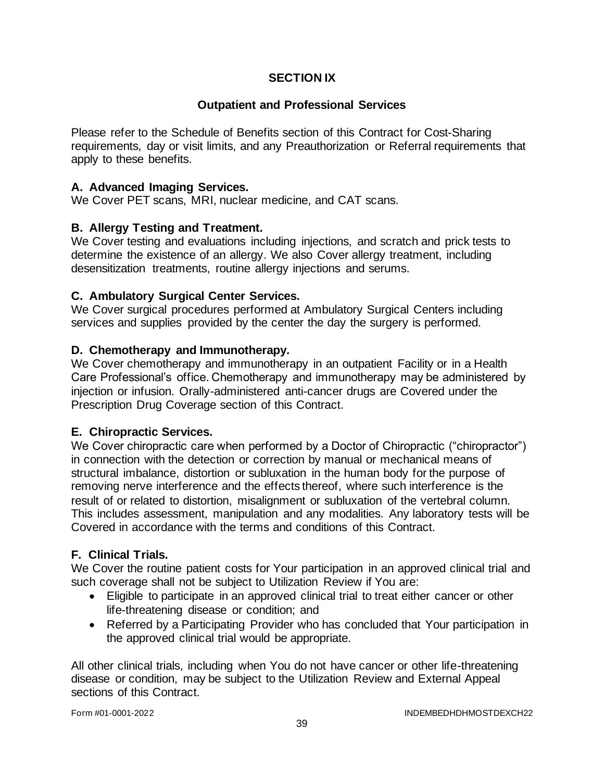# **SECTION IX**

### **Outpatient and Professional Services**

Please refer to the Schedule of Benefits section of this Contract for Cost-Sharing requirements, day or visit limits, and any Preauthorization or Referral requirements that apply to these benefits.

### **A. Advanced Imaging Services.**

We Cover PET scans, MRI, nuclear medicine, and CAT scans.

### **B. Allergy Testing and Treatment.**

We Cover testing and evaluations including injections, and scratch and prick tests to determine the existence of an allergy. We also Cover allergy treatment, including desensitization treatments, routine allergy injections and serums.

# **C. Ambulatory Surgical Center Services.**

We Cover surgical procedures performed at Ambulatory Surgical Centers including services and supplies provided by the center the day the surgery is performed.

### **D. Chemotherapy and Immunotherapy.**

We Cover chemotherapy and immunotherapy in an outpatient Facility or in a Health Care Professional's office. Chemotherapy and immunotherapy may be administered by injection or infusion. Orally-administered anti-cancer drugs are Covered under the Prescription Drug Coverage section of this Contract.

### **E. Chiropractic Services.**

We Cover chiropractic care when performed by a Doctor of Chiropractic ("chiropractor") in connection with the detection or correction by manual or mechanical means of structural imbalance, distortion or subluxation in the human body for the purpose of removing nerve interference and the effects thereof, where such interference is the result of or related to distortion, misalignment or subluxation of the vertebral column. This includes assessment, manipulation and any modalities. Any laboratory tests will be Covered in accordance with the terms and conditions of this Contract.

### **F. Clinical Trials.**

We Cover the routine patient costs for Your participation in an approved clinical trial and such coverage shall not be subject to Utilization Review if You are:

- Eligible to participate in an approved clinical trial to treat either cancer or other life-threatening disease or condition; and
- Referred by a Participating Provider who has concluded that Your participation in the approved clinical trial would be appropriate.

All other clinical trials, including when You do not have cancer or other life-threatening disease or condition, may be subject to the Utilization Review and External Appeal sections of this Contract.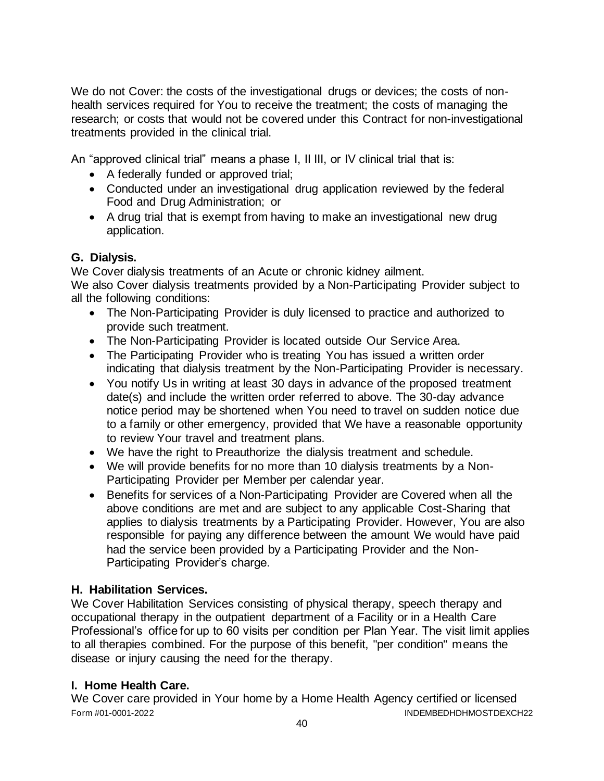We do not Cover: the costs of the investigational drugs or devices; the costs of nonhealth services required for You to receive the treatment; the costs of managing the research; or costs that would not be covered under this Contract for non-investigational treatments provided in the clinical trial.

An "approved clinical trial" means a phase I, II III, or IV clinical trial that is:

- A federally funded or approved trial;
- Conducted under an investigational drug application reviewed by the federal Food and Drug Administration; or
- A drug trial that is exempt from having to make an investigational new drug application.

# **G. Dialysis.**

We Cover dialysis treatments of an Acute or chronic kidney ailment. We also Cover dialysis treatments provided by a Non-Participating Provider subject to all the following conditions:

- The Non-Participating Provider is duly licensed to practice and authorized to provide such treatment.
- The Non-Participating Provider is located outside Our Service Area.
- The Participating Provider who is treating You has issued a written order indicating that dialysis treatment by the Non-Participating Provider is necessary.
- You notify Us in writing at least 30 days in advance of the proposed treatment date(s) and include the written order referred to above. The 30-day advance notice period may be shortened when You need to travel on sudden notice due to a family or other emergency, provided that We have a reasonable opportunity to review Your travel and treatment plans.
- We have the right to Preauthorize the dialysis treatment and schedule.
- We will provide benefits for no more than 10 dialysis treatments by a Non-Participating Provider per Member per calendar year.
- Benefits for services of a Non-Participating Provider are Covered when all the above conditions are met and are subject to any applicable Cost-Sharing that applies to dialysis treatments by a Participating Provider. However, You are also responsible for paying any difference between the amount We would have paid had the service been provided by a Participating Provider and the Non-Participating Provider's charge.

# **H. Habilitation Services.**

We Cover Habilitation Services consisting of physical therapy, speech therapy and occupational therapy in the outpatient department of a Facility or in a Health Care Professional's office for up to 60 visits per condition per Plan Year. The visit limit applies to all therapies combined. For the purpose of this benefit, "per condition" means the disease or injury causing the need for the therapy.

# **I. Home Health Care.**

Form #01-0001-2022 INDEMBEDHDHMOSTDEXCH22 We Cover care provided in Your home by a Home Health Agency certified or licensed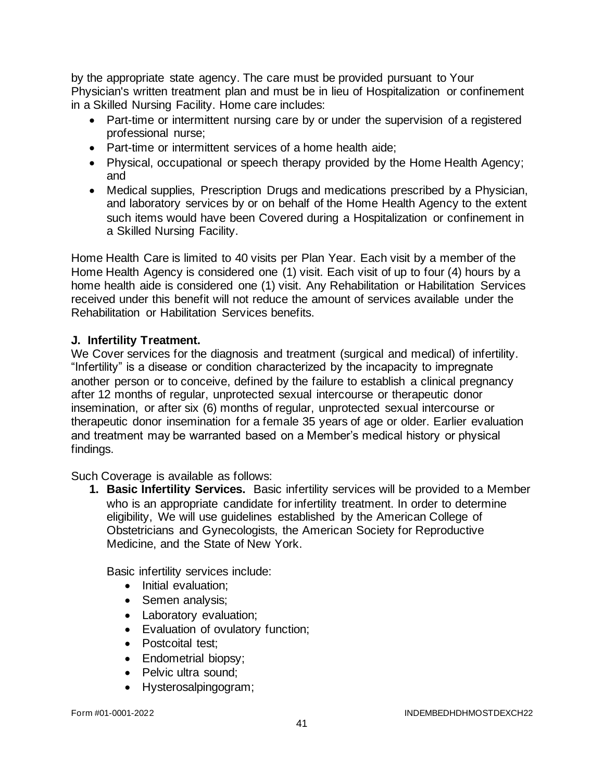by the appropriate state agency. The care must be provided pursuant to Your Physician's written treatment plan and must be in lieu of Hospitalization or confinement in a Skilled Nursing Facility. Home care includes:

- Part-time or intermittent nursing care by or under the supervision of a registered professional nurse;
- Part-time or intermittent services of a home health aide;
- Physical, occupational or speech therapy provided by the Home Health Agency; and
- Medical supplies, Prescription Drugs and medications prescribed by a Physician, and laboratory services by or on behalf of the Home Health Agency to the extent such items would have been Covered during a Hospitalization or confinement in a Skilled Nursing Facility.

Home Health Care is limited to 40 visits per Plan Year. Each visit by a member of the Home Health Agency is considered one (1) visit. Each visit of up to four (4) hours by a home health aide is considered one (1) visit. Any Rehabilitation or Habilitation Services received under this benefit will not reduce the amount of services available under the Rehabilitation or Habilitation Services benefits.

### **J. Infertility Treatment.**

We Cover services for the diagnosis and treatment (surgical and medical) of infertility. "Infertility" is a disease or condition characterized by the incapacity to impregnate another person or to conceive, defined by the failure to establish a clinical pregnancy after 12 months of regular, unprotected sexual intercourse or therapeutic donor insemination, or after six (6) months of regular, unprotected sexual intercourse or therapeutic donor insemination for a female 35 years of age or older. Earlier evaluation and treatment may be warranted based on a Member's medical history or physical findings.

Such Coverage is available as follows:

**1. Basic Infertility Services.** Basic infertility services will be provided to a Member who is an appropriate candidate for infertility treatment. In order to determine eligibility, We will use guidelines established by the American College of Obstetricians and Gynecologists, the American Society for Reproductive Medicine, and the State of New York.

Basic infertility services include:

- Initial evaluation;
- Semen analysis;
- Laboratory evaluation;
- Evaluation of ovulatory function;
- Postcoital test:
- Endometrial biopsy:
- Pelvic ultra sound;
- Hysterosalpingogram;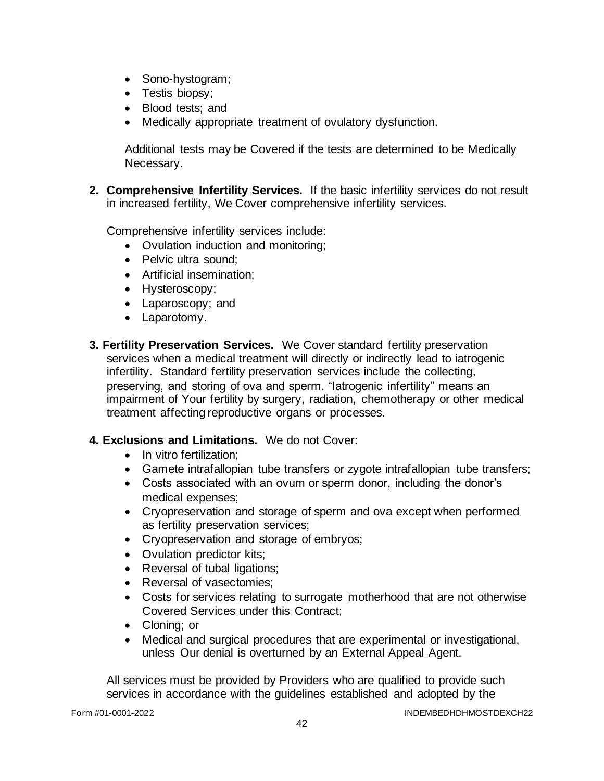- Sono-hystogram;
- Testis biopsy;
- Blood tests; and
- Medically appropriate treatment of ovulatory dysfunction.

Additional tests may be Covered if the tests are determined to be Medically Necessary.

**2. Comprehensive Infertility Services.** If the basic infertility services do not result in increased fertility, We Cover comprehensive infertility services.

Comprehensive infertility services include:

- Ovulation induction and monitoring;
- Pelvic ultra sound;
- Artificial insemination;
- Hysteroscopy;
- Laparoscopy; and
- Laparotomy.
- **3. Fertility Preservation Services.** We Cover standard fertility preservation services when a medical treatment will directly or indirectly lead to iatrogenic infertility. Standard fertility preservation services include the collecting, preserving, and storing of ova and sperm. "Iatrogenic infertility" means an impairment of Your fertility by surgery, radiation, chemotherapy or other medical treatment affecting reproductive organs or processes.

### **4. Exclusions and Limitations.** We do not Cover:

- In vitro fertilization:
- Gamete intrafallopian tube transfers or zygote intrafallopian tube transfers;
- Costs associated with an ovum or sperm donor, including the donor's medical expenses;
- Cryopreservation and storage of sperm and ova except when performed as fertility preservation services;
- Cryopreservation and storage of embryos;
- Ovulation predictor kits;
- Reversal of tubal ligations;
- Reversal of vasectomies;
- Costs for services relating to surrogate motherhood that are not otherwise Covered Services under this Contract;
- Cloning; or
- Medical and surgical procedures that are experimental or investigational, unless Our denial is overturned by an External Appeal Agent.

All services must be provided by Providers who are qualified to provide such services in accordance with the guidelines established and adopted by the

Form #01-0001-2022 INDEMBEDHDHMOSTDEXCH22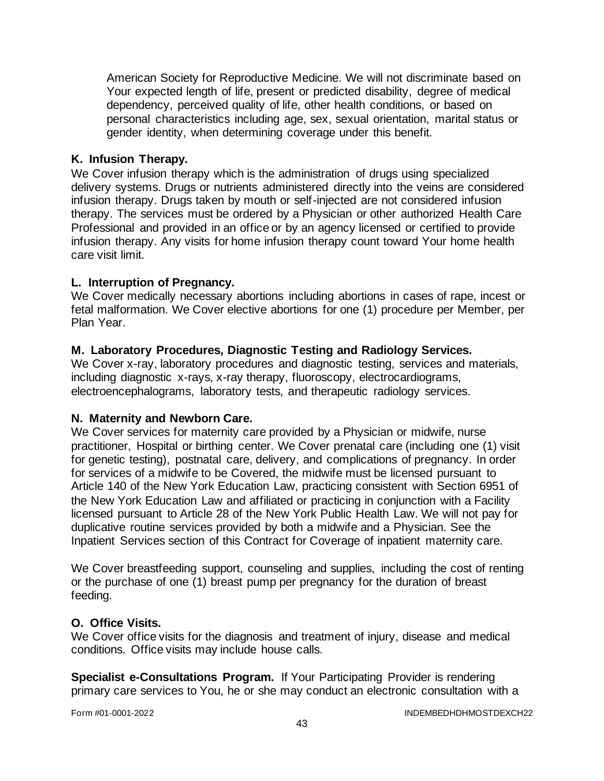American Society for Reproductive Medicine. We will not discriminate based on Your expected length of life, present or predicted disability, degree of medical dependency, perceived quality of life, other health conditions, or based on personal characteristics including age, sex, sexual orientation, marital status or gender identity, when determining coverage under this benefit.

### **K. Infusion Therapy.**

We Cover infusion therapy which is the administration of drugs using specialized delivery systems. Drugs or nutrients administered directly into the veins are considered infusion therapy. Drugs taken by mouth or self-injected are not considered infusion therapy. The services must be ordered by a Physician or other authorized Health Care Professional and provided in an office or by an agency licensed or certified to provide infusion therapy. Any visits for home infusion therapy count toward Your home health care visit limit.

### **L. Interruption of Pregnancy.**

We Cover medically necessary abortions including abortions in cases of rape, incest or fetal malformation. We Cover elective abortions for one (1) procedure per Member, per Plan Year.

# **M. Laboratory Procedures, Diagnostic Testing and Radiology Services.**

We Cover x-ray, laboratory procedures and diagnostic testing, services and materials, including diagnostic x-rays, x-ray therapy, fluoroscopy, electrocardiograms, electroencephalograms, laboratory tests, and therapeutic radiology services.

### **N. Maternity and Newborn Care.**

We Cover services for maternity care provided by a Physician or midwife, nurse practitioner, Hospital or birthing center. We Cover prenatal care (including one (1) visit for genetic testing), postnatal care, delivery, and complications of pregnancy. In order for services of a midwife to be Covered, the midwife must be licensed pursuant to Article 140 of the New York Education Law, practicing consistent with Section 6951 of the New York Education Law and affiliated or practicing in conjunction with a Facility licensed pursuant to Article 28 of the New York Public Health Law. We will not pay for duplicative routine services provided by both a midwife and a Physician. See the Inpatient Services section of this Contract for Coverage of inpatient maternity care.

We Cover breastfeeding support, counseling and supplies, including the cost of renting or the purchase of one (1) breast pump per pregnancy for the duration of breast feeding.

### **O. Office Visits.**

We Cover office visits for the diagnosis and treatment of injury, disease and medical conditions. Office visits may include house calls.

**Specialist e-Consultations Program.** If Your Participating Provider is rendering primary care services to You, he or she may conduct an electronic consultation with a

Form #01-0001-2022 **INDEMBEDHDHMOSTDEXCH22**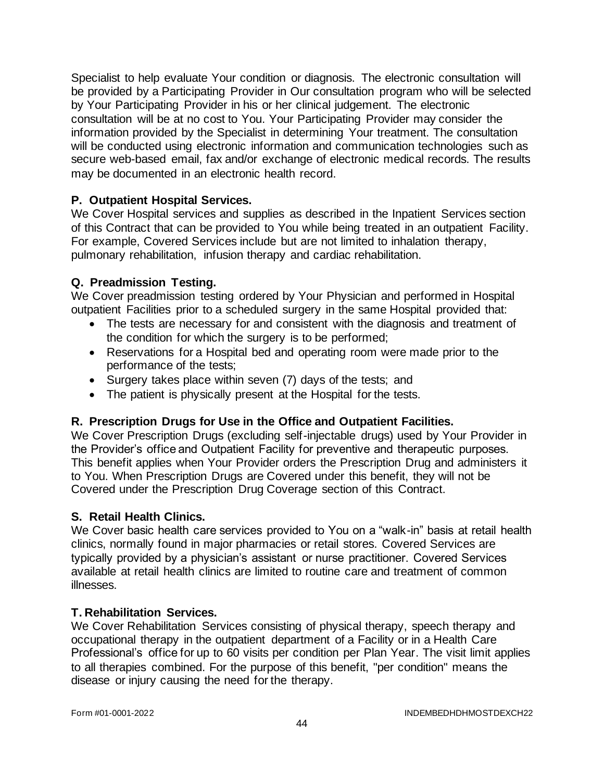Specialist to help evaluate Your condition or diagnosis. The electronic consultation will be provided by a Participating Provider in Our consultation program who will be selected by Your Participating Provider in his or her clinical judgement. The electronic consultation will be at no cost to You. Your Participating Provider may consider the information provided by the Specialist in determining Your treatment. The consultation will be conducted using electronic information and communication technologies such as secure web-based email, fax and/or exchange of electronic medical records. The results may be documented in an electronic health record.

# **P. Outpatient Hospital Services.**

We Cover Hospital services and supplies as described in the Inpatient Services section of this Contract that can be provided to You while being treated in an outpatient Facility. For example, Covered Services include but are not limited to inhalation therapy, pulmonary rehabilitation, infusion therapy and cardiac rehabilitation.

# **Q. Preadmission Testing.**

We Cover preadmission testing ordered by Your Physician and performed in Hospital outpatient Facilities prior to a scheduled surgery in the same Hospital provided that:

- The tests are necessary for and consistent with the diagnosis and treatment of the condition for which the surgery is to be performed;
- Reservations for a Hospital bed and operating room were made prior to the performance of the tests;
- Surgery takes place within seven (7) days of the tests; and
- The patient is physically present at the Hospital for the tests.

# **R. Prescription Drugs for Use in the Office and Outpatient Facilities.**

We Cover Prescription Drugs (excluding self-injectable drugs) used by Your Provider in the Provider's office and Outpatient Facility for preventive and therapeutic purposes. This benefit applies when Your Provider orders the Prescription Drug and administers it to You. When Prescription Drugs are Covered under this benefit, they will not be Covered under the Prescription Drug Coverage section of this Contract.

### **S. Retail Health Clinics.**

We Cover basic health care services provided to You on a "walk-in" basis at retail health clinics, normally found in major pharmacies or retail stores. Covered Services are typically provided by a physician's assistant or nurse practitioner. Covered Services available at retail health clinics are limited to routine care and treatment of common illnesses.

### **T. Rehabilitation Services.**

We Cover Rehabilitation Services consisting of physical therapy, speech therapy and occupational therapy in the outpatient department of a Facility or in a Health Care Professional's office for up to 60 visits per condition per Plan Year. The visit limit applies to all therapies combined. For the purpose of this benefit, "per condition" means the disease or injury causing the need for the therapy.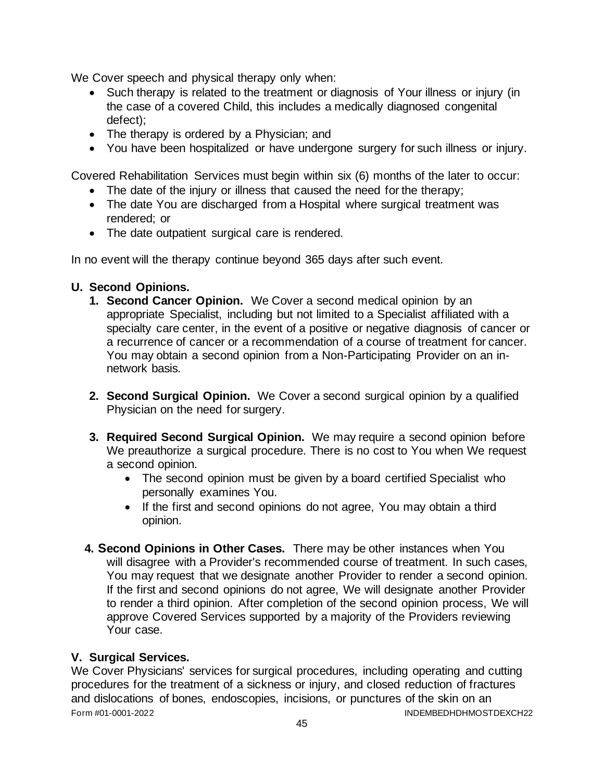We Cover speech and physical therapy only when:

- Such therapy is related to the treatment or diagnosis of Your illness or injury (in the case of a covered Child, this includes a medically diagnosed congenital defect);
- The therapy is ordered by a Physician; and
- You have been hospitalized or have undergone surgery for such illness or injury.

Covered Rehabilitation Services must begin within six (6) months of the later to occur:

- The date of the injury or illness that caused the need for the therapy;
- The date You are discharged from a Hospital where surgical treatment was rendered; or
- The date outpatient surgical care is rendered.

In no event will the therapy continue beyond 365 days after such event.

# **U. Second Opinions.**

- **1. Second Cancer Opinion.** We Cover a second medical opinion by an appropriate Specialist, including but not limited to a Specialist affiliated with a specialty care center, in the event of a positive or negative diagnosis of cancer or a recurrence of cancer or a recommendation of a course of treatment for cancer. You may obtain a second opinion from a Non-Participating Provider on an innetwork basis.
- **2. Second Surgical Opinion.** We Cover a second surgical opinion by a qualified Physician on the need for surgery.
- **3. Required Second Surgical Opinion.** We may require a second opinion before We preauthorize a surgical procedure. There is no cost to You when We request a second opinion.
	- The second opinion must be given by a board certified Specialist who personally examines You.
	- If the first and second opinions do not agree, You may obtain a third opinion.
- **4. Second Opinions in Other Cases.** There may be other instances when You will disagree with a Provider's recommended course of treatment. In such cases, You may request that we designate another Provider to render a second opinion. If the first and second opinions do not agree, We will designate another Provider to render a third opinion. After completion of the second opinion process, We will approve Covered Services supported by a majority of the Providers reviewing Your case.

# **V. Surgical Services.**

Form #01-0001-2022 INDEMBEDHDHMOSTDEXCH22 We Cover Physicians' services for surgical procedures, including operating and cutting procedures for the treatment of a sickness or injury, and closed reduction of fractures and dislocations of bones, endoscopies, incisions, or punctures of the skin on an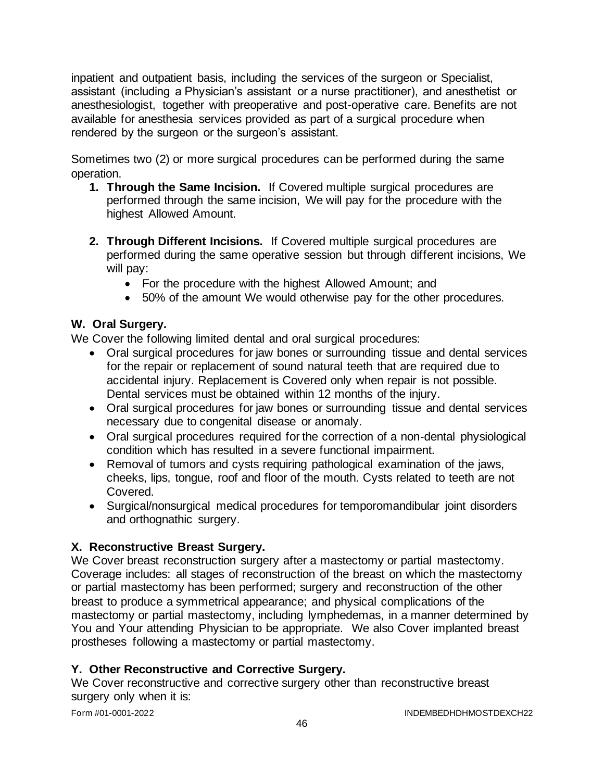inpatient and outpatient basis, including the services of the surgeon or Specialist, assistant (including a Physician's assistant or a nurse practitioner), and anesthetist or anesthesiologist, together with preoperative and post-operative care. Benefits are not available for anesthesia services provided as part of a surgical procedure when rendered by the surgeon or the surgeon's assistant.

Sometimes two (2) or more surgical procedures can be performed during the same operation.

- **1. Through the Same Incision.** If Covered multiple surgical procedures are performed through the same incision, We will pay for the procedure with the highest Allowed Amount.
- **2. Through Different Incisions.** If Covered multiple surgical procedures are performed during the same operative session but through different incisions, We will pay:
	- For the procedure with the highest Allowed Amount; and
	- 50% of the amount We would otherwise pay for the other procedures.

# **W. Oral Surgery.**

We Cover the following limited dental and oral surgical procedures:

- Oral surgical procedures for jaw bones or surrounding tissue and dental services for the repair or replacement of sound natural teeth that are required due to accidental injury. Replacement is Covered only when repair is not possible. Dental services must be obtained within 12 months of the injury.
- Oral surgical procedures for jaw bones or surrounding tissue and dental services necessary due to congenital disease or anomaly.
- Oral surgical procedures required for the correction of a non-dental physiological condition which has resulted in a severe functional impairment.
- Removal of tumors and cysts requiring pathological examination of the jaws, cheeks, lips, tongue, roof and floor of the mouth. Cysts related to teeth are not Covered.
- Surgical/nonsurgical medical procedures for temporomandibular joint disorders and orthognathic surgery.

# **X. Reconstructive Breast Surgery.**

We Cover breast reconstruction surgery after a mastectomy or partial mastectomy. Coverage includes: all stages of reconstruction of the breast on which the mastectomy or partial mastectomy has been performed; surgery and reconstruction of the other breast to produce a symmetrical appearance; and physical complications of the mastectomy or partial mastectomy, including lymphedemas, in a manner determined by You and Your attending Physician to be appropriate. We also Cover implanted breast prostheses following a mastectomy or partial mastectomy.

# **Y. Other Reconstructive and Corrective Surgery.**

We Cover reconstructive and corrective surgery other than reconstructive breast surgery only when it is: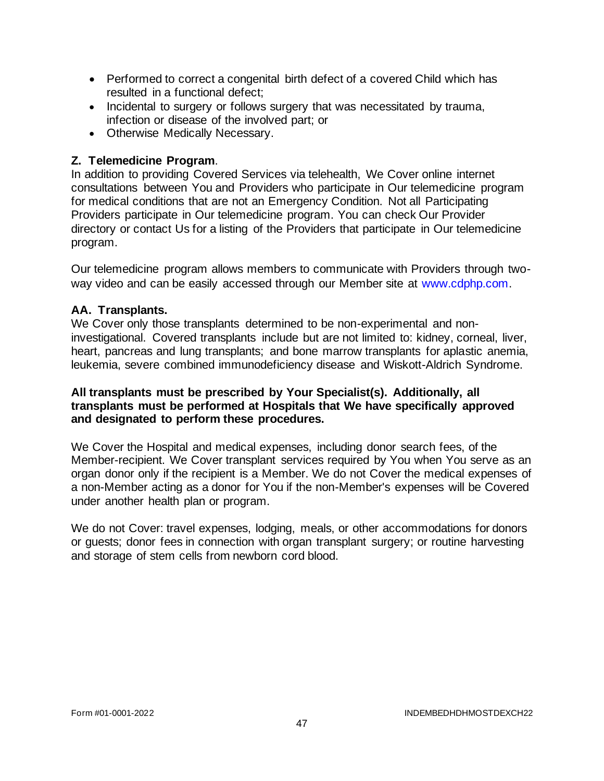- Performed to correct a congenital birth defect of a covered Child which has resulted in a functional defect;
- Incidental to surgery or follows surgery that was necessitated by trauma, infection or disease of the involved part; or
- Otherwise Medically Necessary.

# **Z. Telemedicine Program**.

In addition to providing Covered Services via telehealth, We Cover online internet consultations between You and Providers who participate in Our telemedicine program for medical conditions that are not an Emergency Condition. Not all Participating Providers participate in Our telemedicine program. You can check Our Provider directory or contact Us for a listing of the Providers that participate in Our telemedicine program.

Our telemedicine program allows members to communicate with Providers through twoway video and can be easily accessed through our Member site at [www.cdphp.com.](http://www.cdphp.com/)

# **AA. Transplants.**

We Cover only those transplants determined to be non-experimental and noninvestigational. Covered transplants include but are not limited to: kidney, corneal, liver, heart, pancreas and lung transplants; and bone marrow transplants for aplastic anemia, leukemia, severe combined immunodeficiency disease and Wiskott-Aldrich Syndrome.

#### **All transplants must be prescribed by Your Specialist(s). Additionally, all transplants must be performed at Hospitals that We have specifically approved and designated to perform these procedures.**

We Cover the Hospital and medical expenses, including donor search fees, of the Member-recipient. We Cover transplant services required by You when You serve as an organ donor only if the recipient is a Member. We do not Cover the medical expenses of a non-Member acting as a donor for You if the non-Member's expenses will be Covered under another health plan or program.

We do not Cover: travel expenses, lodging, meals, or other accommodations for donors or guests; donor fees in connection with organ transplant surgery; or routine harvesting and storage of stem cells from newborn cord blood.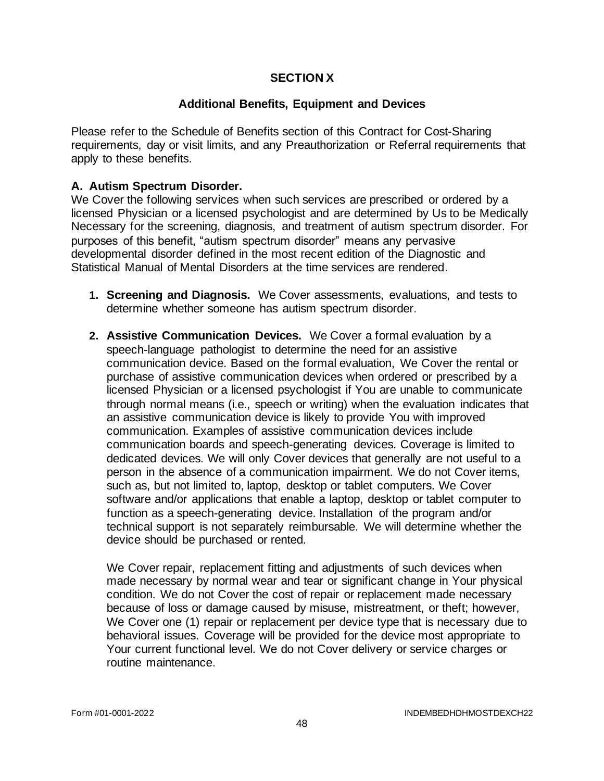### **SECTION X**

### **Additional Benefits, Equipment and Devices**

Please refer to the Schedule of Benefits section of this Contract for Cost-Sharing requirements, day or visit limits, and any Preauthorization or Referral requirements that apply to these benefits.

### **A. Autism Spectrum Disorder.**

We Cover the following services when such services are prescribed or ordered by a licensed Physician or a licensed psychologist and are determined by Us to be Medically Necessary for the screening, diagnosis, and treatment of autism spectrum disorder. For purposes of this benefit, "autism spectrum disorder" means any pervasive developmental disorder defined in the most recent edition of the Diagnostic and Statistical Manual of Mental Disorders at the time services are rendered.

- **1. Screening and Diagnosis.** We Cover assessments, evaluations, and tests to determine whether someone has autism spectrum disorder.
- **2. Assistive Communication Devices.** We Cover a formal evaluation by a speech-language pathologist to determine the need for an assistive communication device. Based on the formal evaluation, We Cover the rental or purchase of assistive communication devices when ordered or prescribed by a licensed Physician or a licensed psychologist if You are unable to communicate through normal means (i.e., speech or writing) when the evaluation indicates that an assistive communication device is likely to provide You with improved communication. Examples of assistive communication devices include communication boards and speech-generating devices. Coverage is limited to dedicated devices. We will only Cover devices that generally are not useful to a person in the absence of a communication impairment. We do not Cover items, such as, but not limited to, laptop, desktop or tablet computers. We Cover software and/or applications that enable a laptop, desktop or tablet computer to function as a speech-generating device. Installation of the program and/or technical support is not separately reimbursable. We will determine whether the device should be purchased or rented.

We Cover repair, replacement fitting and adjustments of such devices when made necessary by normal wear and tear or significant change in Your physical condition. We do not Cover the cost of repair or replacement made necessary because of loss or damage caused by misuse, mistreatment, or theft; however, We Cover one (1) repair or replacement per device type that is necessary due to behavioral issues. Coverage will be provided for the device most appropriate to Your current functional level. We do not Cover delivery or service charges or routine maintenance.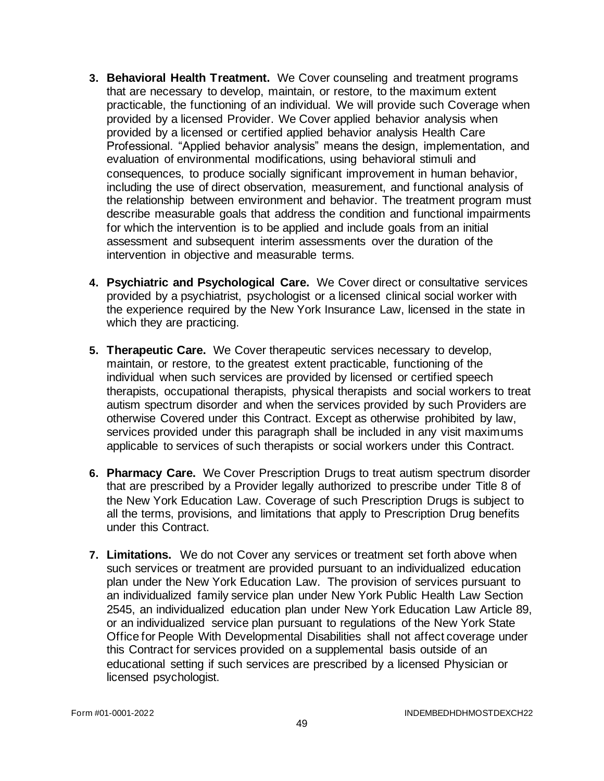- **3. Behavioral Health Treatment.** We Cover counseling and treatment programs that are necessary to develop, maintain, or restore, to the maximum extent practicable, the functioning of an individual. We will provide such Coverage when provided by a licensed Provider. We Cover applied behavior analysis when provided by a licensed or certified applied behavior analysis Health Care Professional. "Applied behavior analysis" means the design, implementation, and evaluation of environmental modifications, using behavioral stimuli and consequences, to produce socially significant improvement in human behavior, including the use of direct observation, measurement, and functional analysis of the relationship between environment and behavior. The treatment program must describe measurable goals that address the condition and functional impairments for which the intervention is to be applied and include goals from an initial assessment and subsequent interim assessments over the duration of the intervention in objective and measurable terms.
- **4. Psychiatric and Psychological Care.** We Cover direct or consultative services provided by a psychiatrist, psychologist or a licensed clinical social worker with the experience required by the New York Insurance Law, licensed in the state in which they are practicing.
- **5. Therapeutic Care.** We Cover therapeutic services necessary to develop, maintain, or restore, to the greatest extent practicable, functioning of the individual when such services are provided by licensed or certified speech therapists, occupational therapists, physical therapists and social workers to treat autism spectrum disorder and when the services provided by such Providers are otherwise Covered under this Contract. Except as otherwise prohibited by law, services provided under this paragraph shall be included in any visit maximums applicable to services of such therapists or social workers under this Contract.
- **6. Pharmacy Care.** We Cover Prescription Drugs to treat autism spectrum disorder that are prescribed by a Provider legally authorized to prescribe under Title 8 of the New York Education Law. Coverage of such Prescription Drugs is subject to all the terms, provisions, and limitations that apply to Prescription Drug benefits under this Contract.
- **7. Limitations.** We do not Cover any services or treatment set forth above when such services or treatment are provided pursuant to an individualized education plan under the New York Education Law. The provision of services pursuant to an individualized family service plan under New York Public Health Law Section 2545, an individualized education plan under New York Education Law Article 89, or an individualized service plan pursuant to regulations of the New York State Office for People With Developmental Disabilities shall not affect coverage under this Contract for services provided on a supplemental basis outside of an educational setting if such services are prescribed by a licensed Physician or licensed psychologist.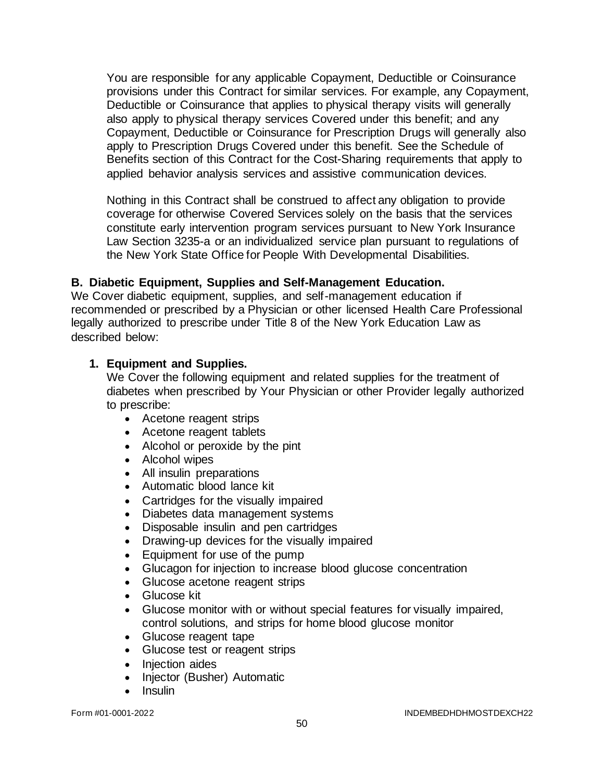You are responsible for any applicable Copayment, Deductible or Coinsurance provisions under this Contract for similar services. For example, any Copayment, Deductible or Coinsurance that applies to physical therapy visits will generally also apply to physical therapy services Covered under this benefit; and any Copayment, Deductible or Coinsurance for Prescription Drugs will generally also apply to Prescription Drugs Covered under this benefit. See the Schedule of Benefits section of this Contract for the Cost-Sharing requirements that apply to applied behavior analysis services and assistive communication devices.

Nothing in this Contract shall be construed to affect any obligation to provide coverage for otherwise Covered Services solely on the basis that the services constitute early intervention program services pursuant to New York Insurance Law Section 3235-a or an individualized service plan pursuant to regulations of the New York State Office for People With Developmental Disabilities.

### **B. Diabetic Equipment, Supplies and Self-Management Education.**

We Cover diabetic equipment, supplies, and self-management education if recommended or prescribed by a Physician or other licensed Health Care Professional legally authorized to prescribe under Title 8 of the New York Education Law as described below:

#### **1. Equipment and Supplies.**

We Cover the following equipment and related supplies for the treatment of diabetes when prescribed by Your Physician or other Provider legally authorized to prescribe:

- Acetone reagent strips
- Acetone reagent tablets
- Alcohol or peroxide by the pint
- Alcohol wipes
- All insulin preparations
- Automatic blood lance kit
- Cartridges for the visually impaired
- Diabetes data management systems
- Disposable insulin and pen cartridges
- Drawing-up devices for the visually impaired
- Equipment for use of the pump
- Glucagon for injection to increase blood glucose concentration
- Glucose acetone reagent strips
- Glucose kit
- Glucose monitor with or without special features for visually impaired, control solutions, and strips for home blood glucose monitor
- Glucose reagent tape
- Glucose test or reagent strips
- Injection aides
- Injector (Busher) Automatic
- Insulin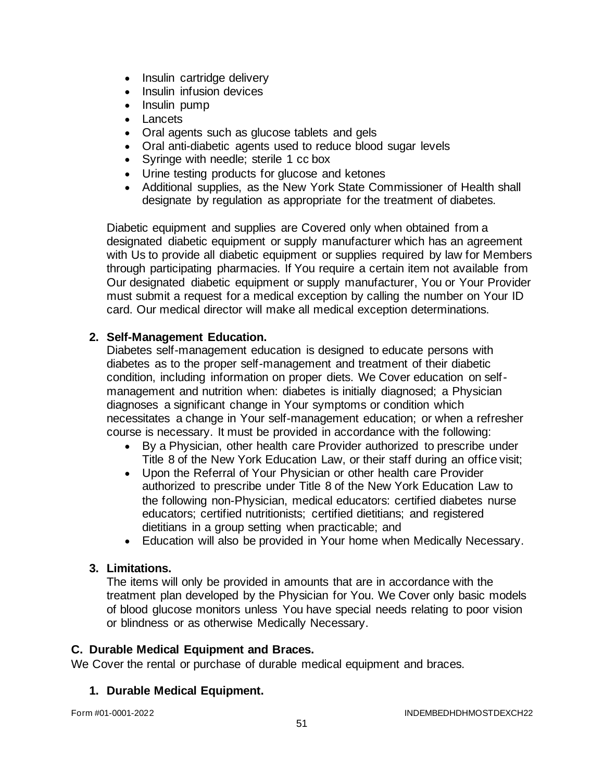- Insulin cartridge delivery
- Insulin infusion devices
- Insulin pump
- Lancets
- Oral agents such as glucose tablets and gels
- Oral anti-diabetic agents used to reduce blood sugar levels
- Syringe with needle; sterile 1 cc box
- Urine testing products for glucose and ketones
- Additional supplies, as the New York State Commissioner of Health shall designate by regulation as appropriate for the treatment of diabetes.

Diabetic equipment and supplies are Covered only when obtained from a designated diabetic equipment or supply manufacturer which has an agreement with Us to provide all diabetic equipment or supplies required by law for Members through participating pharmacies. If You require a certain item not available from Our designated diabetic equipment or supply manufacturer, You or Your Provider must submit a request for a medical exception by calling the number on Your ID card. Our medical director will make all medical exception determinations.

# **2. Self-Management Education.**

Diabetes self-management education is designed to educate persons with diabetes as to the proper self-management and treatment of their diabetic condition, including information on proper diets. We Cover education on selfmanagement and nutrition when: diabetes is initially diagnosed; a Physician diagnoses a significant change in Your symptoms or condition which necessitates a change in Your self-management education; or when a refresher course is necessary. It must be provided in accordance with the following:

- By a Physician, other health care Provider authorized to prescribe under Title 8 of the New York Education Law, or their staff during an office visit;
- Upon the Referral of Your Physician or other health care Provider authorized to prescribe under Title 8 of the New York Education Law to the following non-Physician, medical educators: certified diabetes nurse educators; certified nutritionists; certified dietitians; and registered dietitians in a group setting when practicable; and
- Education will also be provided in Your home when Medically Necessary.

# **3. Limitations.**

The items will only be provided in amounts that are in accordance with the treatment plan developed by the Physician for You. We Cover only basic models of blood glucose monitors unless You have special needs relating to poor vision or blindness or as otherwise Medically Necessary.

### **C. Durable Medical Equipment and Braces.**

We Cover the rental or purchase of durable medical equipment and braces.

# **1. Durable Medical Equipment.**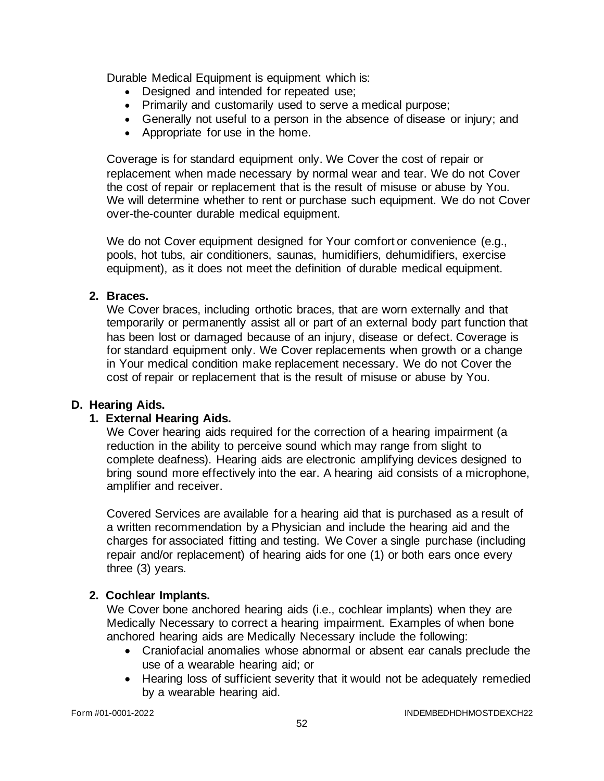Durable Medical Equipment is equipment which is:

- Designed and intended for repeated use;
- Primarily and customarily used to serve a medical purpose;
- Generally not useful to a person in the absence of disease or injury; and
- Appropriate for use in the home.

Coverage is for standard equipment only. We Cover the cost of repair or replacement when made necessary by normal wear and tear. We do not Cover the cost of repair or replacement that is the result of misuse or abuse by You. We will determine whether to rent or purchase such equipment. We do not Cover over-the-counter durable medical equipment.

We do not Cover equipment designed for Your comfort or convenience (e.g., pools, hot tubs, air conditioners, saunas, humidifiers, dehumidifiers, exercise equipment), as it does not meet the definition of durable medical equipment.

### **2. Braces.**

We Cover braces, including orthotic braces, that are worn externally and that temporarily or permanently assist all or part of an external body part function that has been lost or damaged because of an injury, disease or defect. Coverage is for standard equipment only. We Cover replacements when growth or a change in Your medical condition make replacement necessary. We do not Cover the cost of repair or replacement that is the result of misuse or abuse by You.

### **D. Hearing Aids.**

# **1. External Hearing Aids.**

We Cover hearing aids required for the correction of a hearing impairment (a reduction in the ability to perceive sound which may range from slight to complete deafness). Hearing aids are electronic amplifying devices designed to bring sound more effectively into the ear. A hearing aid consists of a microphone, amplifier and receiver.

Covered Services are available for a hearing aid that is purchased as a result of a written recommendation by a Physician and include the hearing aid and the charges for associated fitting and testing. We Cover a single purchase (including repair and/or replacement) of hearing aids for one (1) or both ears once every three (3) years.

# **2. Cochlear Implants.**

We Cover bone anchored hearing aids (i.e., cochlear implants) when they are Medically Necessary to correct a hearing impairment. Examples of when bone anchored hearing aids are Medically Necessary include the following:

- Craniofacial anomalies whose abnormal or absent ear canals preclude the use of a wearable hearing aid; or
- Hearing loss of sufficient severity that it would not be adequately remedied by a wearable hearing aid.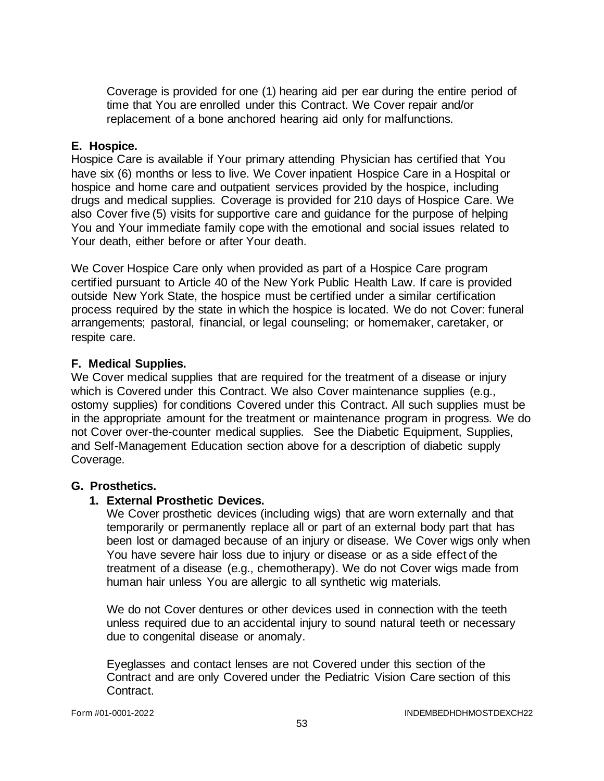Coverage is provided for one (1) hearing aid per ear during the entire period of time that You are enrolled under this Contract. We Cover repair and/or replacement of a bone anchored hearing aid only for malfunctions.

### **E. Hospice.**

Hospice Care is available if Your primary attending Physician has certified that You have six (6) months or less to live. We Cover inpatient Hospice Care in a Hospital or hospice and home care and outpatient services provided by the hospice, including drugs and medical supplies. Coverage is provided for 210 days of Hospice Care. We also Cover five (5) visits for supportive care and guidance for the purpose of helping You and Your immediate family cope with the emotional and social issues related to Your death, either before or after Your death.

We Cover Hospice Care only when provided as part of a Hospice Care program certified pursuant to Article 40 of the New York Public Health Law. If care is provided outside New York State, the hospice must be certified under a similar certification process required by the state in which the hospice is located. We do not Cover: funeral arrangements; pastoral, financial, or legal counseling; or homemaker, caretaker, or respite care.

# **F. Medical Supplies.**

We Cover medical supplies that are required for the treatment of a disease or injury which is Covered under this Contract. We also Cover maintenance supplies (e.g., ostomy supplies) for conditions Covered under this Contract. All such supplies must be in the appropriate amount for the treatment or maintenance program in progress. We do not Cover over-the-counter medical supplies. See the Diabetic Equipment, Supplies, and Self-Management Education section above for a description of diabetic supply Coverage.

### **G. Prosthetics.**

### **1. External Prosthetic Devices.**

We Cover prosthetic devices (including wigs) that are worn externally and that temporarily or permanently replace all or part of an external body part that has been lost or damaged because of an injury or disease. We Cover wigs only when You have severe hair loss due to injury or disease or as a side effect of the treatment of a disease (e.g., chemotherapy). We do not Cover wigs made from human hair unless You are allergic to all synthetic wig materials.

We do not Cover dentures or other devices used in connection with the teeth unless required due to an accidental injury to sound natural teeth or necessary due to congenital disease or anomaly.

Eyeglasses and contact lenses are not Covered under this section of the Contract and are only Covered under the Pediatric Vision Care section of this Contract.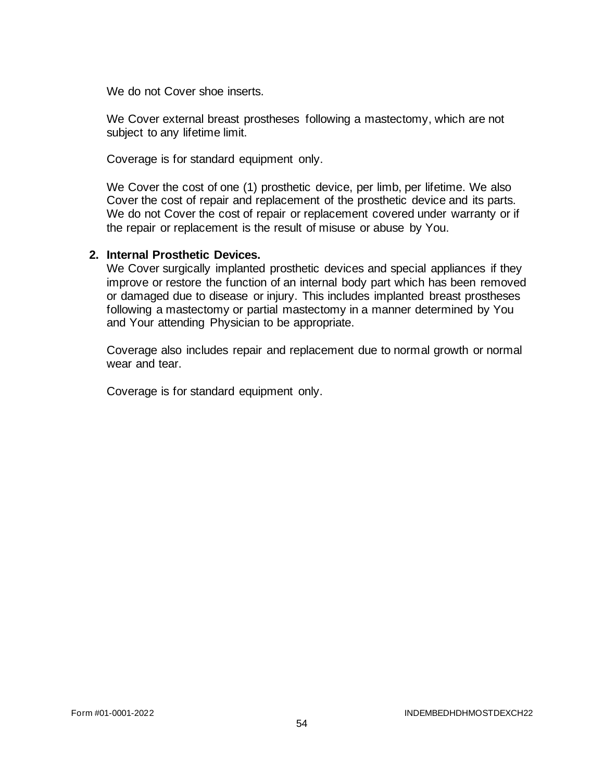We do not Cover shoe inserts.

We Cover external breast prostheses following a mastectomy, which are not subject to any lifetime limit.

Coverage is for standard equipment only.

We Cover the cost of one (1) prosthetic device, per limb, per lifetime. We also Cover the cost of repair and replacement of the prosthetic device and its parts. We do not Cover the cost of repair or replacement covered under warranty or if the repair or replacement is the result of misuse or abuse by You.

#### **2. Internal Prosthetic Devices.**

We Cover surgically implanted prosthetic devices and special appliances if they improve or restore the function of an internal body part which has been removed or damaged due to disease or injury. This includes implanted breast prostheses following a mastectomy or partial mastectomy in a manner determined by You and Your attending Physician to be appropriate.

Coverage also includes repair and replacement due to normal growth or normal wear and tear.

Coverage is for standard equipment only.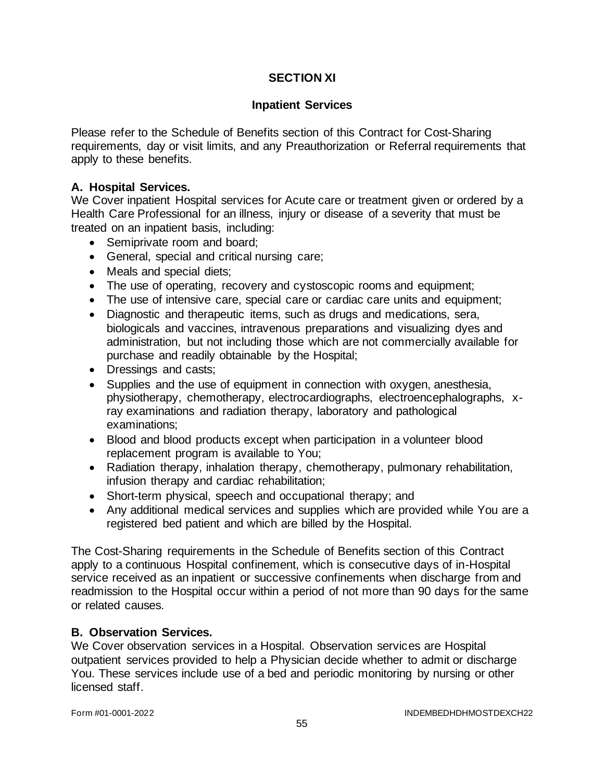# **SECTION XI**

#### **Inpatient Services**

Please refer to the Schedule of Benefits section of this Contract for Cost-Sharing requirements, day or visit limits, and any Preauthorization or Referral requirements that apply to these benefits.

### **A. Hospital Services.**

We Cover inpatient Hospital services for Acute care or treatment given or ordered by a Health Care Professional for an illness, injury or disease of a severity that must be treated on an inpatient basis, including:

- Semiprivate room and board;
- General, special and critical nursing care;
- Meals and special diets;
- The use of operating, recovery and cystoscopic rooms and equipment;
- The use of intensive care, special care or cardiac care units and equipment;
- Diagnostic and therapeutic items, such as drugs and medications, sera, biologicals and vaccines, intravenous preparations and visualizing dyes and administration, but not including those which are not commercially available for purchase and readily obtainable by the Hospital;
- Dressings and casts;
- Supplies and the use of equipment in connection with oxygen, anesthesia, physiotherapy, chemotherapy, electrocardiographs, electroencephalographs, xray examinations and radiation therapy, laboratory and pathological examinations;
- Blood and blood products except when participation in a volunteer blood replacement program is available to You;
- Radiation therapy, inhalation therapy, chemotherapy, pulmonary rehabilitation, infusion therapy and cardiac rehabilitation;
- Short-term physical, speech and occupational therapy; and
- Any additional medical services and supplies which are provided while You are a registered bed patient and which are billed by the Hospital.

The Cost-Sharing requirements in the Schedule of Benefits section of this Contract apply to a continuous Hospital confinement, which is consecutive days of in-Hospital service received as an inpatient or successive confinements when discharge from and readmission to the Hospital occur within a period of not more than 90 days for the same or related causes.

### **B. Observation Services.**

We Cover observation services in a Hospital. Observation services are Hospital outpatient services provided to help a Physician decide whether to admit or discharge You. These services include use of a bed and periodic monitoring by nursing or other licensed staff.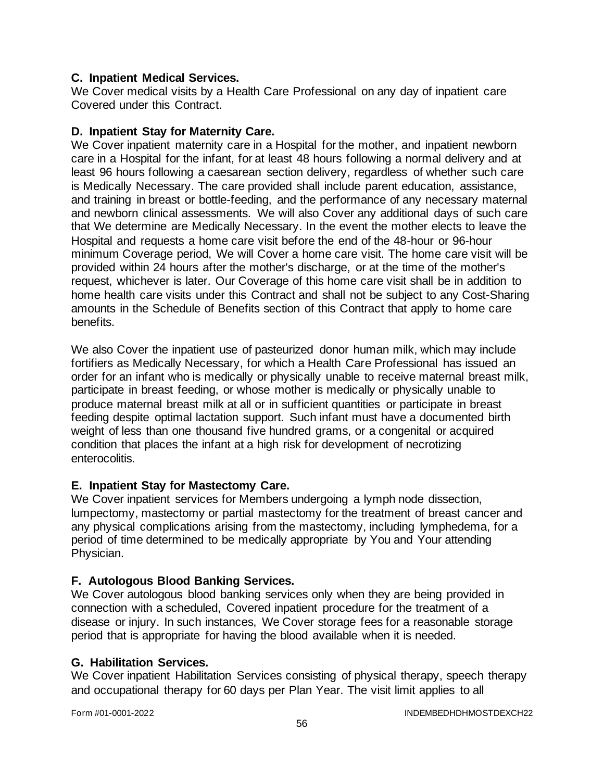### **C. Inpatient Medical Services.**

We Cover medical visits by a Health Care Professional on any day of inpatient care Covered under this Contract.

### **D. Inpatient Stay for Maternity Care.**

We Cover inpatient maternity care in a Hospital for the mother, and inpatient newborn care in a Hospital for the infant, for at least 48 hours following a normal delivery and at least 96 hours following a caesarean section delivery, regardless of whether such care is Medically Necessary. The care provided shall include parent education, assistance, and training in breast or bottle-feeding, and the performance of any necessary maternal and newborn clinical assessments. We will also Cover any additional days of such care that We determine are Medically Necessary. In the event the mother elects to leave the Hospital and requests a home care visit before the end of the 48-hour or 96-hour minimum Coverage period, We will Cover a home care visit. The home care visit will be provided within 24 hours after the mother's discharge, or at the time of the mother's request, whichever is later. Our Coverage of this home care visit shall be in addition to home health care visits under this Contract and shall not be subject to any Cost-Sharing amounts in the Schedule of Benefits section of this Contract that apply to home care benefits.

We also Cover the inpatient use of pasteurized donor human milk, which may include fortifiers as Medically Necessary, for which a Health Care Professional has issued an order for an infant who is medically or physically unable to receive maternal breast milk, participate in breast feeding, or whose mother is medically or physically unable to produce maternal breast milk at all or in sufficient quantities or participate in breast feeding despite optimal lactation support. Such infant must have a documented birth weight of less than one thousand five hundred grams, or a congenital or acquired condition that places the infant at a high risk for development of necrotizing enterocolitis.

### **E. Inpatient Stay for Mastectomy Care.**

We Cover inpatient services for Members undergoing a lymph node dissection, lumpectomy, mastectomy or partial mastectomy for the treatment of breast cancer and any physical complications arising from the mastectomy, including lymphedema, for a period of time determined to be medically appropriate by You and Your attending Physician.

### **F. Autologous Blood Banking Services.**

We Cover autologous blood banking services only when they are being provided in connection with a scheduled, Covered inpatient procedure for the treatment of a disease or injury. In such instances, We Cover storage fees for a reasonable storage period that is appropriate for having the blood available when it is needed.

#### **G. Habilitation Services.**

We Cover inpatient Habilitation Services consisting of physical therapy, speech therapy and occupational therapy for 60 days per Plan Year. The visit limit applies to all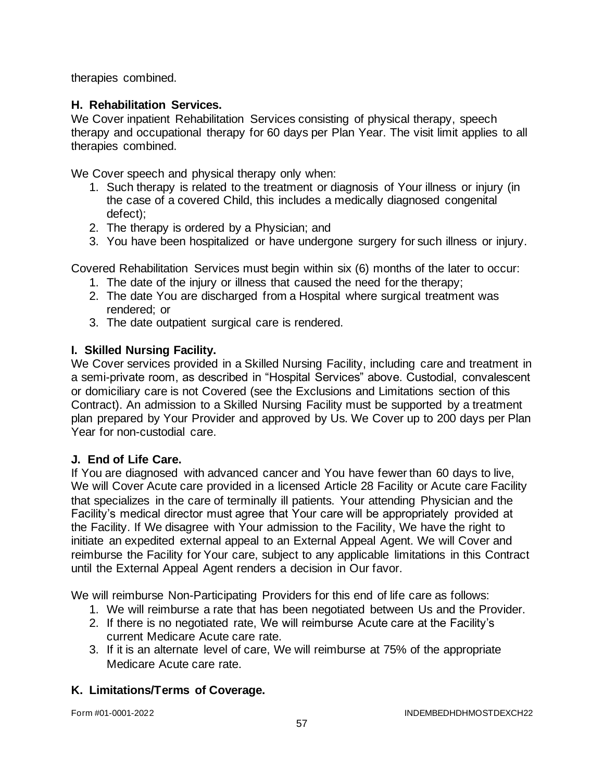therapies combined.

# **H. Rehabilitation Services.**

We Cover inpatient Rehabilitation Services consisting of physical therapy, speech therapy and occupational therapy for 60 days per Plan Year. The visit limit applies to all therapies combined.

We Cover speech and physical therapy only when:

- 1. Such therapy is related to the treatment or diagnosis of Your illness or injury (in the case of a covered Child, this includes a medically diagnosed congenital defect);
- 2. The therapy is ordered by a Physician; and
- 3. You have been hospitalized or have undergone surgery for such illness or injury.

Covered Rehabilitation Services must begin within six (6) months of the later to occur:

- 1. The date of the injury or illness that caused the need for the therapy;
- 2. The date You are discharged from a Hospital where surgical treatment was rendered; or
- 3. The date outpatient surgical care is rendered.

# **I. Skilled Nursing Facility.**

We Cover services provided in a Skilled Nursing Facility, including care and treatment in a semi-private room, as described in "Hospital Services" above. Custodial, convalescent or domiciliary care is not Covered (see the Exclusions and Limitations section of this Contract). An admission to a Skilled Nursing Facility must be supported by a treatment plan prepared by Your Provider and approved by Us. We Cover up to 200 days per Plan Year for non-custodial care.

### **J. End of Life Care.**

If You are diagnosed with advanced cancer and You have fewer than 60 days to live, We will Cover Acute care provided in a licensed Article 28 Facility or Acute care Facility that specializes in the care of terminally ill patients. Your attending Physician and the Facility's medical director must agree that Your care will be appropriately provided at the Facility. If We disagree with Your admission to the Facility, We have the right to initiate an expedited external appeal to an External Appeal Agent. We will Cover and reimburse the Facility for Your care, subject to any applicable limitations in this Contract until the External Appeal Agent renders a decision in Our favor.

We will reimburse Non-Participating Providers for this end of life care as follows:

- 1. We will reimburse a rate that has been negotiated between Us and the Provider.
- 2. If there is no negotiated rate, We will reimburse Acute care at the Facility's current Medicare Acute care rate.
- 3. If it is an alternate level of care, We will reimburse at 75% of the appropriate Medicare Acute care rate.

# **K. Limitations/Terms of Coverage.**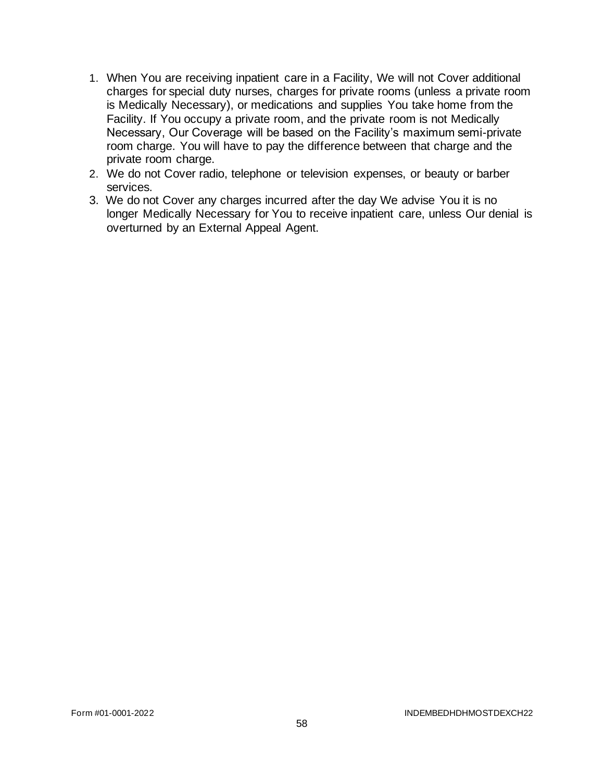- 1. When You are receiving inpatient care in a Facility, We will not Cover additional charges for special duty nurses, charges for private rooms (unless a private room is Medically Necessary), or medications and supplies You take home from the Facility. If You occupy a private room, and the private room is not Medically Necessary, Our Coverage will be based on the Facility's maximum semi-private room charge. You will have to pay the difference between that charge and the private room charge.
- 2. We do not Cover radio, telephone or television expenses, or beauty or barber services.
- 3. We do not Cover any charges incurred after the day We advise You it is no longer Medically Necessary for You to receive inpatient care, unless Our denial is overturned by an External Appeal Agent.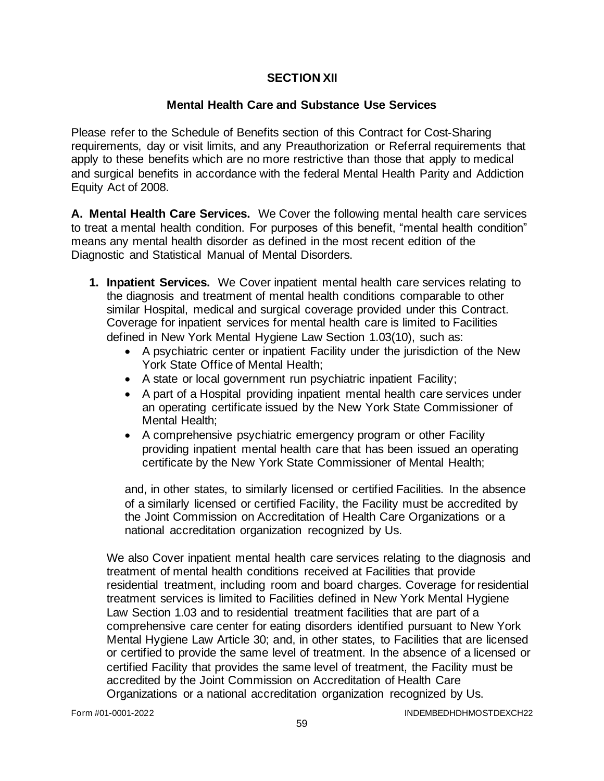# **SECTION XII**

# **Mental Health Care and Substance Use Services**

Please refer to the Schedule of Benefits section of this Contract for Cost-Sharing requirements, day or visit limits, and any Preauthorization or Referral requirements that apply to these benefits which are no more restrictive than those that apply to medical and surgical benefits in accordance with the federal Mental Health Parity and Addiction Equity Act of 2008.

**A. Mental Health Care Services.** We Cover the following mental health care services to treat a mental health condition. For purposes of this benefit, "mental health condition" means any mental health disorder as defined in the most recent edition of the Diagnostic and Statistical Manual of Mental Disorders.

- **1. Inpatient Services.** We Cover inpatient mental health care services relating to the diagnosis and treatment of mental health conditions comparable to other similar Hospital, medical and surgical coverage provided under this Contract. Coverage for inpatient services for mental health care is limited to Facilities defined in New York Mental Hygiene Law Section 1.03(10), such as:
	- A psychiatric center or inpatient Facility under the jurisdiction of the New York State Office of Mental Health;
	- A state or local government run psychiatric inpatient Facility;
	- A part of a Hospital providing inpatient mental health care services under an operating certificate issued by the New York State Commissioner of Mental Health;
	- A comprehensive psychiatric emergency program or other Facility providing inpatient mental health care that has been issued an operating certificate by the New York State Commissioner of Mental Health;

and, in other states, to similarly licensed or certified Facilities. In the absence of a similarly licensed or certified Facility, the Facility must be accredited by the Joint Commission on Accreditation of Health Care Organizations or a national accreditation organization recognized by Us.

We also Cover inpatient mental health care services relating to the diagnosis and treatment of mental health conditions received at Facilities that provide residential treatment, including room and board charges. Coverage for residential treatment services is limited to Facilities defined in New York Mental Hygiene Law Section 1.03 and to residential treatment facilities that are part of a comprehensive care center for eating disorders identified pursuant to New York Mental Hygiene Law Article 30; and, in other states, to Facilities that are licensed or certified to provide the same level of treatment. In the absence of a licensed or certified Facility that provides the same level of treatment, the Facility must be accredited by the Joint Commission on Accreditation of Health Care Organizations or a national accreditation organization recognized by Us.

Form #01-0001-2022 INDEMBEDHDHMOSTDEXCH22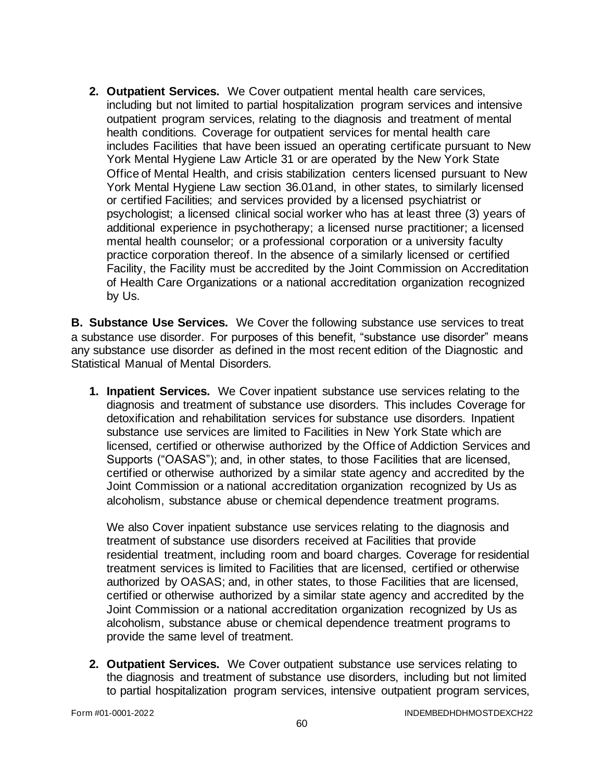**2. Outpatient Services.** We Cover outpatient mental health care services, including but not limited to partial hospitalization program services and intensive outpatient program services, relating to the diagnosis and treatment of mental health conditions. Coverage for outpatient services for mental health care includes Facilities that have been issued an operating certificate pursuant to New York Mental Hygiene Law Article 31 or are operated by the New York State Office of Mental Health, and crisis stabilization centers licensed pursuant to New York Mental Hygiene Law section 36.01and, in other states, to similarly licensed or certified Facilities; and services provided by a licensed psychiatrist or psychologist; a licensed clinical social worker who has at least three (3) years of additional experience in psychotherapy; a licensed nurse practitioner; a licensed mental health counselor; or a professional corporation or a university faculty practice corporation thereof. In the absence of a similarly licensed or certified Facility, the Facility must be accredited by the Joint Commission on Accreditation of Health Care Organizations or a national accreditation organization recognized by Us.

**B. Substance Use Services.** We Cover the following substance use services to treat a substance use disorder. For purposes of this benefit, "substance use disorder" means any substance use disorder as defined in the most recent edition of the Diagnostic and Statistical Manual of Mental Disorders.

**1. Inpatient Services.** We Cover inpatient substance use services relating to the diagnosis and treatment of substance use disorders. This includes Coverage for detoxification and rehabilitation services for substance use disorders. Inpatient substance use services are limited to Facilities in New York State which are licensed, certified or otherwise authorized by the Office of Addiction Services and Supports ("OASAS"); and, in other states, to those Facilities that are licensed, certified or otherwise authorized by a similar state agency and accredited by the Joint Commission or a national accreditation organization recognized by Us as alcoholism, substance abuse or chemical dependence treatment programs.

We also Cover inpatient substance use services relating to the diagnosis and treatment of substance use disorders received at Facilities that provide residential treatment, including room and board charges. Coverage for residential treatment services is limited to Facilities that are licensed, certified or otherwise authorized by OASAS; and, in other states, to those Facilities that are licensed, certified or otherwise authorized by a similar state agency and accredited by the Joint Commission or a national accreditation organization recognized by Us as alcoholism, substance abuse or chemical dependence treatment programs to provide the same level of treatment.

**2. Outpatient Services.** We Cover outpatient substance use services relating to the diagnosis and treatment of substance use disorders, including but not limited to partial hospitalization program services, intensive outpatient program services,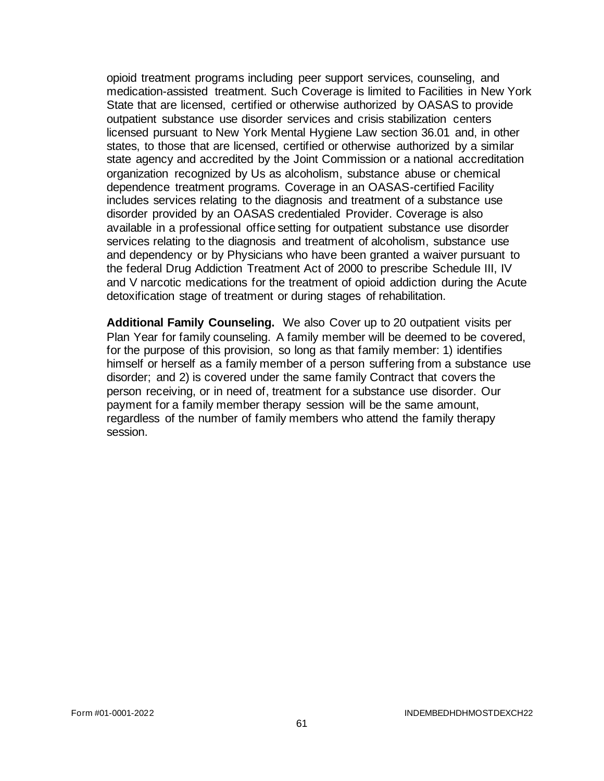opioid treatment programs including peer support services, counseling, and medication-assisted treatment. Such Coverage is limited to Facilities in New York State that are licensed, certified or otherwise authorized by OASAS to provide outpatient substance use disorder services and crisis stabilization centers licensed pursuant to New York Mental Hygiene Law section 36.01 and, in other states, to those that are licensed, certified or otherwise authorized by a similar state agency and accredited by the Joint Commission or a national accreditation organization recognized by Us as alcoholism, substance abuse or chemical dependence treatment programs. Coverage in an OASAS-certified Facility includes services relating to the diagnosis and treatment of a substance use disorder provided by an OASAS credentialed Provider. Coverage is also available in a professional office setting for outpatient substance use disorder services relating to the diagnosis and treatment of alcoholism, substance use and dependency or by Physicians who have been granted a waiver pursuant to the federal Drug Addiction Treatment Act of 2000 to prescribe Schedule III, IV and V narcotic medications for the treatment of opioid addiction during the Acute detoxification stage of treatment or during stages of rehabilitation.

**Additional Family Counseling.** We also Cover up to 20 outpatient visits per Plan Year for family counseling. A family member will be deemed to be covered, for the purpose of this provision, so long as that family member: 1) identifies himself or herself as a family member of a person suffering from a substance use disorder; and 2) is covered under the same family Contract that covers the person receiving, or in need of, treatment for a substance use disorder. Our payment for a family member therapy session will be the same amount, regardless of the number of family members who attend the family therapy session.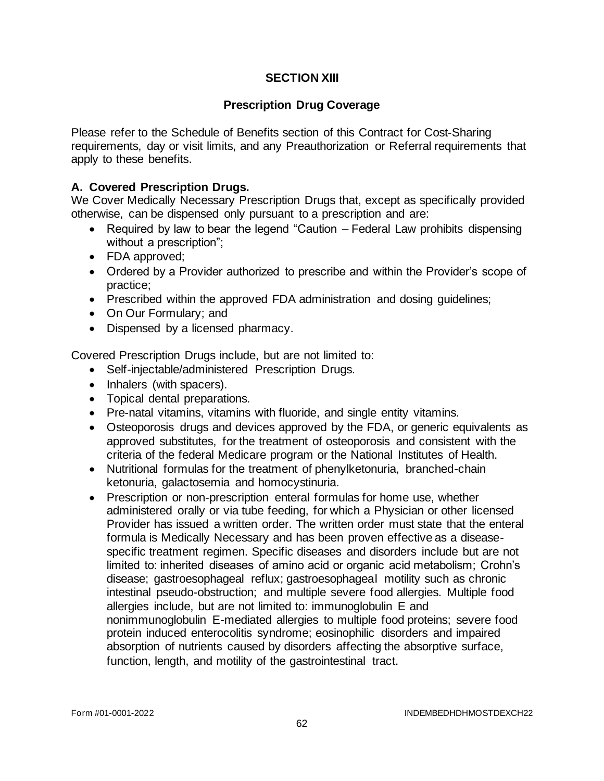# **SECTION XIII**

### **Prescription Drug Coverage**

Please refer to the Schedule of Benefits section of this Contract for Cost-Sharing requirements, day or visit limits, and any Preauthorization or Referral requirements that apply to these benefits.

### **A. Covered Prescription Drugs.**

We Cover Medically Necessary Prescription Drugs that, except as specifically provided otherwise, can be dispensed only pursuant to a prescription and are:

- Required by law to bear the legend "Caution Federal Law prohibits dispensing without a prescription";
- FDA approved;
- Ordered by a Provider authorized to prescribe and within the Provider's scope of practice;
- Prescribed within the approved FDA administration and dosing guidelines;
- On Our Formulary; and
- Dispensed by a licensed pharmacy.

Covered Prescription Drugs include, but are not limited to:

- Self-injectable/administered Prescription Drugs.
- Inhalers (with spacers).
- Topical dental preparations.
- Pre-natal vitamins, vitamins with fluoride, and single entity vitamins.
- Osteoporosis drugs and devices approved by the FDA, or generic equivalents as approved substitutes, for the treatment of osteoporosis and consistent with the criteria of the federal Medicare program or the National Institutes of Health.
- Nutritional formulas for the treatment of phenylketonuria, branched-chain ketonuria, galactosemia and homocystinuria.
- Prescription or non-prescription enteral formulas for home use, whether administered orally or via tube feeding, for which a Physician or other licensed Provider has issued a written order. The written order must state that the enteral formula is Medically Necessary and has been proven effective as a diseasespecific treatment regimen. Specific diseases and disorders include but are not limited to: inherited diseases of amino acid or organic acid metabolism; Crohn's disease; gastroesophageal reflux; gastroesophageal motility such as chronic intestinal pseudo-obstruction; and multiple severe food allergies. Multiple food allergies include, but are not limited to: immunoglobulin E and nonimmunoglobulin E-mediated allergies to multiple food proteins; severe food protein induced enterocolitis syndrome; eosinophilic disorders and impaired absorption of nutrients caused by disorders affecting the absorptive surface, function, length, and motility of the gastrointestinal tract.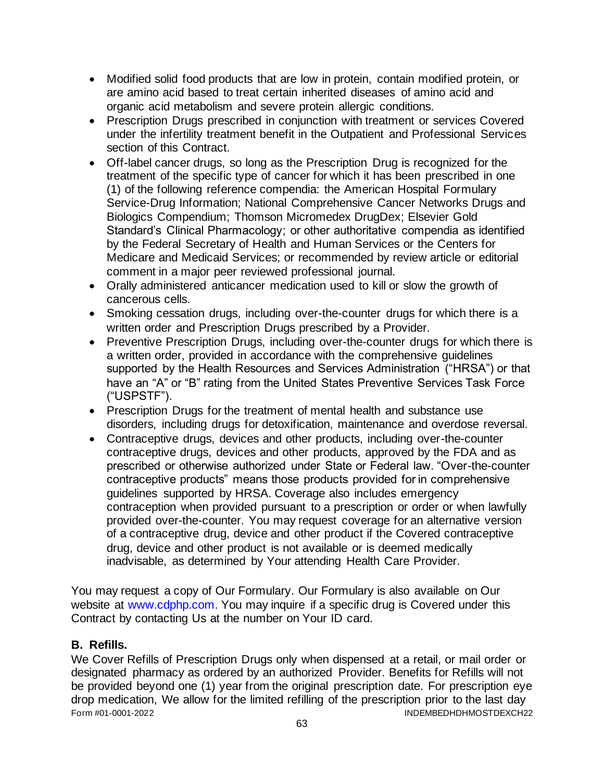- Modified solid food products that are low in protein, contain modified protein, or are amino acid based to treat certain inherited diseases of amino acid and organic acid metabolism and severe protein allergic conditions.
- Prescription Drugs prescribed in conjunction with treatment or services Covered under the infertility treatment benefit in the Outpatient and Professional Services section of this Contract.
- Off-label cancer drugs, so long as the Prescription Drug is recognized for the treatment of the specific type of cancer for which it has been prescribed in one (1) of the following reference compendia: the American Hospital Formulary Service-Drug Information; National Comprehensive Cancer Networks Drugs and Biologics Compendium; Thomson Micromedex DrugDex; Elsevier Gold Standard's Clinical Pharmacology; or other authoritative compendia as identified by the Federal Secretary of Health and Human Services or the Centers for Medicare and Medicaid Services; or recommended by review article or editorial comment in a major peer reviewed professional journal.
- Orally administered anticancer medication used to kill or slow the growth of cancerous cells.
- Smoking cessation drugs, including over-the-counter drugs for which there is a written order and Prescription Drugs prescribed by a Provider.
- Preventive Prescription Drugs, including over-the-counter drugs for which there is a written order, provided in accordance with the comprehensive guidelines supported by the Health Resources and Services Administration ("HRSA") or that have an "A" or "B" rating from the United States Preventive Services Task Force ("USPSTF").
- Prescription Drugs for the treatment of mental health and substance use disorders, including drugs for detoxification, maintenance and overdose reversal.
- Contraceptive drugs, devices and other products, including over-the-counter contraceptive drugs, devices and other products, approved by the FDA and as prescribed or otherwise authorized under State or Federal law. "Over-the-counter contraceptive products" means those products provided for in comprehensive guidelines supported by HRSA. Coverage also includes emergency contraception when provided pursuant to a prescription or order or when lawfully provided over-the-counter. You may request coverage for an alternative version of a contraceptive drug, device and other product if the Covered contraceptive drug, device and other product is not available or is deemed medically inadvisable, as determined by Your attending Health Care Provider.

You may request a copy of Our Formulary. Our Formulary is also available on Our website at [www.cdphp.com.](http://www.cdphp.com/) You may inquire if a specific drug is Covered under this Contract by contacting Us at the number on Your ID card.

### **B. Refills.**

Form #01-0001-2022 INDEMBEDHDHMOSTDEXCH22 We Cover Refills of Prescription Drugs only when dispensed at a retail, or mail order or designated pharmacy as ordered by an authorized Provider. Benefits for Refills will not be provided beyond one (1) year from the original prescription date. For prescription eye drop medication, We allow for the limited refilling of the prescription prior to the last day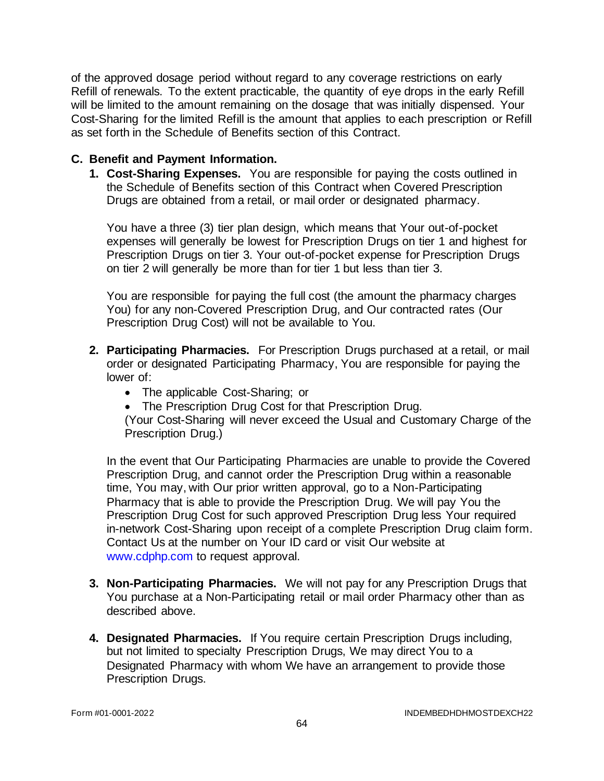of the approved dosage period without regard to any coverage restrictions on early Refill of renewals. To the extent practicable, the quantity of eye drops in the early Refill will be limited to the amount remaining on the dosage that was initially dispensed. Your Cost-Sharing for the limited Refill is the amount that applies to each prescription or Refill as set forth in the Schedule of Benefits section of this Contract.

### **C. Benefit and Payment Information.**

**1. Cost-Sharing Expenses.** You are responsible for paying the costs outlined in the Schedule of Benefits section of this Contract when Covered Prescription Drugs are obtained from a retail, or mail order or designated pharmacy.

You have a three (3) tier plan design, which means that Your out-of-pocket expenses will generally be lowest for Prescription Drugs on tier 1 and highest for Prescription Drugs on tier 3. Your out-of-pocket expense for Prescription Drugs on tier 2 will generally be more than for tier 1 but less than tier 3.

You are responsible for paying the full cost (the amount the pharmacy charges You) for any non-Covered Prescription Drug, and Our contracted rates (Our Prescription Drug Cost) will not be available to You.

- **2. Participating Pharmacies.** For Prescription Drugs purchased at a retail, or mail order or designated Participating Pharmacy, You are responsible for paying the lower of:
	- The applicable Cost-Sharing; or
	- The Prescription Drug Cost for that Prescription Drug.

(Your Cost-Sharing will never exceed the Usual and Customary Charge of the Prescription Drug.)

In the event that Our Participating Pharmacies are unable to provide the Covered Prescription Drug, and cannot order the Prescription Drug within a reasonable time, You may, with Our prior written approval, go to a Non-Participating Pharmacy that is able to provide the Prescription Drug. We will pay You the Prescription Drug Cost for such approved Prescription Drug less Your required in-network Cost-Sharing upon receipt of a complete Prescription Drug claim form. Contact Us at the number on Your ID card or visit Our website at [www.cdphp.com](http://www.cdphp.com/) to request approval.

- **3. Non-Participating Pharmacies.** We will not pay for any Prescription Drugs that You purchase at a Non-Participating retail or mail order Pharmacy other than as described above.
- **4. Designated Pharmacies.** If You require certain Prescription Drugs including, but not limited to specialty Prescription Drugs, We may direct You to a Designated Pharmacy with whom We have an arrangement to provide those Prescription Drugs.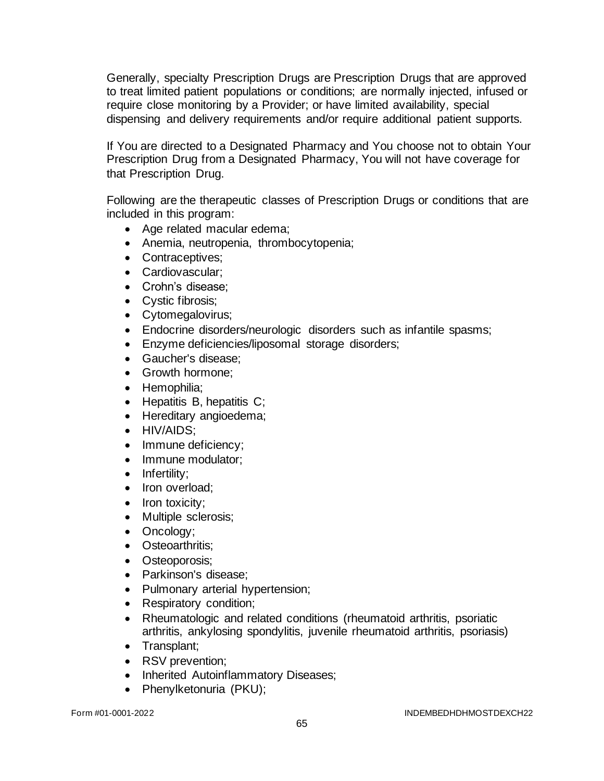Generally, specialty Prescription Drugs are Prescription Drugs that are approved to treat limited patient populations or conditions; are normally injected, infused or require close monitoring by a Provider; or have limited availability, special dispensing and delivery requirements and/or require additional patient supports.

If You are directed to a Designated Pharmacy and You choose not to obtain Your Prescription Drug from a Designated Pharmacy, You will not have coverage for that Prescription Drug.

Following are the therapeutic classes of Prescription Drugs or conditions that are included in this program:

- Age related macular edema;
- Anemia, neutropenia, thrombocytopenia;
- Contraceptives:
- Cardiovascular;
- Crohn's disease;
- Cystic fibrosis;
- Cytomegalovirus;
- Endocrine disorders/neurologic disorders such as infantile spasms;
- Enzyme deficiencies/liposomal storage disorders;
- Gaucher's disease;
- Growth hormone;
- Hemophilia;
- Hepatitis B, hepatitis C;
- Hereditary angioedema;
- HIV/AIDS:
- Immune deficiency:
- Immune modulator;
- Infertility:
- Iron overload;
- Iron toxicity;
- Multiple sclerosis;
- Oncology;
- Osteoarthritis:
- Osteoporosis;
- Parkinson's disease;
- Pulmonary arterial hypertension;
- Respiratory condition;
- Rheumatologic and related conditions (rheumatoid arthritis, psoriatic arthritis, ankylosing spondylitis, juvenile rheumatoid arthritis, psoriasis)
- Transplant;
- RSV prevention;
- Inherited Autoinflammatory Diseases;
- Phenylketonuria (PKU);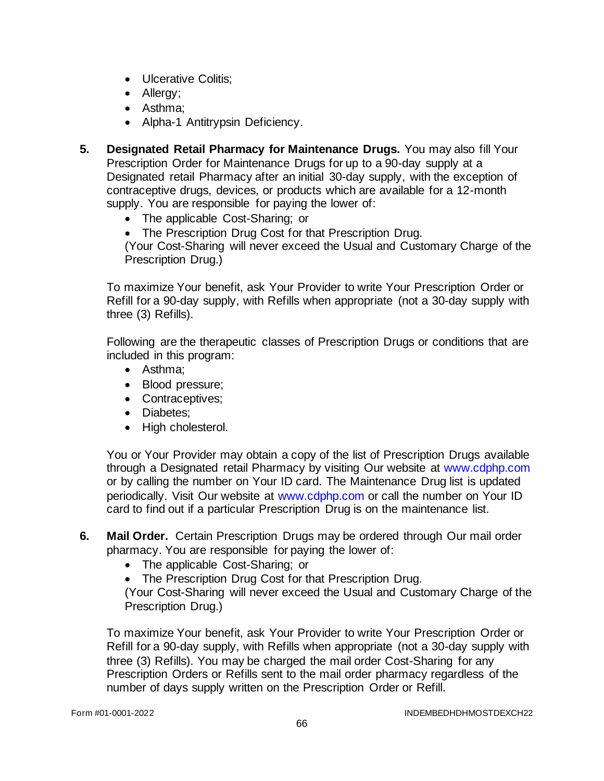- Ulcerative Colitis;
- Allergy;
- Asthma;
- Alpha-1 Antitrypsin Deficiency.
- **5. Designated Retail Pharmacy for Maintenance Drugs.** You may also fill Your Prescription Order for Maintenance Drugs for up to a 90-day supply at a Designated retail Pharmacy after an initial 30-day supply, with the exception of contraceptive drugs, devices, or products which are available for a 12-month supply. You are responsible for paying the lower of:
	- The applicable Cost-Sharing; or
	- The Prescription Drug Cost for that Prescription Drug.

(Your Cost-Sharing will never exceed the Usual and Customary Charge of the Prescription Drug.)

To maximize Your benefit, ask Your Provider to write Your Prescription Order or Refill for a 90-day supply, with Refills when appropriate (not a 30-day supply with three (3) Refills).

Following are the therapeutic classes of Prescription Drugs or conditions that are included in this program:

- Asthma;
- Blood pressure;
- Contraceptives;
- Diabetes;
- High cholesterol.

You or Your Provider may obtain a copy of the list of Prescription Drugs available through a Designated retail Pharmacy by visiting Our website at [www.cdphp.com](http://www.cdphp.com/) or by calling the number on Your ID card. The Maintenance Drug list is updated periodically. Visit Our website at [www.cdphp.com](http://www.cdphp.com/) or call the number on Your ID card to find out if a particular Prescription Drug is on the maintenance list.

- **6. Mail Order.** Certain Prescription Drugs may be ordered through Our mail order pharmacy. You are responsible for paying the lower of:
	- The applicable Cost-Sharing; or
	- The Prescription Drug Cost for that Prescription Drug.

(Your Cost-Sharing will never exceed the Usual and Customary Charge of the Prescription Drug.)

To maximize Your benefit, ask Your Provider to write Your Prescription Order or Refill for a 90-day supply, with Refills when appropriate (not a 30-day supply with three (3) Refills). You may be charged the mail order Cost-Sharing for any Prescription Orders or Refills sent to the mail order pharmacy regardless of the number of days supply written on the Prescription Order or Refill.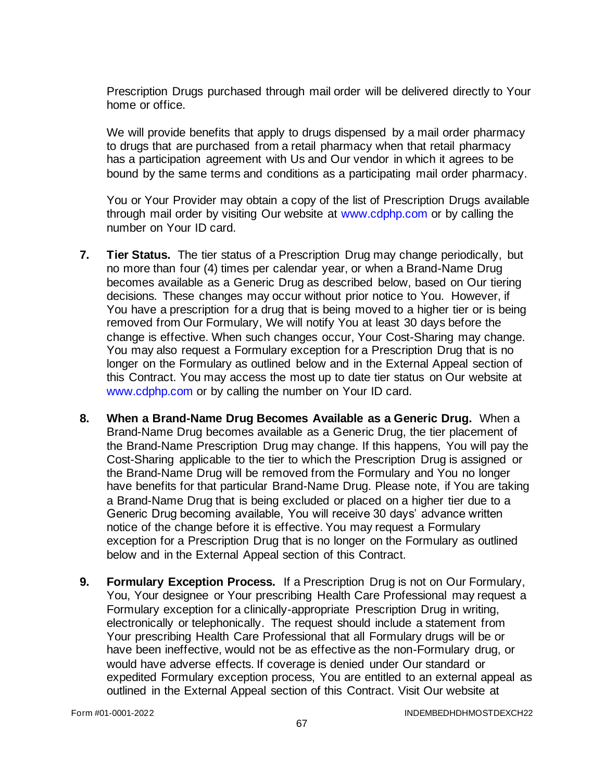Prescription Drugs purchased through mail order will be delivered directly to Your home or office.

We will provide benefits that apply to drugs dispensed by a mail order pharmacy to drugs that are purchased from a retail pharmacy when that retail pharmacy has a participation agreement with Us and Our vendor in which it agrees to be bound by the same terms and conditions as a participating mail order pharmacy.

You or Your Provider may obtain a copy of the list of Prescription Drugs available through mail order by visiting Our website at [www.cdphp.com](http://www.cdphp.com/) or by calling the number on Your ID card.

- **7. Tier Status.** The tier status of a Prescription Drug may change periodically, but no more than four (4) times per calendar year, or when a Brand-Name Drug becomes available as a Generic Drug as described below, based on Our tiering decisions. These changes may occur without prior notice to You. However, if You have a prescription for a drug that is being moved to a higher tier or is being removed from Our Formulary, We will notify You at least 30 days before the change is effective. When such changes occur, Your Cost-Sharing may change. You may also request a Formulary exception for a Prescription Drug that is no longer on the Formulary as outlined below and in the External Appeal section of this Contract. You may access the most up to date tier status on Our website at [www.cdphp.com](http://www.cdphp.com/) or by calling the number on Your ID card.
- **8. When a Brand-Name Drug Becomes Available as a Generic Drug.** When a Brand-Name Drug becomes available as a Generic Drug, the tier placement of the Brand-Name Prescription Drug may change. If this happens, You will pay the Cost-Sharing applicable to the tier to which the Prescription Drug is assigned or the Brand-Name Drug will be removed from the Formulary and You no longer have benefits for that particular Brand-Name Drug. Please note, if You are taking a Brand-Name Drug that is being excluded or placed on a higher tier due to a Generic Drug becoming available, You will receive 30 days' advance written notice of the change before it is effective. You may request a Formulary exception for a Prescription Drug that is no longer on the Formulary as outlined below and in the External Appeal section of this Contract.
- **9. Formulary Exception Process.** If a Prescription Drug is not on Our Formulary, You, Your designee or Your prescribing Health Care Professional may request a Formulary exception for a clinically-appropriate Prescription Drug in writing, electronically or telephonically. The request should include a statement from Your prescribing Health Care Professional that all Formulary drugs will be or have been ineffective, would not be as effective as the non-Formulary drug, or would have adverse effects. If coverage is denied under Our standard or expedited Formulary exception process, You are entitled to an external appeal as outlined in the External Appeal section of this Contract. Visit Our website at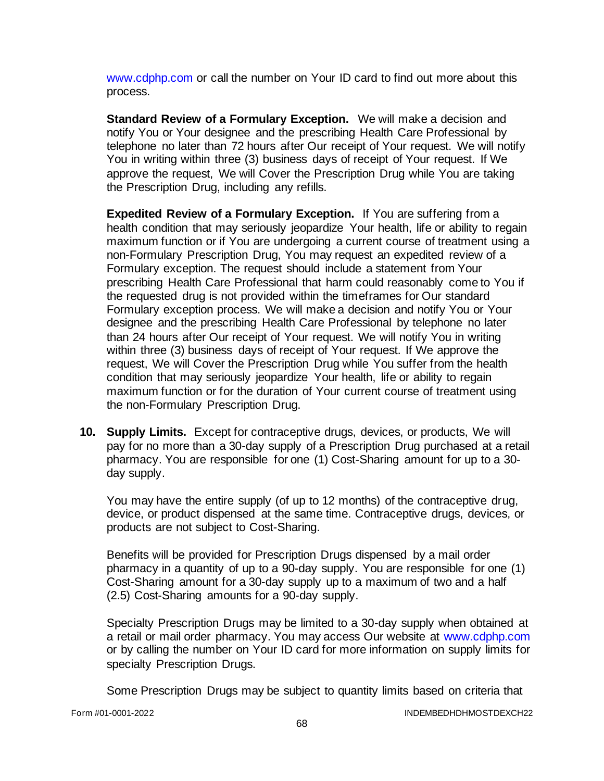[www.cdphp.com](http://www.cdphp.com/) or call the number on Your ID card to find out more about this process.

**Standard Review of a Formulary Exception.** We will make a decision and notify You or Your designee and the prescribing Health Care Professional by telephone no later than 72 hours after Our receipt of Your request. We will notify You in writing within three (3) business days of receipt of Your request. If We approve the request, We will Cover the Prescription Drug while You are taking the Prescription Drug, including any refills.

**Expedited Review of a Formulary Exception.** If You are suffering from a health condition that may seriously jeopardize Your health, life or ability to regain maximum function or if You are undergoing a current course of treatment using a non-Formulary Prescription Drug, You may request an expedited review of a Formulary exception. The request should include a statement from Your prescribing Health Care Professional that harm could reasonably come to You if the requested drug is not provided within the timeframes for Our standard Formulary exception process. We will make a decision and notify You or Your designee and the prescribing Health Care Professional by telephone no later than 24 hours after Our receipt of Your request. We will notify You in writing within three (3) business days of receipt of Your request. If We approve the request, We will Cover the Prescription Drug while You suffer from the health condition that may seriously jeopardize Your health, life or ability to regain maximum function or for the duration of Your current course of treatment using the non-Formulary Prescription Drug.

**10. Supply Limits.** Except for contraceptive drugs, devices, or products, We will pay for no more than a 30-day supply of a Prescription Drug purchased at a retail pharmacy. You are responsible for one (1) Cost-Sharing amount for up to a 30 day supply.

You may have the entire supply (of up to 12 months) of the contraceptive drug, device, or product dispensed at the same time. Contraceptive drugs, devices, or products are not subject to Cost-Sharing.

Benefits will be provided for Prescription Drugs dispensed by a mail order pharmacy in a quantity of up to a 90-day supply. You are responsible for one (1) Cost-Sharing amount for a 30-day supply up to a maximum of two and a half (2.5) Cost-Sharing amounts for a 90-day supply.

Specialty Prescription Drugs may be limited to a 30-day supply when obtained at a retail or mail order pharmacy. You may access Our website at [www.cdphp.com](http://www.cdphp.com/) or by calling the number on Your ID card for more information on supply limits for specialty Prescription Drugs.

Some Prescription Drugs may be subject to quantity limits based on criteria that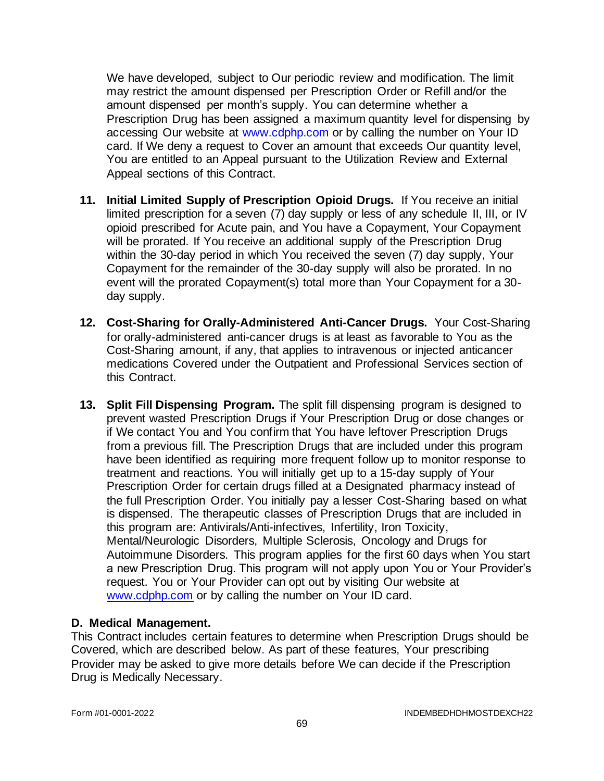We have developed, subject to Our periodic review and modification. The limit may restrict the amount dispensed per Prescription Order or Refill and/or the amount dispensed per month's supply. You can determine whether a Prescription Drug has been assigned a maximum quantity level for dispensing by accessing Our website at [www.cdphp.com](http://www.cdphp.com/) or by calling the number on Your ID card. If We deny a request to Cover an amount that exceeds Our quantity level, You are entitled to an Appeal pursuant to the Utilization Review and External Appeal sections of this Contract.

- **11. Initial Limited Supply of Prescription Opioid Drugs.** If You receive an initial limited prescription for a seven (7) day supply or less of any schedule II, III, or IV opioid prescribed for Acute pain, and You have a Copayment, Your Copayment will be prorated. If You receive an additional supply of the Prescription Drug within the 30-day period in which You received the seven (7) day supply, Your Copayment for the remainder of the 30-day supply will also be prorated. In no event will the prorated Copayment(s) total more than Your Copayment for a 30 day supply.
- **12. Cost-Sharing for Orally-Administered Anti-Cancer Drugs.** Your Cost-Sharing for orally-administered anti-cancer drugs is at least as favorable to You as the Cost-Sharing amount, if any, that applies to intravenous or injected anticancer medications Covered under the Outpatient and Professional Services section of this Contract.
- **13. Split Fill Dispensing Program.** The split fill dispensing program is designed to prevent wasted Prescription Drugs if Your Prescription Drug or dose changes or if We contact You and You confirm that You have leftover Prescription Drugs from a previous fill. The Prescription Drugs that are included under this program have been identified as requiring more frequent follow up to monitor response to treatment and reactions. You will initially get up to a 15-day supply of Your Prescription Order for certain drugs filled at a Designated pharmacy instead of the full Prescription Order. You initially pay a lesser Cost-Sharing based on what is dispensed. The therapeutic classes of Prescription Drugs that are included in this program are: Antivirals/Anti-infectives, Infertility, Iron Toxicity, Mental/Neurologic Disorders, Multiple Sclerosis, Oncology and Drugs for Autoimmune Disorders. This program applies for the first 60 days when You start a new Prescription Drug. This program will not apply upon You or Your Provider's request. You or Your Provider can opt out by visiting Our website at [www.cdphp.com](http://www.cdphp.com/) or by calling the number on Your ID card.

### **D. Medical Management.**

This Contract includes certain features to determine when Prescription Drugs should be Covered, which are described below. As part of these features, Your prescribing Provider may be asked to give more details before We can decide if the Prescription Drug is Medically Necessary.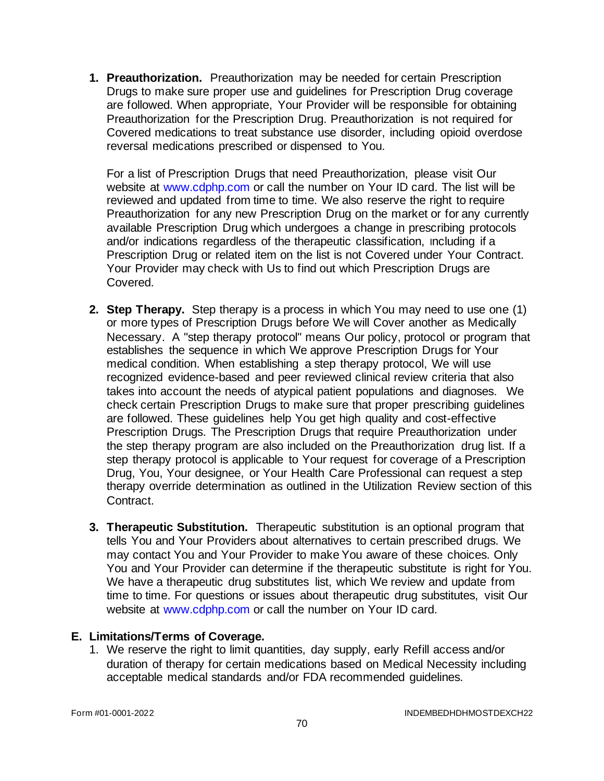**1. Preauthorization.** Preauthorization may be needed for certain Prescription Drugs to make sure proper use and guidelines for Prescription Drug coverage are followed. When appropriate, Your Provider will be responsible for obtaining Preauthorization for the Prescription Drug. Preauthorization is not required for Covered medications to treat substance use disorder, including opioid overdose reversal medications prescribed or dispensed to You.

For a list of Prescription Drugs that need Preauthorization, please visit Our website at [www.cdphp.com](http://www.cdphp.com/) or call the number on Your ID card. The list will be reviewed and updated from time to time. We also reserve the right to require Preauthorization for any new Prescription Drug on the market or for any currently available Prescription Drug which undergoes a change in prescribing protocols and/or indications regardless of the therapeutic classification, Including if a Prescription Drug or related item on the list is not Covered under Your Contract. Your Provider may check with Us to find out which Prescription Drugs are Covered.

- **2. Step Therapy.** Step therapy is a process in which You may need to use one (1) or more types of Prescription Drugs before We will Cover another as Medically Necessary. A "step therapy protocol" means Our policy, protocol or program that establishes the sequence in which We approve Prescription Drugs for Your medical condition. When establishing a step therapy protocol, We will use recognized evidence-based and peer reviewed clinical review criteria that also takes into account the needs of atypical patient populations and diagnoses. We check certain Prescription Drugs to make sure that proper prescribing guidelines are followed. These guidelines help You get high quality and cost-effective Prescription Drugs. The Prescription Drugs that require Preauthorization under the step therapy program are also included on the Preauthorization drug list. If a step therapy protocol is applicable to Your request for coverage of a Prescription Drug, You, Your designee, or Your Health Care Professional can request a step therapy override determination as outlined in the Utilization Review section of this Contract.
- **3. Therapeutic Substitution.** Therapeutic substitution is an optional program that tells You and Your Providers about alternatives to certain prescribed drugs. We may contact You and Your Provider to make You aware of these choices. Only You and Your Provider can determine if the therapeutic substitute is right for You. We have a therapeutic drug substitutes list, which We review and update from time to time. For questions or issues about therapeutic drug substitutes, visit Our website at [www.cdphp.com](http://www.cdphp.com/) or call the number on Your ID card.

### **E. Limitations/Terms of Coverage.**

1. We reserve the right to limit quantities, day supply, early Refill access and/or duration of therapy for certain medications based on Medical Necessity including acceptable medical standards and/or FDA recommended guidelines.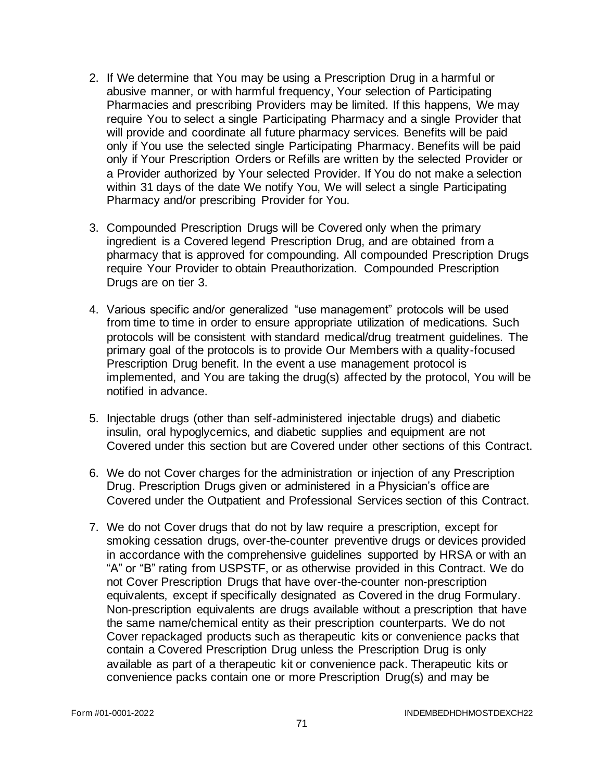- 2. If We determine that You may be using a Prescription Drug in a harmful or abusive manner, or with harmful frequency, Your selection of Participating Pharmacies and prescribing Providers may be limited. If this happens, We may require You to select a single Participating Pharmacy and a single Provider that will provide and coordinate all future pharmacy services. Benefits will be paid only if You use the selected single Participating Pharmacy. Benefits will be paid only if Your Prescription Orders or Refills are written by the selected Provider or a Provider authorized by Your selected Provider. If You do not make a selection within 31 days of the date We notify You, We will select a single Participating Pharmacy and/or prescribing Provider for You.
- 3. Compounded Prescription Drugs will be Covered only when the primary ingredient is a Covered legend Prescription Drug, and are obtained from a pharmacy that is approved for compounding. All compounded Prescription Drugs require Your Provider to obtain Preauthorization. Compounded Prescription Drugs are on tier 3.
- 4. Various specific and/or generalized "use management" protocols will be used from time to time in order to ensure appropriate utilization of medications. Such protocols will be consistent with standard medical/drug treatment guidelines. The primary goal of the protocols is to provide Our Members with a quality-focused Prescription Drug benefit. In the event a use management protocol is implemented, and You are taking the drug(s) affected by the protocol, You will be notified in advance.
- 5. Injectable drugs (other than self-administered injectable drugs) and diabetic insulin, oral hypoglycemics, and diabetic supplies and equipment are not Covered under this section but are Covered under other sections of this Contract.
- 6. We do not Cover charges for the administration or injection of any Prescription Drug. Prescription Drugs given or administered in a Physician's office are Covered under the Outpatient and Professional Services section of this Contract.
- 7. We do not Cover drugs that do not by law require a prescription, except for smoking cessation drugs, over-the-counter preventive drugs or devices provided in accordance with the comprehensive guidelines supported by HRSA or with an "A" or "B" rating from USPSTF, or as otherwise provided in this Contract. We do not Cover Prescription Drugs that have over-the-counter non-prescription equivalents, except if specifically designated as Covered in the drug Formulary. Non-prescription equivalents are drugs available without a prescription that have the same name/chemical entity as their prescription counterparts. We do not Cover repackaged products such as therapeutic kits or convenience packs that contain a Covered Prescription Drug unless the Prescription Drug is only available as part of a therapeutic kit or convenience pack. Therapeutic kits or convenience packs contain one or more Prescription Drug(s) and may be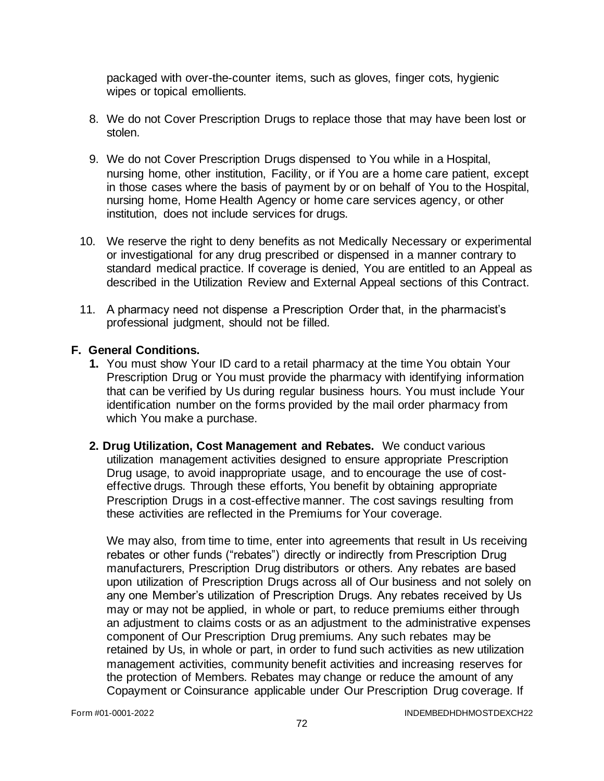packaged with over-the-counter items, such as gloves, finger cots, hygienic wipes or topical emollients.

- 8. We do not Cover Prescription Drugs to replace those that may have been lost or stolen.
- 9. We do not Cover Prescription Drugs dispensed to You while in a Hospital, nursing home, other institution, Facility, or if You are a home care patient, except in those cases where the basis of payment by or on behalf of You to the Hospital, nursing home, Home Health Agency or home care services agency, or other institution, does not include services for drugs.
- 10. We reserve the right to deny benefits as not Medically Necessary or experimental or investigational for any drug prescribed or dispensed in a manner contrary to standard medical practice. If coverage is denied, You are entitled to an Appeal as described in the Utilization Review and External Appeal sections of this Contract.
- 11. A pharmacy need not dispense a Prescription Order that, in the pharmacist's professional judgment, should not be filled.

### **F. General Conditions.**

- **1.** You must show Your ID card to a retail pharmacy at the time You obtain Your Prescription Drug or You must provide the pharmacy with identifying information that can be verified by Us during regular business hours. You must include Your identification number on the forms provided by the mail order pharmacy from which You make a purchase.
- **2. Drug Utilization, Cost Management and Rebates.** We conduct various utilization management activities designed to ensure appropriate Prescription Drug usage, to avoid inappropriate usage, and to encourage the use of costeffective drugs. Through these efforts, You benefit by obtaining appropriate Prescription Drugs in a cost-effective manner. The cost savings resulting from these activities are reflected in the Premiums for Your coverage.

We may also, from time to time, enter into agreements that result in Us receiving rebates or other funds ("rebates") directly or indirectly from Prescription Drug manufacturers, Prescription Drug distributors or others. Any rebates are based upon utilization of Prescription Drugs across all of Our business and not solely on any one Member's utilization of Prescription Drugs. Any rebates received by Us may or may not be applied, in whole or part, to reduce premiums either through an adjustment to claims costs or as an adjustment to the administrative expenses component of Our Prescription Drug premiums. Any such rebates may be retained by Us, in whole or part, in order to fund such activities as new utilization management activities, community benefit activities and increasing reserves for the protection of Members. Rebates may change or reduce the amount of any Copayment or Coinsurance applicable under Our Prescription Drug coverage. If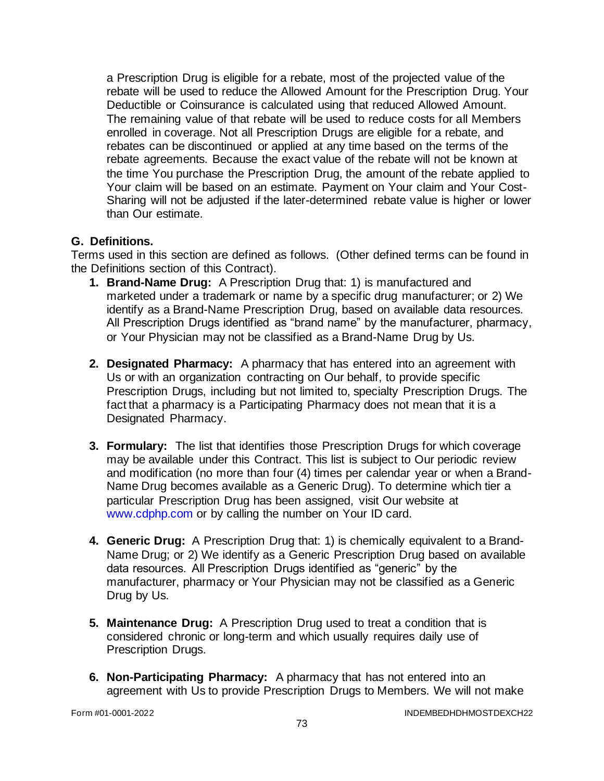a Prescription Drug is eligible for a rebate, most of the projected value of the rebate will be used to reduce the Allowed Amount for the Prescription Drug. Your Deductible or Coinsurance is calculated using that reduced Allowed Amount. The remaining value of that rebate will be used to reduce costs for all Members enrolled in coverage. Not all Prescription Drugs are eligible for a rebate, and rebates can be discontinued or applied at any time based on the terms of the rebate agreements. Because the exact value of the rebate will not be known at the time You purchase the Prescription Drug, the amount of the rebate applied to Your claim will be based on an estimate. Payment on Your claim and Your Cost-Sharing will not be adjusted if the later-determined rebate value is higher or lower than Our estimate.

### **G. Definitions.**

Terms used in this section are defined as follows. (Other defined terms can be found in the Definitions section of this Contract).

- **1. Brand-Name Drug:** A Prescription Drug that: 1) is manufactured and marketed under a trademark or name by a specific drug manufacturer; or 2) We identify as a Brand-Name Prescription Drug, based on available data resources. All Prescription Drugs identified as "brand name" by the manufacturer, pharmacy, or Your Physician may not be classified as a Brand-Name Drug by Us.
- **2. Designated Pharmacy:** A pharmacy that has entered into an agreement with Us or with an organization contracting on Our behalf, to provide specific Prescription Drugs, including but not limited to, specialty Prescription Drugs. The fact that a pharmacy is a Participating Pharmacy does not mean that it is a Designated Pharmacy.
- **3. Formulary:** The list that identifies those Prescription Drugs for which coverage may be available under this Contract. This list is subject to Our periodic review and modification (no more than four (4) times per calendar year or when a Brand-Name Drug becomes available as a Generic Drug). To determine which tier a particular Prescription Drug has been assigned, visit Our website at [www.cdphp.com](http://www.cdphp.com/) or by calling the number on Your ID card.
- **4. Generic Drug:** A Prescription Drug that: 1) is chemically equivalent to a Brand-Name Drug; or 2) We identify as a Generic Prescription Drug based on available data resources. All Prescription Drugs identified as "generic" by the manufacturer, pharmacy or Your Physician may not be classified as a Generic Drug by Us.
- **5. Maintenance Drug:** A Prescription Drug used to treat a condition that is considered chronic or long-term and which usually requires daily use of Prescription Drugs.
- **6. Non-Participating Pharmacy:** A pharmacy that has not entered into an agreement with Us to provide Prescription Drugs to Members. We will not make

Form #01-0001-2022 INDEMBEDHDHMOSTDEXCH22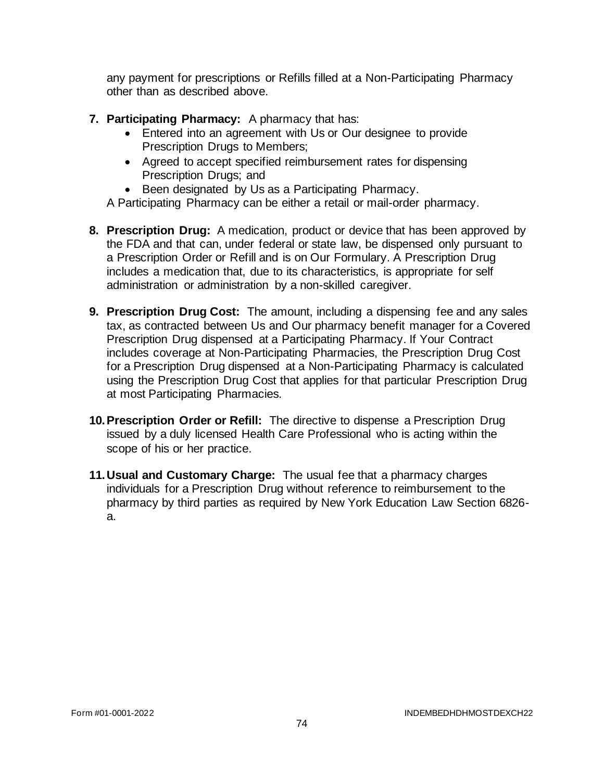any payment for prescriptions or Refills filled at a Non-Participating Pharmacy other than as described above.

- **7. Participating Pharmacy:** A pharmacy that has:
	- Entered into an agreement with Us or Our designee to provide Prescription Drugs to Members;
	- Agreed to accept specified reimbursement rates for dispensing Prescription Drugs; and
	- Been designated by Us as a Participating Pharmacy.

A Participating Pharmacy can be either a retail or mail-order pharmacy.

- **8. Prescription Drug:** A medication, product or device that has been approved by the FDA and that can, under federal or state law, be dispensed only pursuant to a Prescription Order or Refill and is on Our Formulary. A Prescription Drug includes a medication that, due to its characteristics, is appropriate for self administration or administration by a non-skilled caregiver.
- **9. Prescription Drug Cost:** The amount, including a dispensing fee and any sales tax, as contracted between Us and Our pharmacy benefit manager for a Covered Prescription Drug dispensed at a Participating Pharmacy. If Your Contract includes coverage at Non-Participating Pharmacies, the Prescription Drug Cost for a Prescription Drug dispensed at a Non-Participating Pharmacy is calculated using the Prescription Drug Cost that applies for that particular Prescription Drug at most Participating Pharmacies.
- **10.Prescription Order or Refill:** The directive to dispense a Prescription Drug issued by a duly licensed Health Care Professional who is acting within the scope of his or her practice.
- **11.Usual and Customary Charge:** The usual fee that a pharmacy charges individuals for a Prescription Drug without reference to reimbursement to the pharmacy by third parties as required by New York Education Law Section 6826 a.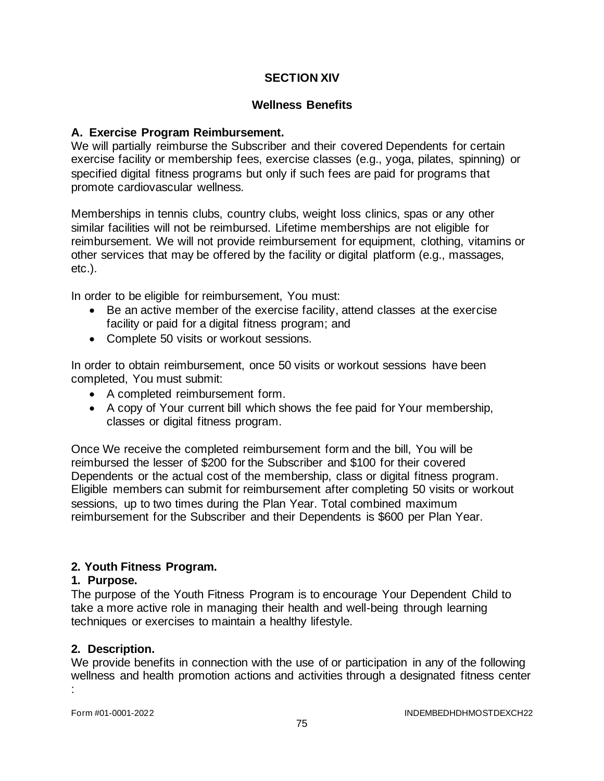### **SECTION XIV**

#### **Wellness Benefits**

#### **A. Exercise Program Reimbursement.**

We will partially reimburse the Subscriber and their covered Dependents for certain exercise facility or membership fees, exercise classes (e.g., yoga, pilates, spinning) or specified digital fitness programs but only if such fees are paid for programs that promote cardiovascular wellness.

Memberships in tennis clubs, country clubs, weight loss clinics, spas or any other similar facilities will not be reimbursed. Lifetime memberships are not eligible for reimbursement. We will not provide reimbursement for equipment, clothing, vitamins or other services that may be offered by the facility or digital platform (e.g., massages, etc.).

In order to be eligible for reimbursement, You must:

- Be an active member of the exercise facility, attend classes at the exercise facility or paid for a digital fitness program; and
- Complete 50 visits or workout sessions.

In order to obtain reimbursement, once 50 visits or workout sessions have been completed, You must submit:

- A completed reimbursement form.
- A copy of Your current bill which shows the fee paid for Your membership, classes or digital fitness program.

Once We receive the completed reimbursement form and the bill, You will be reimbursed the lesser of \$200 for the Subscriber and \$100 for their covered Dependents or the actual cost of the membership, class or digital fitness program. Eligible members can submit for reimbursement after completing 50 visits or workout sessions, up to two times during the Plan Year. Total combined maximum reimbursement for the Subscriber and their Dependents is \$600 per Plan Year.

### **2. Youth Fitness Program.**

#### **1. Purpose.**

The purpose of the Youth Fitness Program is to encourage Your Dependent Child to take a more active role in managing their health and well-being through learning techniques or exercises to maintain a healthy lifestyle.

#### **2. Description.**

We provide benefits in connection with the use of or participation in any of the following wellness and health promotion actions and activities through a designated fitness center :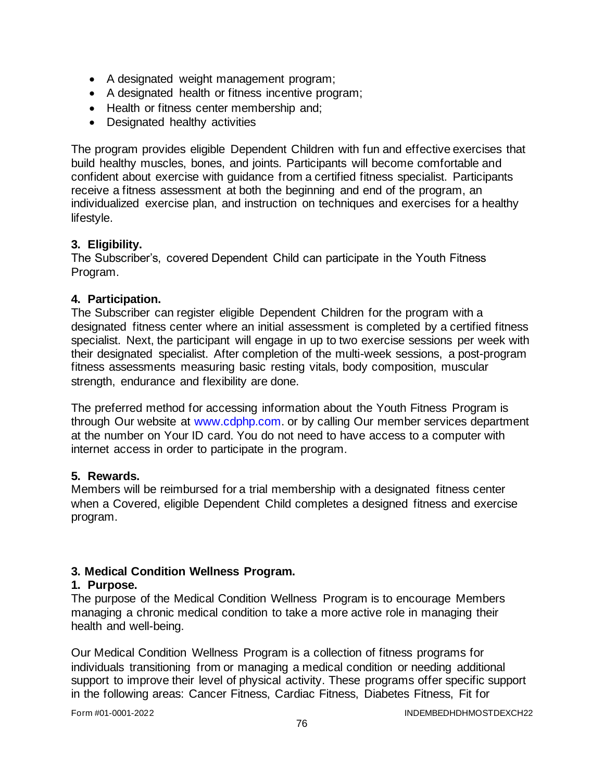- A designated weight management program;
- A designated health or fitness incentive program;
- Health or fitness center membership and;
- Designated healthy activities

The program provides eligible Dependent Children with fun and effective exercises that build healthy muscles, bones, and joints. Participants will become comfortable and confident about exercise with guidance from a certified fitness specialist. Participants receive a fitness assessment at both the beginning and end of the program, an individualized exercise plan, and instruction on techniques and exercises for a healthy lifestyle.

### **3. Eligibility.**

The Subscriber's, covered Dependent Child can participate in the Youth Fitness Program.

### **4. Participation.**

The Subscriber can register eligible Dependent Children for the program with a designated fitness center where an initial assessment is completed by a certified fitness specialist. Next, the participant will engage in up to two exercise sessions per week with their designated specialist. After completion of the multi-week sessions, a post-program fitness assessments measuring basic resting vitals, body composition, muscular strength, endurance and flexibility are done.

The preferred method for accessing information about the Youth Fitness Program is through Our website at [www.cdphp.com.](http://www.cdphp.com/) or by calling Our member services department at the number on Your ID card. You do not need to have access to a computer with internet access in order to participate in the program.

### **5. Rewards.**

Members will be reimbursed for a trial membership with a designated fitness center when a Covered, eligible Dependent Child completes a designed fitness and exercise program.

## **3. Medical Condition Wellness Program.**

### **1. Purpose.**

The purpose of the Medical Condition Wellness Program is to encourage Members managing a chronic medical condition to take a more active role in managing their health and well-being.

Our Medical Condition Wellness Program is a collection of fitness programs for individuals transitioning from or managing a medical condition or needing additional support to improve their level of physical activity. These programs offer specific support in the following areas: Cancer Fitness, Cardiac Fitness, Diabetes Fitness, Fit for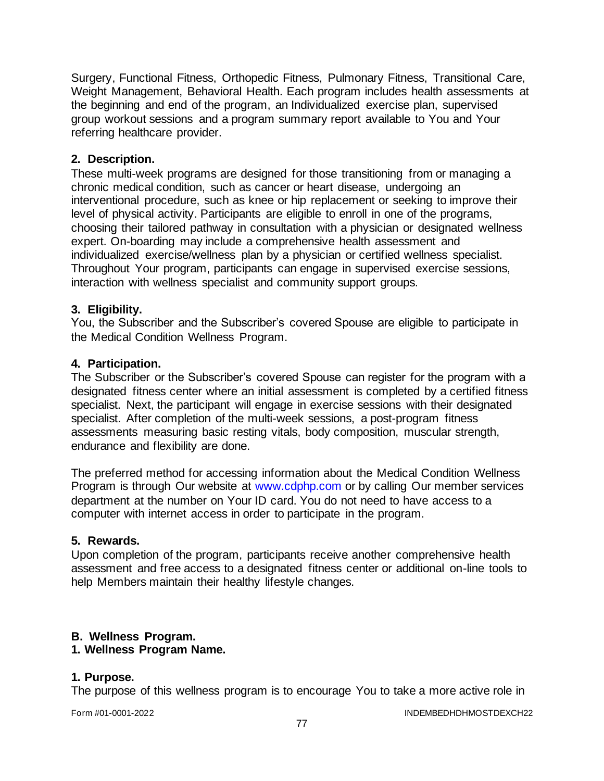Surgery, Functional Fitness, Orthopedic Fitness, Pulmonary Fitness, Transitional Care, Weight Management, Behavioral Health. Each program includes health assessments at the beginning and end of the program, an Individualized exercise plan, supervised group workout sessions and a program summary report available to You and Your referring healthcare provider.

### **2. Description.**

These multi-week programs are designed for those transitioning from or managing a chronic medical condition, such as cancer or heart disease, undergoing an interventional procedure, such as knee or hip replacement or seeking to improve their level of physical activity. Participants are eligible to enroll in one of the programs, choosing their tailored pathway in consultation with a physician or designated wellness expert. On-boarding may include a comprehensive health assessment and individualized exercise/wellness plan by a physician or certified wellness specialist. Throughout Your program, participants can engage in supervised exercise sessions, interaction with wellness specialist and community support groups.

### **3. Eligibility.**

You, the Subscriber and the Subscriber's covered Spouse are eligible to participate in the Medical Condition Wellness Program.

### **4. Participation.**

The Subscriber or the Subscriber's covered Spouse can register for the program with a designated fitness center where an initial assessment is completed by a certified fitness specialist. Next, the participant will engage in exercise sessions with their designated specialist. After completion of the multi-week sessions, a post-program fitness assessments measuring basic resting vitals, body composition, muscular strength, endurance and flexibility are done.

The preferred method for accessing information about the Medical Condition Wellness Program is through Our website at [www.cdphp.com](http://www.cdphp.com/) or by calling Our member services department at the number on Your ID card. You do not need to have access to a computer with internet access in order to participate in the program.

### **5. Rewards.**

Upon completion of the program, participants receive another comprehensive health assessment and free access to a designated fitness center or additional on-line tools to help Members maintain their healthy lifestyle changes.

## **B. Wellness Program.**

### **1. Wellness Program Name.**

### **1. Purpose.**

The purpose of this wellness program is to encourage You to take a more active role in

Form #01-0001-2022 INDEMBEDHDHMOSTDEXCH22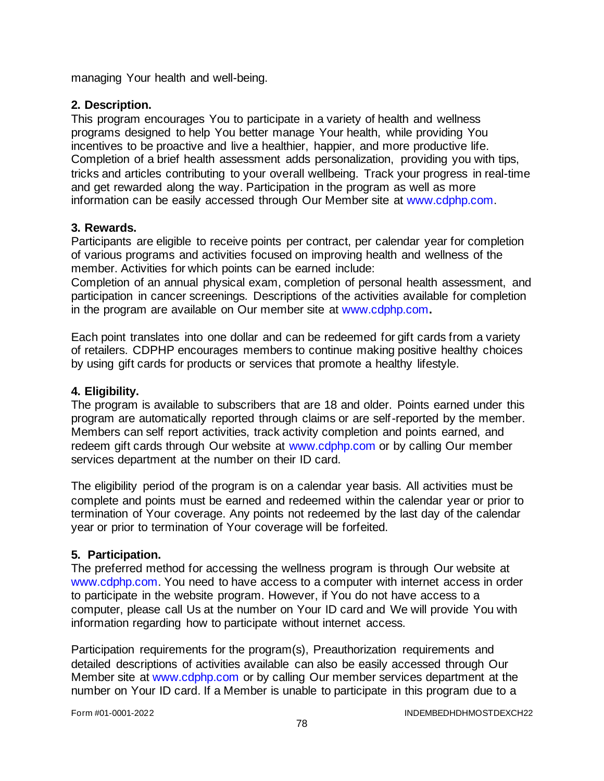managing Your health and well-being.

### **2. Description.**

This program encourages You to participate in a variety of health and wellness programs designed to help You better manage Your health, while providing You incentives to be proactive and live a healthier, happier, and more productive life. Completion of a brief health assessment adds personalization, providing you with tips, tricks and articles contributing to your overall wellbeing. Track your progress in real-time and get rewarded along the way. Participation in the program as well as more information can be easily accessed through Our Member site at [www.cdphp.com.](http://www.cdphp.com/)

### **3. Rewards.**

Participants are eligible to receive points per contract, per calendar year for completion of various programs and activities focused on improving health and wellness of the member. Activities for which points can be earned include:

Completion of an annual physical exam, completion of personal health assessment, and participation in cancer screenings. Descriptions of the activities available for completion in the program are available on Our member site at [www.cdphp.com](http://www.cdphp.com/)**.**

Each point translates into one dollar and can be redeemed for gift cards from a variety of retailers. CDPHP encourages members to continue making positive healthy choices by using gift cards for products or services that promote a healthy lifestyle.

## **4. Eligibility.**

The program is available to subscribers that are 18 and older. Points earned under this program are automatically reported through claims or are self-reported by the member. Members can self report activities, track activity completion and points earned, and redeem gift cards through Our website at [www.cdphp.com](http://www.cdphp.com/) or by calling Our member services department at the number on their ID card.

The eligibility period of the program is on a calendar year basis. All activities must be complete and points must be earned and redeemed within the calendar year or prior to termination of Your coverage. Any points not redeemed by the last day of the calendar year or prior to termination of Your coverage will be forfeited.

### **5. Participation.**

The preferred method for accessing the wellness program is through Our website at [www.cdphp.com.](http://www.cdphp.com/) You need to have access to a computer with internet access in order to participate in the website program. However, if You do not have access to a computer, please call Us at the number on Your ID card and We will provide You with information regarding how to participate without internet access.

Participation requirements for the program(s), Preauthorization requirements and detailed descriptions of activities available can also be easily accessed through Our Member site at [www.cdphp.com](http://www.cdphp.com/) or by calling Our member services department at the number on Your ID card. If a Member is unable to participate in this program due to a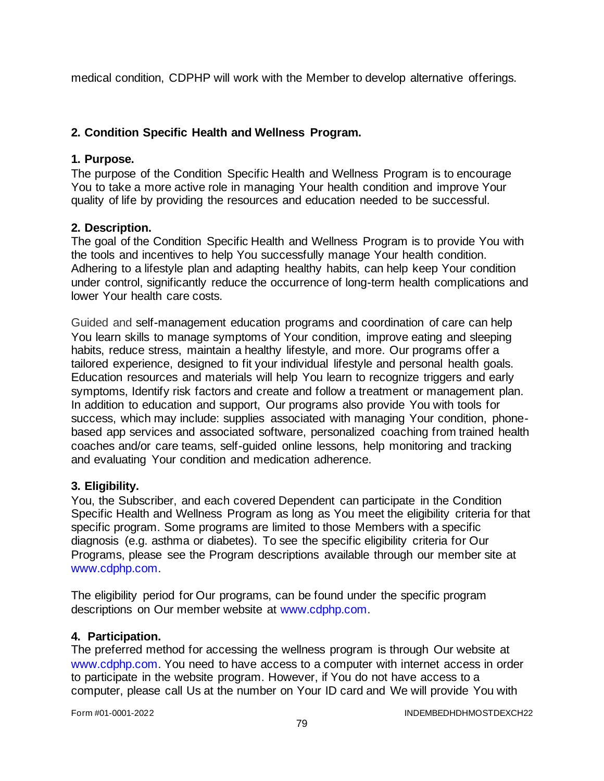medical condition, CDPHP will work with the Member to develop alternative offerings.

## **2. Condition Specific Health and Wellness Program.**

### **1. Purpose.**

The purpose of the Condition Specific Health and Wellness Program is to encourage You to take a more active role in managing Your health condition and improve Your quality of life by providing the resources and education needed to be successful.

### **2. Description.**

The goal of the Condition Specific Health and Wellness Program is to provide You with the tools and incentives to help You successfully manage Your health condition. Adhering to a lifestyle plan and adapting healthy habits, can help keep Your condition under control, significantly reduce the occurrence of long-term health complications and lower Your health care costs.

Guided and self-management education programs and coordination of care can help You learn skills to manage symptoms of Your condition, improve eating and sleeping habits, reduce stress, maintain a healthy lifestyle, and more. Our programs offer a tailored experience, designed to fit your individual lifestyle and personal health goals. Education resources and materials will help You learn to recognize triggers and early symptoms, Identify risk factors and create and follow a treatment or management plan. In addition to education and support, Our programs also provide You with tools for success, which may include: supplies associated with managing Your condition, phonebased app services and associated software, personalized coaching from trained health coaches and/or care teams, self-guided online lessons, help monitoring and tracking and evaluating Your condition and medication adherence.

### **3. Eligibility.**

You, the Subscriber, and each covered Dependent can participate in the Condition Specific Health and Wellness Program as long as You meet the eligibility criteria for that specific program. Some programs are limited to those Members with a specific diagnosis (e.g. asthma or diabetes). To see the specific eligibility criteria for Our Programs, please see the Program descriptions available through our member site at [www.cdphp.com.](http://www.cdphp.com/)

The eligibility period for Our programs, can be found under the specific program descriptions on Our member website at [www.cdphp.com.](http://www.cdphp.com/)

## **4. Participation.**

The preferred method for accessing the wellness program is through Our website at [www.cdphp.com.](http://www.cdphp.com/) You need to have access to a computer with internet access in order to participate in the website program. However, if You do not have access to a computer, please call Us at the number on Your ID card and We will provide You with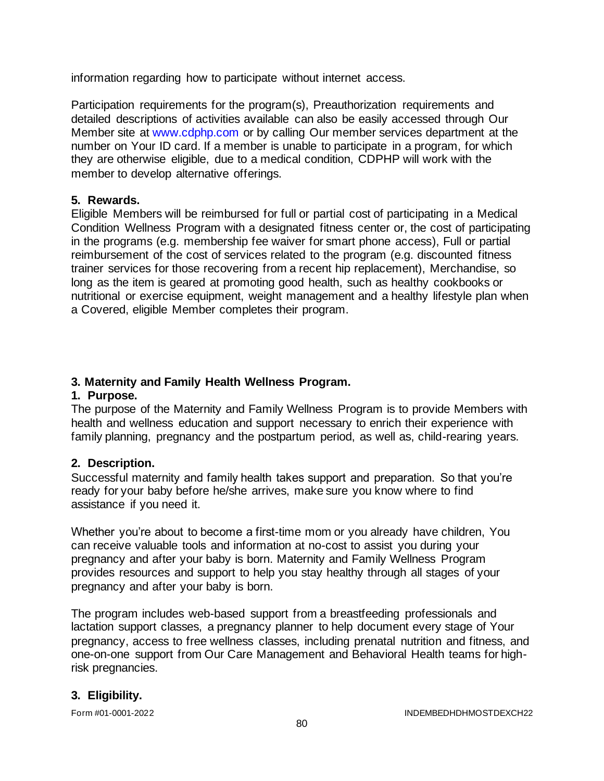information regarding how to participate without internet access.

Participation requirements for the program(s), Preauthorization requirements and detailed descriptions of activities available can also be easily accessed through Our Member site at [www.cdphp.com](http://www.cdphp.com/) or by calling Our member services department at the number on Your ID card. If a member is unable to participate in a program, for which they are otherwise eligible, due to a medical condition, CDPHP will work with the member to develop alternative offerings.

### **5. Rewards.**

Eligible Members will be reimbursed for full or partial cost of participating in a Medical Condition Wellness Program with a designated fitness center or, the cost of participating in the programs (e.g. membership fee waiver for smart phone access), Full or partial reimbursement of the cost of services related to the program (e.g. discounted fitness trainer services for those recovering from a recent hip replacement), Merchandise, so long as the item is geared at promoting good health, such as healthy cookbooks or nutritional or exercise equipment, weight management and a healthy lifestyle plan when a Covered, eligible Member completes their program.

### **3. Maternity and Family Health Wellness Program.**

### **1. Purpose.**

The purpose of the Maternity and Family Wellness Program is to provide Members with health and wellness education and support necessary to enrich their experience with family planning, pregnancy and the postpartum period, as well as, child-rearing years.

## **2. Description.**

Successful maternity and family health takes support and preparation. So that you're ready for your baby before he/she arrives, make sure you know where to find assistance if you need it.

Whether you're about to become a first-time mom or you already have children, You can receive valuable tools and information at no-cost to assist you during your pregnancy and after your baby is born. Maternity and Family Wellness Program provides resources and support to help you stay healthy through all stages of your pregnancy and after your baby is born.

The program includes web-based support from a breastfeeding professionals and lactation support classes, a pregnancy planner to help document every stage of Your pregnancy, access to free wellness classes, including prenatal nutrition and fitness, and one-on-one support from Our Care Management and Behavioral Health teams for highrisk pregnancies.

## **3. Eligibility.**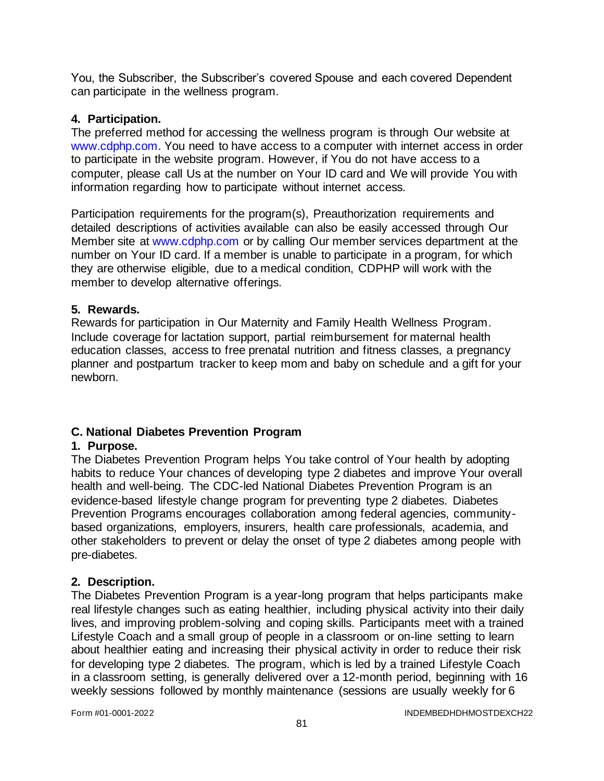You, the Subscriber, the Subscriber's covered Spouse and each covered Dependent can participate in the wellness program.

### **4. Participation.**

The preferred method for accessing the wellness program is through Our website at [www.cdphp.com.](http://www.cdphp.com/) You need to have access to a computer with internet access in order to participate in the website program. However, if You do not have access to a computer, please call Us at the number on Your ID card and We will provide You with information regarding how to participate without internet access.

Participation requirements for the program(s), Preauthorization requirements and detailed descriptions of activities available can also be easily accessed through Our Member site at [www.cdphp.com](http://www.cdphp.com/) or by calling Our member services department at the number on Your ID card. If a member is unable to participate in a program, for which they are otherwise eligible, due to a medical condition, CDPHP will work with the member to develop alternative offerings.

### **5. Rewards.**

Rewards for participation in Our Maternity and Family Health Wellness Program. Include coverage for lactation support, partial reimbursement for maternal health education classes, access to free prenatal nutrition and fitness classes, a pregnancy planner and postpartum tracker to keep mom and baby on schedule and a gift for your newborn.

## **C. National Diabetes Prevention Program**

### **1. Purpose.**

The Diabetes Prevention Program helps You take control of Your health by adopting habits to reduce Your chances of developing type 2 diabetes and improve Your overall health and well-being. The CDC-led National Diabetes Prevention Program is an evidence-based lifestyle change program for preventing type 2 diabetes. Diabetes Prevention Programs encourages collaboration among federal agencies, communitybased organizations, employers, insurers, health care professionals, academia, and other stakeholders to prevent or delay the onset of type 2 diabetes among people with pre-diabetes.

### **2. Description.**

The Diabetes Prevention Program is a year-long program that helps participants make real lifestyle changes such as eating healthier, including physical activity into their daily lives, and improving problem-solving and coping skills. Participants meet with a trained Lifestyle Coach and a small group of people in a classroom or on-line setting to learn about healthier eating and increasing their physical activity in order to reduce their risk for developing type 2 diabetes. The program, which is led by a trained Lifestyle Coach in a classroom setting, is generally delivered over a 12-month period, beginning with 16 weekly sessions followed by monthly maintenance (sessions are usually weekly for 6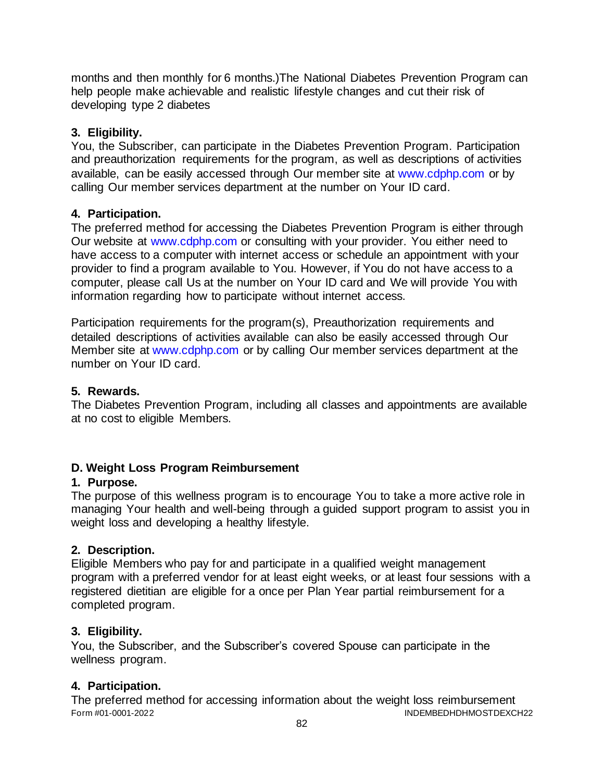months and then monthly for 6 months.)The National Diabetes Prevention Program can help people make achievable and realistic lifestyle changes and cut their risk of developing type 2 diabetes

## **3. Eligibility.**

You, the Subscriber, can participate in the Diabetes Prevention Program. Participation and preauthorization requirements for the program, as well as descriptions of activities available, can be easily accessed through Our member site at [www.cdphp.com](http://www.cdphp.com/) or by calling Our member services department at the number on Your ID card.

# **4. Participation.**

The preferred method for accessing the Diabetes Prevention Program is either through Our website at [www.cdphp.com](http://www.cdphp.com/) or consulting with your provider. You either need to have access to a computer with internet access or schedule an appointment with your provider to find a program available to You. However, if You do not have access to a computer, please call Us at the number on Your ID card and We will provide You with information regarding how to participate without internet access.

Participation requirements for the program(s), Preauthorization requirements and detailed descriptions of activities available can also be easily accessed through Our Member site at [www.cdphp.com](http://www.cdphp.com/) or by calling Our member services department at the number on Your ID card.

## **5. Rewards.**

The Diabetes Prevention Program, including all classes and appointments are available at no cost to eligible Members.

# **D. Weight Loss Program Reimbursement**

## **1. Purpose.**

The purpose of this wellness program is to encourage You to take a more active role in managing Your health and well-being through a guided support program to assist you in weight loss and developing a healthy lifestyle.

# **2. Description.**

Eligible Members who pay for and participate in a qualified weight management program with a preferred vendor for at least eight weeks, or at least four sessions with a registered dietitian are eligible for a once per Plan Year partial reimbursement for a completed program.

# **3. Eligibility.**

You, the Subscriber, and the Subscriber's covered Spouse can participate in the wellness program.

# **4. Participation.**

Form #01-0001-2022 INDEMBEDHDHMOSTDEXCH22 The preferred method for accessing information about the weight loss reimbursement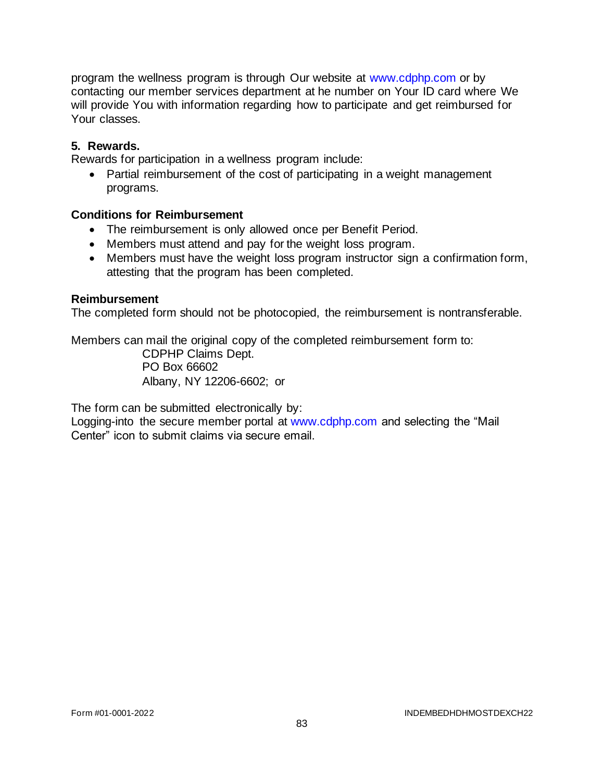program the wellness program is through Our website at [www.cdphp.com](http://www.cdphp.com/) or by contacting our member services department at he number on Your ID card where We will provide You with information regarding how to participate and get reimbursed for Your classes.

#### **5. Rewards.**

Rewards for participation in a wellness program include:

• Partial reimbursement of the cost of participating in a weight management programs.

#### **Conditions for Reimbursement**

- The reimbursement is only allowed once per Benefit Period.
- Members must attend and pay for the weight loss program.
- Members must have the weight loss program instructor sign a confirmation form, attesting that the program has been completed.

#### **Reimbursement**

The completed form should not be photocopied, the reimbursement is nontransferable.

Members can mail the original copy of the completed reimbursement form to:

CDPHP Claims Dept. PO Box 66602 Albany, NY 12206-6602; or

The form can be submitted electronically by:

Logging-into the secure member portal at [www.cdphp.com](http://www.cdphp.com/) and selecting the "Mail Center" icon to submit claims via secure email.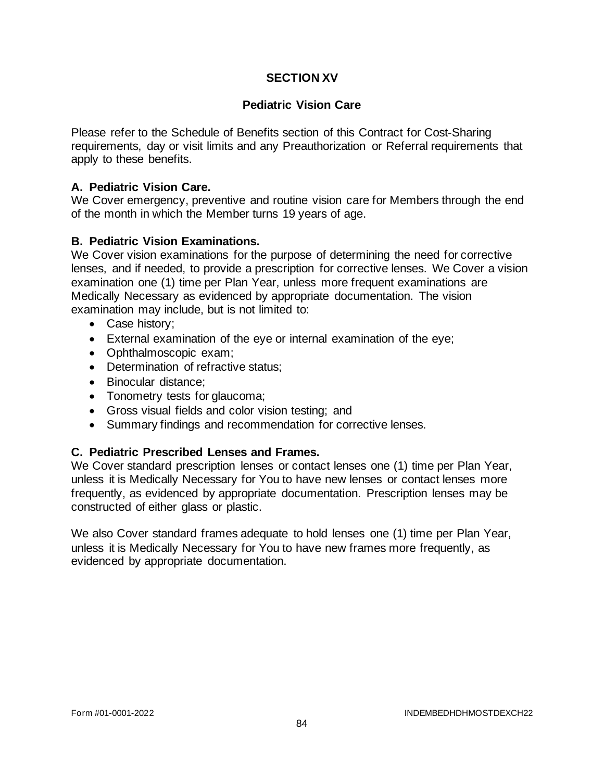### **SECTION XV**

### **Pediatric Vision Care**

Please refer to the Schedule of Benefits section of this Contract for Cost-Sharing requirements, day or visit limits and any Preauthorization or Referral requirements that apply to these benefits.

### **A. Pediatric Vision Care.**

We Cover emergency, preventive and routine vision care for Members through the end of the month in which the Member turns 19 years of age.

### **B. Pediatric Vision Examinations.**

We Cover vision examinations for the purpose of determining the need for corrective lenses, and if needed, to provide a prescription for corrective lenses. We Cover a vision examination one (1) time per Plan Year, unless more frequent examinations are Medically Necessary as evidenced by appropriate documentation. The vision examination may include, but is not limited to:

- Case history;
- External examination of the eye or internal examination of the eye;
- Ophthalmoscopic exam;
- Determination of refractive status;
- Binocular distance;
- Tonometry tests for glaucoma;
- Gross visual fields and color vision testing; and
- Summary findings and recommendation for corrective lenses.

### **C. Pediatric Prescribed Lenses and Frames.**

We Cover standard prescription lenses or contact lenses one (1) time per Plan Year, unless it is Medically Necessary for You to have new lenses or contact lenses more frequently, as evidenced by appropriate documentation. Prescription lenses may be constructed of either glass or plastic.

We also Cover standard frames adequate to hold lenses one (1) time per Plan Year, unless it is Medically Necessary for You to have new frames more frequently, as evidenced by appropriate documentation.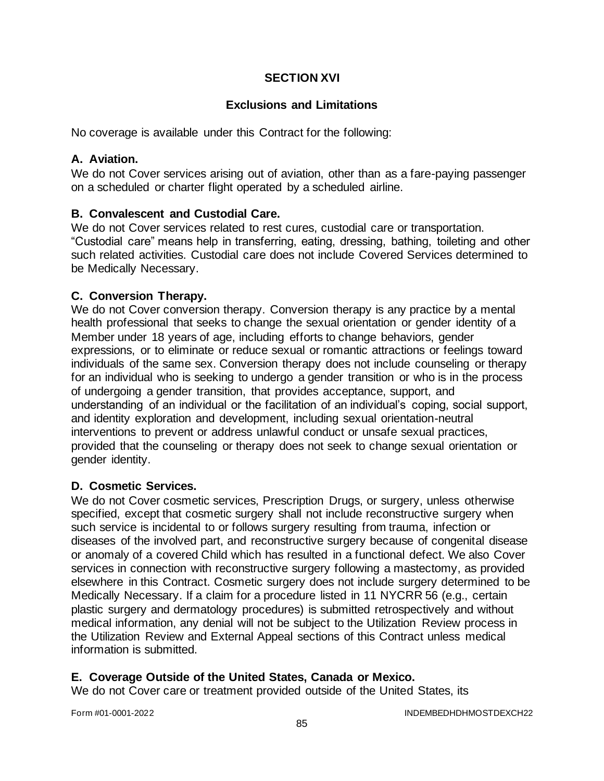## **SECTION XVI**

### **Exclusions and Limitations**

No coverage is available under this Contract for the following:

#### **A. Aviation.**

We do not Cover services arising out of aviation, other than as a fare-paying passenger on a scheduled or charter flight operated by a scheduled airline.

### **B. Convalescent and Custodial Care.**

We do not Cover services related to rest cures, custodial care or transportation. "Custodial care" means help in transferring, eating, dressing, bathing, toileting and other such related activities. Custodial care does not include Covered Services determined to be Medically Necessary.

### **C. Conversion Therapy.**

We do not Cover conversion therapy. Conversion therapy is any practice by a mental health professional that seeks to change the sexual orientation or gender identity of a Member under 18 years of age, including efforts to change behaviors, gender expressions, or to eliminate or reduce sexual or romantic attractions or feelings toward individuals of the same sex. Conversion therapy does not include counseling or therapy for an individual who is seeking to undergo a gender transition or who is in the process of undergoing a gender transition, that provides acceptance, support, and understanding of an individual or the facilitation of an individual's coping, social support, and identity exploration and development, including sexual orientation-neutral interventions to prevent or address unlawful conduct or unsafe sexual practices, provided that the counseling or therapy does not seek to change sexual orientation or gender identity.

### **D. Cosmetic Services.**

We do not Cover cosmetic services, Prescription Drugs, or surgery, unless otherwise specified, except that cosmetic surgery shall not include reconstructive surgery when such service is incidental to or follows surgery resulting from trauma, infection or diseases of the involved part, and reconstructive surgery because of congenital disease or anomaly of a covered Child which has resulted in a functional defect. We also Cover services in connection with reconstructive surgery following a mastectomy, as provided elsewhere in this Contract. Cosmetic surgery does not include surgery determined to be Medically Necessary. If a claim for a procedure listed in 11 NYCRR 56 (e.g., certain plastic surgery and dermatology procedures) is submitted retrospectively and without medical information, any denial will not be subject to the Utilization Review process in the Utilization Review and External Appeal sections of this Contract unless medical information is submitted.

### **E. Coverage Outside of the United States, Canada or Mexico.**

We do not Cover care or treatment provided outside of the United States, its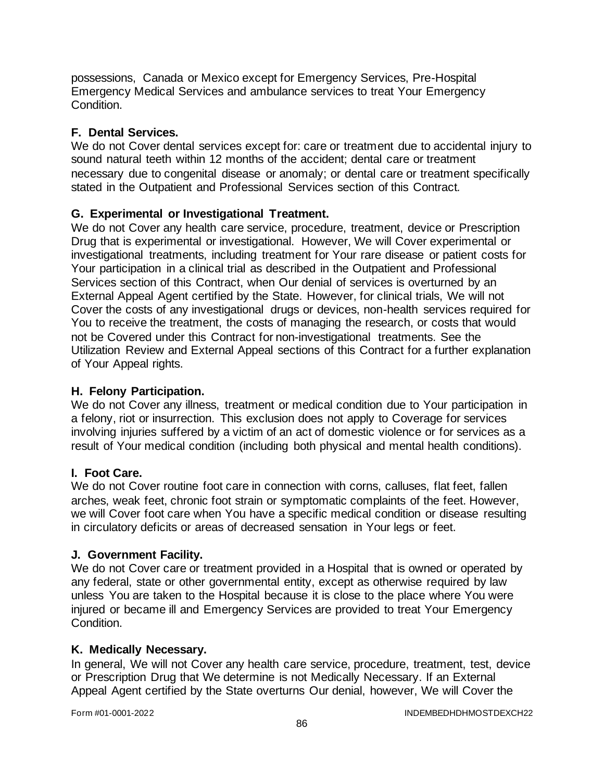possessions, Canada or Mexico except for Emergency Services, Pre-Hospital Emergency Medical Services and ambulance services to treat Your Emergency Condition.

## **F. Dental Services.**

We do not Cover dental services except for: care or treatment due to accidental injury to sound natural teeth within 12 months of the accident; dental care or treatment necessary due to congenital disease or anomaly; or dental care or treatment specifically stated in the Outpatient and Professional Services section of this Contract*.*

### **G. Experimental or Investigational Treatment.**

We do not Cover any health care service, procedure, treatment, device or Prescription Drug that is experimental or investigational. However, We will Cover experimental or investigational treatments, including treatment for Your rare disease or patient costs for Your participation in a clinical trial as described in the Outpatient and Professional Services section of this Contract, when Our denial of services is overturned by an External Appeal Agent certified by the State. However, for clinical trials, We will not Cover the costs of any investigational drugs or devices, non-health services required for You to receive the treatment, the costs of managing the research, or costs that would not be Covered under this Contract for non-investigational treatments. See the Utilization Review and External Appeal sections of this Contract for a further explanation of Your Appeal rights.

### **H. Felony Participation.**

We do not Cover any illness, treatment or medical condition due to Your participation in a felony, riot or insurrection. This exclusion does not apply to Coverage for services involving injuries suffered by a victim of an act of domestic violence or for services as a result of Your medical condition (including both physical and mental health conditions).

### **I. Foot Care.**

We do not Cover routine foot care in connection with corns, calluses, flat feet, fallen arches, weak feet, chronic foot strain or symptomatic complaints of the feet. However, we will Cover foot care when You have a specific medical condition or disease resulting in circulatory deficits or areas of decreased sensation in Your legs or feet.

### **J. Government Facility.**

We do not Cover care or treatment provided in a Hospital that is owned or operated by any federal, state or other governmental entity, except as otherwise required by law unless You are taken to the Hospital because it is close to the place where You were injured or became ill and Emergency Services are provided to treat Your Emergency **Condition** 

### **K. Medically Necessary.**

In general, We will not Cover any health care service, procedure, treatment, test, device or Prescription Drug that We determine is not Medically Necessary. If an External Appeal Agent certified by the State overturns Our denial, however, We will Cover the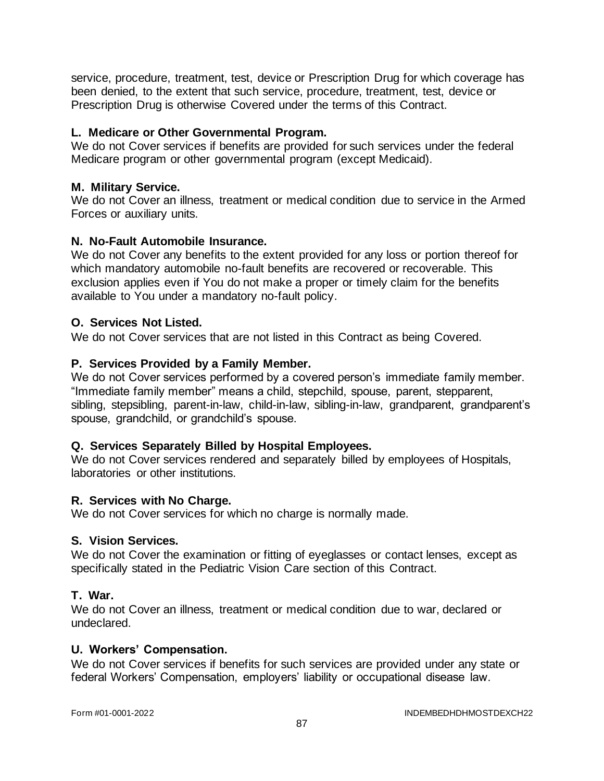service, procedure, treatment, test, device or Prescription Drug for which coverage has been denied, to the extent that such service, procedure, treatment, test, device or Prescription Drug is otherwise Covered under the terms of this Contract.

### **L. Medicare or Other Governmental Program.**

We do not Cover services if benefits are provided for such services under the federal Medicare program or other governmental program (except Medicaid).

### **M. Military Service.**

We do not Cover an illness, treatment or medical condition due to service in the Armed Forces or auxiliary units.

### **N. No-Fault Automobile Insurance.**

We do not Cover any benefits to the extent provided for any loss or portion thereof for which mandatory automobile no-fault benefits are recovered or recoverable. This exclusion applies even if You do not make a proper or timely claim for the benefits available to You under a mandatory no-fault policy.

### **O. Services Not Listed.**

We do not Cover services that are not listed in this Contract as being Covered.

### **P. Services Provided by a Family Member.**

We do not Cover services performed by a covered person's immediate family member. "Immediate family member" means a child, stepchild, spouse, parent, stepparent, sibling, stepsibling, parent-in-law, child-in-law, sibling-in-law, grandparent, grandparent's spouse, grandchild, or grandchild's spouse.

## **Q. Services Separately Billed by Hospital Employees.**

We do not Cover services rendered and separately billed by employees of Hospitals, laboratories or other institutions.

### **R. Services with No Charge.**

We do not Cover services for which no charge is normally made.

### **S. Vision Services.**

We do not Cover the examination or fitting of eyeglasses or contact lenses, except as specifically stated in the Pediatric Vision Care section of this Contract.

### **T. War.**

We do not Cover an illness, treatment or medical condition due to war, declared or undeclared.

### **U. Workers' Compensation.**

We do not Cover services if benefits for such services are provided under any state or federal Workers' Compensation, employers' liability or occupational disease law.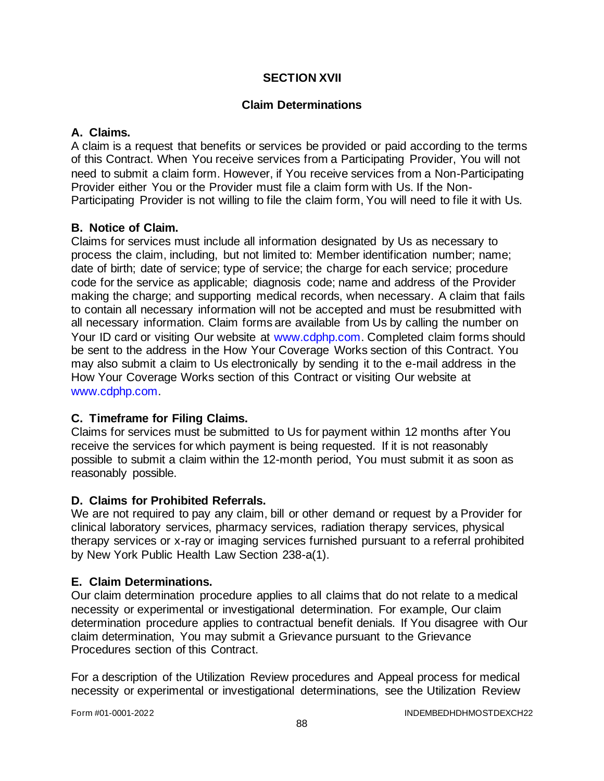### **SECTION XVII**

### **Claim Determinations**

### **A. Claims.**

A claim is a request that benefits or services be provided or paid according to the terms of this Contract. When You receive services from a Participating Provider, You will not need to submit a claim form. However, if You receive services from a Non-Participating Provider either You or the Provider must file a claim form with Us. If the Non-Participating Provider is not willing to file the claim form, You will need to file it with Us.

### **B. Notice of Claim.**

Claims for services must include all information designated by Us as necessary to process the claim, including, but not limited to: Member identification number; name; date of birth; date of service; type of service; the charge for each service; procedure code for the service as applicable; diagnosis code; name and address of the Provider making the charge; and supporting medical records, when necessary. A claim that fails to contain all necessary information will not be accepted and must be resubmitted with all necessary information. Claim forms are available from Us by calling the number on Your ID card or visiting Our website at [www.cdphp.com.](http://www.cdphp.com/) Completed claim forms should be sent to the address in the How Your Coverage Works section of this Contract. You may also submit a claim to Us electronically by sending it to the e-mail address in the How Your Coverage Works section of this Contract or visiting Our website at [www.cdphp.com.](http://www.cdphp.com/)

### **C. Timeframe for Filing Claims.**

Claims for services must be submitted to Us for payment within 12 months after You receive the services for which payment is being requested. If it is not reasonably possible to submit a claim within the 12-month period, You must submit it as soon as reasonably possible.

### **D. Claims for Prohibited Referrals.**

We are not required to pay any claim, bill or other demand or request by a Provider for clinical laboratory services, pharmacy services, radiation therapy services, physical therapy services or x-ray or imaging services furnished pursuant to a referral prohibited by New York Public Health Law Section 238-a(1).

### **E. Claim Determinations.**

Our claim determination procedure applies to all claims that do not relate to a medical necessity or experimental or investigational determination. For example, Our claim determination procedure applies to contractual benefit denials. If You disagree with Our claim determination, You may submit a Grievance pursuant to the Grievance Procedures section of this Contract.

For a description of the Utilization Review procedures and Appeal process for medical necessity or experimental or investigational determinations, see the Utilization Review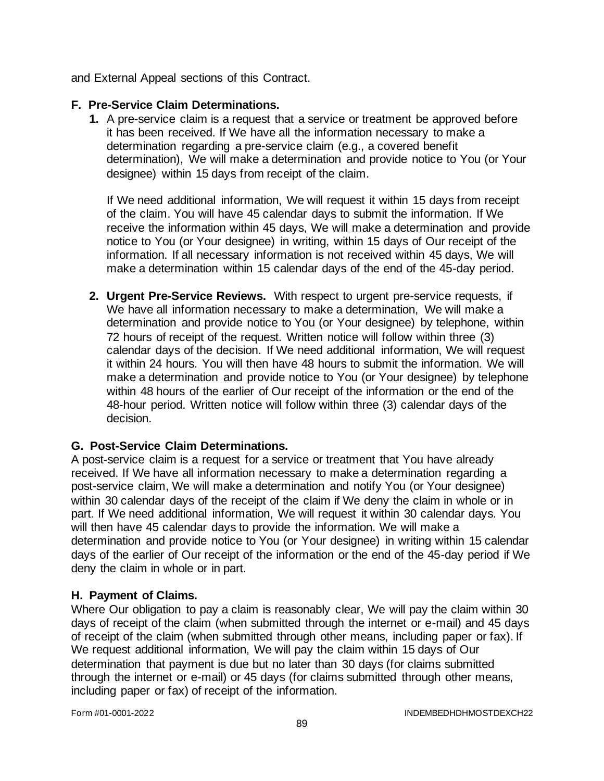and External Appeal sections of this Contract.

### **F. Pre-Service Claim Determinations.**

**1.** A pre-service claim is a request that a service or treatment be approved before it has been received. If We have all the information necessary to make a determination regarding a pre-service claim (e.g., a covered benefit determination), We will make a determination and provide notice to You (or Your designee) within 15 days from receipt of the claim.

If We need additional information, We will request it within 15 days from receipt of the claim. You will have 45 calendar days to submit the information. If We receive the information within 45 days, We will make a determination and provide notice to You (or Your designee) in writing, within 15 days of Our receipt of the information. If all necessary information is not received within 45 days, We will make a determination within 15 calendar days of the end of the 45-day period.

**2. Urgent Pre-Service Reviews.** With respect to urgent pre-service requests, if We have all information necessary to make a determination, We will make a determination and provide notice to You (or Your designee) by telephone, within 72 hours of receipt of the request. Written notice will follow within three (3) calendar days of the decision. If We need additional information, We will request it within 24 hours. You will then have 48 hours to submit the information. We will make a determination and provide notice to You (or Your designee) by telephone within 48 hours of the earlier of Our receipt of the information or the end of the 48-hour period. Written notice will follow within three (3) calendar days of the decision.

### **G. Post-Service Claim Determinations.**

A post-service claim is a request for a service or treatment that You have already received. If We have all information necessary to make a determination regarding a post-service claim, We will make a determination and notify You (or Your designee) within 30 calendar days of the receipt of the claim if We deny the claim in whole or in part. If We need additional information, We will request it within 30 calendar days. You will then have 45 calendar days to provide the information. We will make a determination and provide notice to You (or Your designee) in writing within 15 calendar days of the earlier of Our receipt of the information or the end of the 45-day period if We deny the claim in whole or in part.

### **H. Payment of Claims.**

Where Our obligation to pay a claim is reasonably clear, We will pay the claim within 30 days of receipt of the claim (when submitted through the internet or e-mail) and 45 days of receipt of the claim (when submitted through other means, including paper or fax). If We request additional information, We will pay the claim within 15 days of Our determination that payment is due but no later than 30 days (for claims submitted through the internet or e-mail) or 45 days (for claims submitted through other means, including paper or fax) of receipt of the information.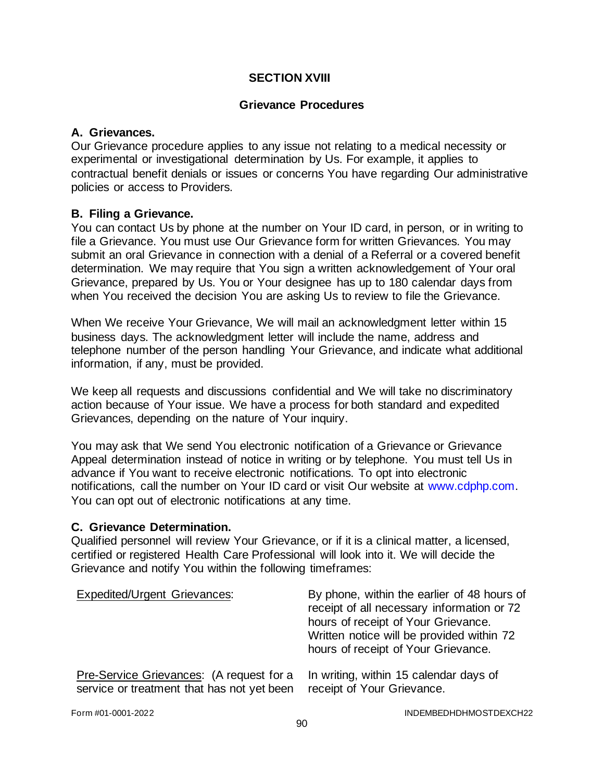### **SECTION XVIII**

#### **Grievance Procedures**

### **A. Grievances.**

Our Grievance procedure applies to any issue not relating to a medical necessity or experimental or investigational determination by Us. For example, it applies to contractual benefit denials or issues or concerns You have regarding Our administrative policies or access to Providers.

#### **B. Filing a Grievance.**

You can contact Us by phone at the number on Your ID card, in person, or in writing to file a Grievance. You must use Our Grievance form for written Grievances. You may submit an oral Grievance in connection with a denial of a Referral or a covered benefit determination. We may require that You sign a written acknowledgement of Your oral Grievance, prepared by Us. You or Your designee has up to 180 calendar days from when You received the decision You are asking Us to review to file the Grievance.

When We receive Your Grievance, We will mail an acknowledgment letter within 15 business days. The acknowledgment letter will include the name, address and telephone number of the person handling Your Grievance, and indicate what additional information, if any, must be provided.

We keep all requests and discussions confidential and We will take no discriminatory action because of Your issue. We have a process for both standard and expedited Grievances, depending on the nature of Your inquiry.

You may ask that We send You electronic notification of a Grievance or Grievance Appeal determination instead of notice in writing or by telephone. You must tell Us in advance if You want to receive electronic notifications. To opt into electronic notifications, call the number on Your ID card or visit Our website at [www.cdphp.com.](http://www.cdphp.com/) You can opt out of electronic notifications at any time.

#### **C. Grievance Determination.**

Qualified personnel will review Your Grievance, or if it is a clinical matter, a licensed, certified or registered Health Care Professional will look into it. We will decide the Grievance and notify You within the following timeframes:

| <b>Expedited/Urgent Grievances:</b>        | By phone, within the earlier of 48 hours of<br>receipt of all necessary information or 72<br>hours of receipt of Your Grievance.<br>Written notice will be provided within 72<br>hours of receipt of Your Grievance. |
|--------------------------------------------|----------------------------------------------------------------------------------------------------------------------------------------------------------------------------------------------------------------------|
| Pre-Service Grievances: (A request for a   | In writing, within 15 calendar days of                                                                                                                                                                               |
| service or treatment that has not yet been | receipt of Your Grievance.                                                                                                                                                                                           |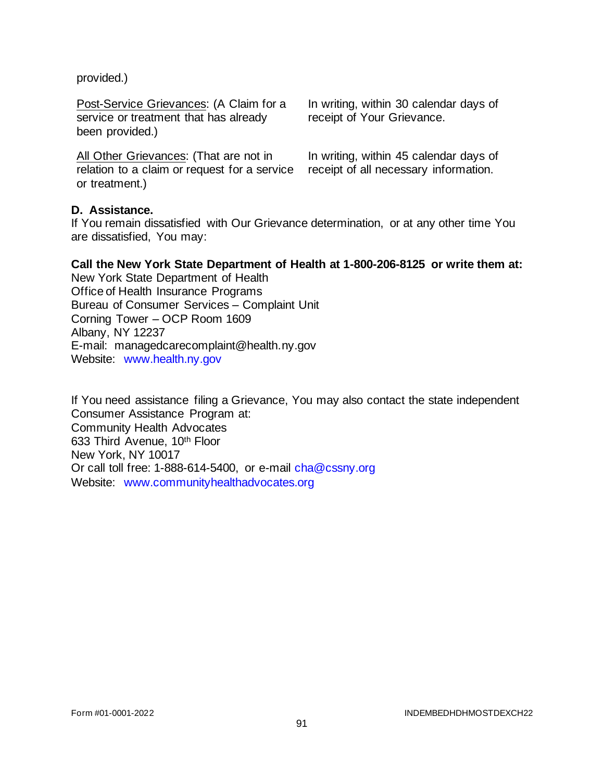provided.)

Post-Service Grievances: (A Claim for a service or treatment that has already been provided.)

All Other Grievances: (That are not in relation to a claim or request for a service or treatment.)

In writing, within 30 calendar days of receipt of Your Grievance.

In writing, within 45 calendar days of receipt of all necessary information.

### **D. Assistance.**

If You remain dissatisfied with Our Grievance determination, or at any other time You are dissatisfied, You may:

#### **Call the New York State Department of Health at 1-800-206-8125 or write them at:**

New York State Department of Health Office of Health Insurance Programs Bureau of Consumer Services – Complaint Unit Corning Tower – OCP Room 1609 Albany, NY 12237 E-mail: managedcarecomplaint@health.ny.gov Website: [www.health.ny.gov](http://www.health.ny.gov/) 

If You need assistance filing a Grievance, You may also contact the state independent Consumer Assistance Program at: Community Health Advocates 633 Third Avenue, 10th Floor New York, NY 10017 Or call toll free: 1-888-614-5400, or e-mail [cha@cssny.org](mailto:cha@cssny.org) Website: [www.communityhealthadvocates.org](http://www.communityhealthadvocates.org/)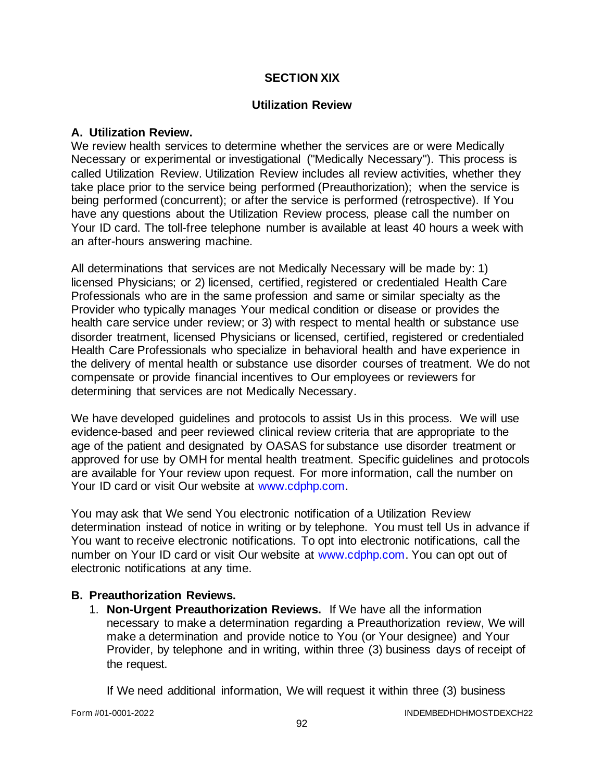### **SECTION XIX**

#### **Utilization Review**

#### **A. Utilization Review.**

We review health services to determine whether the services are or were Medically Necessary or experimental or investigational ("Medically Necessary"). This process is called Utilization Review. Utilization Review includes all review activities, whether they take place prior to the service being performed (Preauthorization); when the service is being performed (concurrent); or after the service is performed (retrospective). If You have any questions about the Utilization Review process, please call the number on Your ID card. The toll-free telephone number is available at least 40 hours a week with an after-hours answering machine.

All determinations that services are not Medically Necessary will be made by: 1) licensed Physicians; or 2) licensed, certified, registered or credentialed Health Care Professionals who are in the same profession and same or similar specialty as the Provider who typically manages Your medical condition or disease or provides the health care service under review; or 3) with respect to mental health or substance use disorder treatment, licensed Physicians or licensed, certified, registered or credentialed Health Care Professionals who specialize in behavioral health and have experience in the delivery of mental health or substance use disorder courses of treatment. We do not compensate or provide financial incentives to Our employees or reviewers for determining that services are not Medically Necessary.

We have developed quidelines and protocols to assist Us in this process. We will use evidence-based and peer reviewed clinical review criteria that are appropriate to the age of the patient and designated by OASAS for substance use disorder treatment or approved for use by OMH for mental health treatment. Specific guidelines and protocols are available for Your review upon request. For more information, call the number on Your ID card or visit Our website at [www.cdphp.com.](http://www.cdphp.com/)

You may ask that We send You electronic notification of a Utilization Review determination instead of notice in writing or by telephone. You must tell Us in advance if You want to receive electronic notifications. To opt into electronic notifications, call the number on Your ID card or visit Our website at [www.cdphp.com.](http://www.cdphp.com/) You can opt out of electronic notifications at any time.

#### **B. Preauthorization Reviews.**

1. **Non-Urgent Preauthorization Reviews.** If We have all the information necessary to make a determination regarding a Preauthorization review, We will make a determination and provide notice to You (or Your designee) and Your Provider, by telephone and in writing, within three (3) business days of receipt of the request.

If We need additional information, We will request it within three (3) business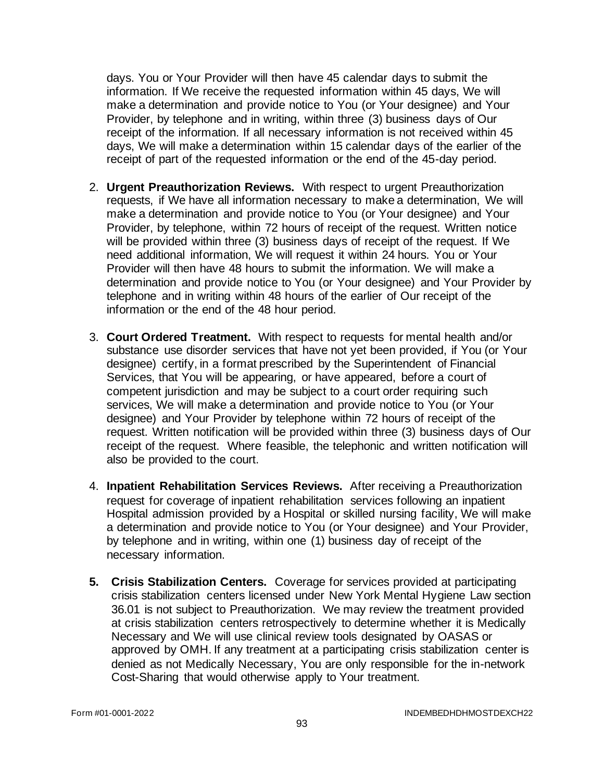days. You or Your Provider will then have 45 calendar days to submit the information. If We receive the requested information within 45 days, We will make a determination and provide notice to You (or Your designee) and Your Provider, by telephone and in writing, within three (3) business days of Our receipt of the information. If all necessary information is not received within 45 days, We will make a determination within 15 calendar days of the earlier of the receipt of part of the requested information or the end of the 45-day period.

- 2. **Urgent Preauthorization Reviews.** With respect to urgent Preauthorization requests, if We have all information necessary to make a determination, We will make a determination and provide notice to You (or Your designee) and Your Provider, by telephone, within 72 hours of receipt of the request. Written notice will be provided within three (3) business days of receipt of the request. If We need additional information, We will request it within 24 hours. You or Your Provider will then have 48 hours to submit the information. We will make a determination and provide notice to You (or Your designee) and Your Provider by telephone and in writing within 48 hours of the earlier of Our receipt of the information or the end of the 48 hour period.
- 3. **Court Ordered Treatment.** With respect to requests for mental health and/or substance use disorder services that have not yet been provided, if You (or Your designee) certify, in a format prescribed by the Superintendent of Financial Services, that You will be appearing, or have appeared, before a court of competent jurisdiction and may be subject to a court order requiring such services, We will make a determination and provide notice to You (or Your designee) and Your Provider by telephone within 72 hours of receipt of the request. Written notification will be provided within three (3) business days of Our receipt of the request. Where feasible, the telephonic and written notification will also be provided to the court.
- 4. **Inpatient Rehabilitation Services Reviews.** After receiving a Preauthorization request for coverage of inpatient rehabilitation services following an inpatient Hospital admission provided by a Hospital or skilled nursing facility, We will make a determination and provide notice to You (or Your designee) and Your Provider, by telephone and in writing, within one (1) business day of receipt of the necessary information.
- **5. Crisis Stabilization Centers.** Coverage for services provided at participating crisis stabilization centers licensed under New York Mental Hygiene Law section 36.01 is not subject to Preauthorization. We may review the treatment provided at crisis stabilization centers retrospectively to determine whether it is Medically Necessary and We will use clinical review tools designated by OASAS or approved by OMH. If any treatment at a participating crisis stabilization center is denied as not Medically Necessary, You are only responsible for the in-network Cost-Sharing that would otherwise apply to Your treatment.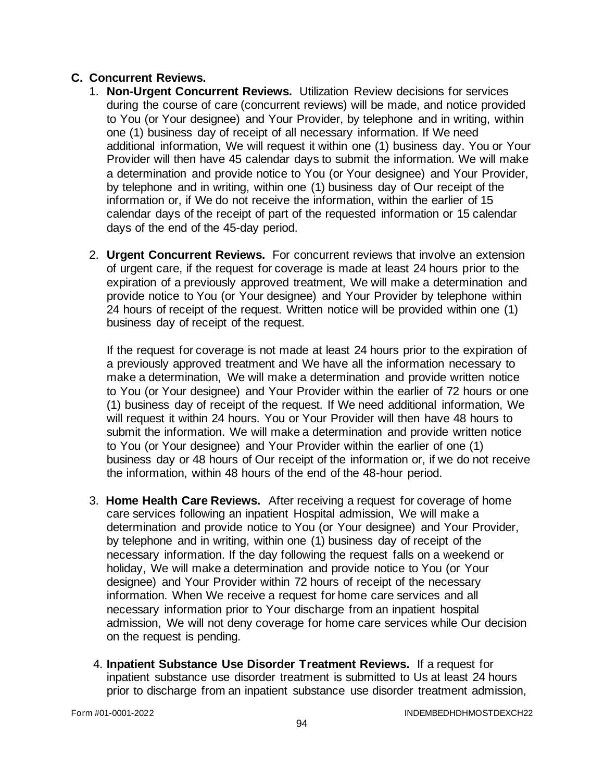### **C. Concurrent Reviews.**

- 1. **Non-Urgent Concurrent Reviews.** Utilization Review decisions for services during the course of care (concurrent reviews) will be made, and notice provided to You (or Your designee) and Your Provider, by telephone and in writing, within one (1) business day of receipt of all necessary information. If We need additional information, We will request it within one (1) business day. You or Your Provider will then have 45 calendar days to submit the information. We will make a determination and provide notice to You (or Your designee) and Your Provider, by telephone and in writing, within one (1) business day of Our receipt of the information or, if We do not receive the information, within the earlier of 15 calendar days of the receipt of part of the requested information or 15 calendar days of the end of the 45-day period.
- 2. **Urgent Concurrent Reviews.** For concurrent reviews that involve an extension of urgent care, if the request for coverage is made at least 24 hours prior to the expiration of a previously approved treatment, We will make a determination and provide notice to You (or Your designee) and Your Provider by telephone within 24 hours of receipt of the request. Written notice will be provided within one (1) business day of receipt of the request.

If the request for coverage is not made at least 24 hours prior to the expiration of a previously approved treatment and We have all the information necessary to make a determination, We will make a determination and provide written notice to You (or Your designee) and Your Provider within the earlier of 72 hours or one (1) business day of receipt of the request. If We need additional information, We will request it within 24 hours. You or Your Provider will then have 48 hours to submit the information. We will make a determination and provide written notice to You (or Your designee) and Your Provider within the earlier of one (1) business day or 48 hours of Our receipt of the information or, if we do not receive the information, within 48 hours of the end of the 48-hour period.

- 3. **Home Health Care Reviews.** After receiving a request for coverage of home care services following an inpatient Hospital admission, We will make a determination and provide notice to You (or Your designee) and Your Provider, by telephone and in writing, within one (1) business day of receipt of the necessary information. If the day following the request falls on a weekend or holiday, We will make a determination and provide notice to You (or Your designee) and Your Provider within 72 hours of receipt of the necessary information. When We receive a request for home care services and all necessary information prior to Your discharge from an inpatient hospital admission, We will not deny coverage for home care services while Our decision on the request is pending.
- 4. **Inpatient Substance Use Disorder Treatment Reviews.** If a request for inpatient substance use disorder treatment is submitted to Us at least 24 hours prior to discharge from an inpatient substance use disorder treatment admission,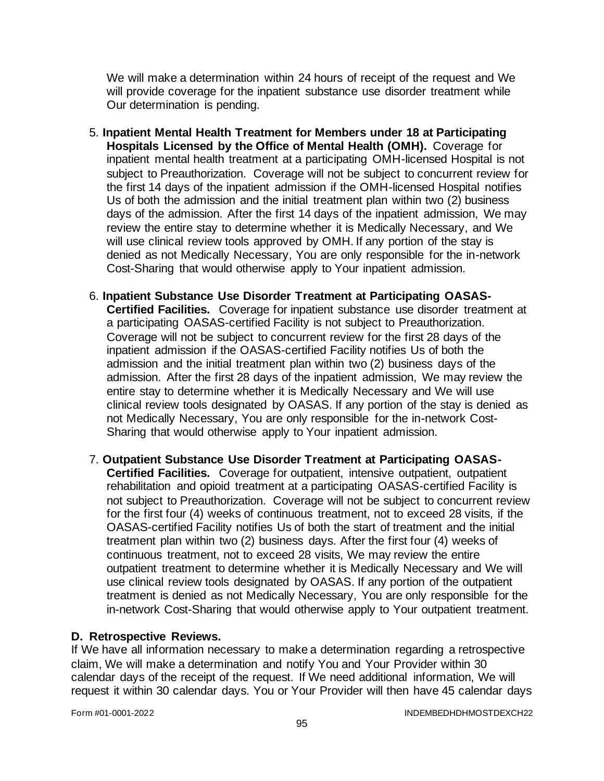We will make a determination within 24 hours of receipt of the request and We will provide coverage for the inpatient substance use disorder treatment while Our determination is pending.

- 5. **Inpatient Mental Health Treatment for Members under 18 at Participating Hospitals Licensed by the Office of Mental Health (OMH).** Coverage for inpatient mental health treatment at a participating OMH-licensed Hospital is not subject to Preauthorization. Coverage will not be subject to concurrent review for the first 14 days of the inpatient admission if the OMH-licensed Hospital notifies Us of both the admission and the initial treatment plan within two (2) business days of the admission. After the first 14 days of the inpatient admission, We may review the entire stay to determine whether it is Medically Necessary, and We will use clinical review tools approved by OMH. If any portion of the stay is denied as not Medically Necessary, You are only responsible for the in-network Cost-Sharing that would otherwise apply to Your inpatient admission.
- 6. **Inpatient Substance Use Disorder Treatment at Participating OASAS-Certified Facilities.** Coverage for inpatient substance use disorder treatment at a participating OASAS-certified Facility is not subject to Preauthorization. Coverage will not be subject to concurrent review for the first 28 days of the inpatient admission if the OASAS-certified Facility notifies Us of both the admission and the initial treatment plan within two (2) business days of the admission. After the first 28 days of the inpatient admission, We may review the entire stay to determine whether it is Medically Necessary and We will use clinical review tools designated by OASAS. If any portion of the stay is denied as not Medically Necessary, You are only responsible for the in-network Cost-Sharing that would otherwise apply to Your inpatient admission.
- 7. **Outpatient Substance Use Disorder Treatment at Participating OASAS-Certified Facilities.** Coverage for outpatient, intensive outpatient, outpatient rehabilitation and opioid treatment at a participating OASAS-certified Facility is not subject to Preauthorization. Coverage will not be subject to concurrent review for the first four (4) weeks of continuous treatment, not to exceed 28 visits, if the OASAS-certified Facility notifies Us of both the start of treatment and the initial treatment plan within two (2) business days. After the first four (4) weeks of continuous treatment, not to exceed 28 visits, We may review the entire outpatient treatment to determine whether it is Medically Necessary and We will use clinical review tools designated by OASAS. If any portion of the outpatient treatment is denied as not Medically Necessary, You are only responsible for the in-network Cost-Sharing that would otherwise apply to Your outpatient treatment.

### **D. Retrospective Reviews.**

If We have all information necessary to make a determination regarding a retrospective claim, We will make a determination and notify You and Your Provider within 30 calendar days of the receipt of the request. If We need additional information, We will request it within 30 calendar days. You or Your Provider will then have 45 calendar days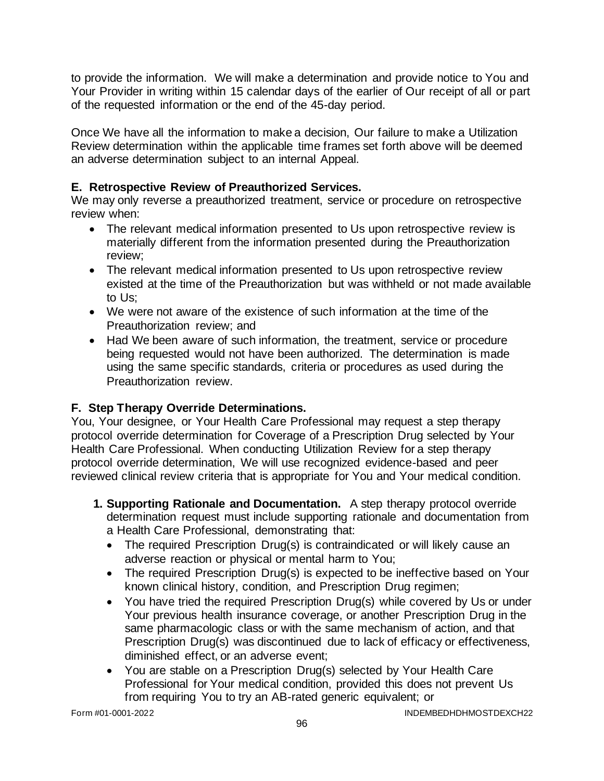to provide the information. We will make a determination and provide notice to You and Your Provider in writing within 15 calendar days of the earlier of Our receipt of all or part of the requested information or the end of the 45-day period.

Once We have all the information to make a decision, Our failure to make a Utilization Review determination within the applicable time frames set forth above will be deemed an adverse determination subject to an internal Appeal.

## **E. Retrospective Review of Preauthorized Services.**

We may only reverse a preauthorized treatment, service or procedure on retrospective review when:

- The relevant medical information presented to Us upon retrospective review is materially different from the information presented during the Preauthorization review;
- The relevant medical information presented to Us upon retrospective review existed at the time of the Preauthorization but was withheld or not made available to Us;
- We were not aware of the existence of such information at the time of the Preauthorization review; and
- Had We been aware of such information, the treatment, service or procedure being requested would not have been authorized. The determination is made using the same specific standards, criteria or procedures as used during the Preauthorization review.

# **F. Step Therapy Override Determinations.**

You, Your designee, or Your Health Care Professional may request a step therapy protocol override determination for Coverage of a Prescription Drug selected by Your Health Care Professional. When conducting Utilization Review for a step therapy protocol override determination, We will use recognized evidence-based and peer reviewed clinical review criteria that is appropriate for You and Your medical condition.

- **1. Supporting Rationale and Documentation.** A step therapy protocol override determination request must include supporting rationale and documentation from a Health Care Professional, demonstrating that:
	- The required Prescription Drug(s) is contraindicated or will likely cause an adverse reaction or physical or mental harm to You;
	- The required Prescription Drug(s) is expected to be ineffective based on Your known clinical history, condition, and Prescription Drug regimen;
	- You have tried the required Prescription Drug(s) while covered by Us or under Your previous health insurance coverage, or another Prescription Drug in the same pharmacologic class or with the same mechanism of action, and that Prescription Drug(s) was discontinued due to lack of efficacy or effectiveness, diminished effect, or an adverse event;
	- You are stable on a Prescription Drug(s) selected by Your Health Care Professional for Your medical condition, provided this does not prevent Us from requiring You to try an AB-rated generic equivalent; or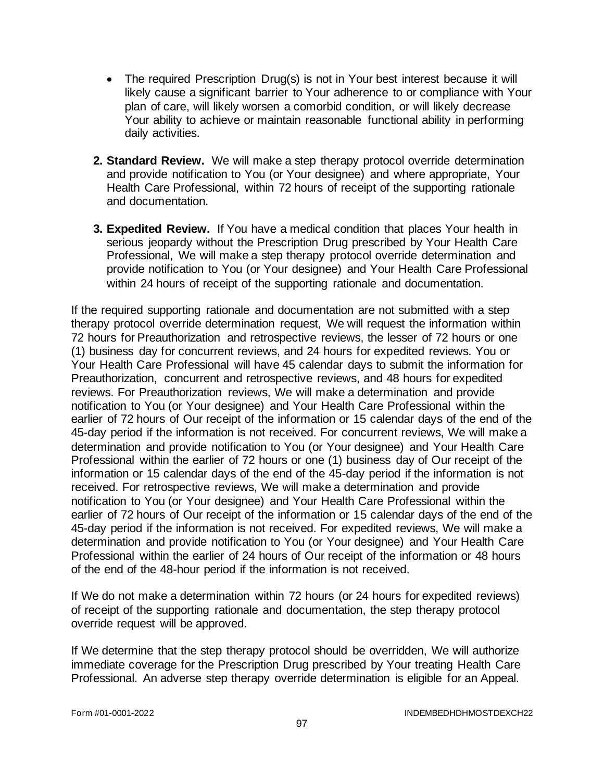- The required Prescription Drug(s) is not in Your best interest because it will likely cause a significant barrier to Your adherence to or compliance with Your plan of care, will likely worsen a comorbid condition, or will likely decrease Your ability to achieve or maintain reasonable functional ability in performing daily activities.
- **2. Standard Review.** We will make a step therapy protocol override determination and provide notification to You (or Your designee) and where appropriate, Your Health Care Professional, within 72 hours of receipt of the supporting rationale and documentation.
- **3. Expedited Review.** If You have a medical condition that places Your health in serious jeopardy without the Prescription Drug prescribed by Your Health Care Professional, We will make a step therapy protocol override determination and provide notification to You (or Your designee) and Your Health Care Professional within 24 hours of receipt of the supporting rationale and documentation.

If the required supporting rationale and documentation are not submitted with a step therapy protocol override determination request, We will request the information within 72 hours for Preauthorization and retrospective reviews, the lesser of 72 hours or one (1) business day for concurrent reviews, and 24 hours for expedited reviews. You or Your Health Care Professional will have 45 calendar days to submit the information for Preauthorization, concurrent and retrospective reviews, and 48 hours for expedited reviews. For Preauthorization reviews, We will make a determination and provide notification to You (or Your designee) and Your Health Care Professional within the earlier of 72 hours of Our receipt of the information or 15 calendar days of the end of the 45-day period if the information is not received. For concurrent reviews, We will make a determination and provide notification to You (or Your designee) and Your Health Care Professional within the earlier of 72 hours or one (1) business day of Our receipt of the information or 15 calendar days of the end of the 45-day period if the information is not received. For retrospective reviews, We will make a determination and provide notification to You (or Your designee) and Your Health Care Professional within the earlier of 72 hours of Our receipt of the information or 15 calendar days of the end of the 45-day period if the information is not received. For expedited reviews, We will make a determination and provide notification to You (or Your designee) and Your Health Care Professional within the earlier of 24 hours of Our receipt of the information or 48 hours of the end of the 48-hour period if the information is not received.

If We do not make a determination within 72 hours (or 24 hours for expedited reviews) of receipt of the supporting rationale and documentation, the step therapy protocol override request will be approved.

If We determine that the step therapy protocol should be overridden, We will authorize immediate coverage for the Prescription Drug prescribed by Your treating Health Care Professional. An adverse step therapy override determination is eligible for an Appeal.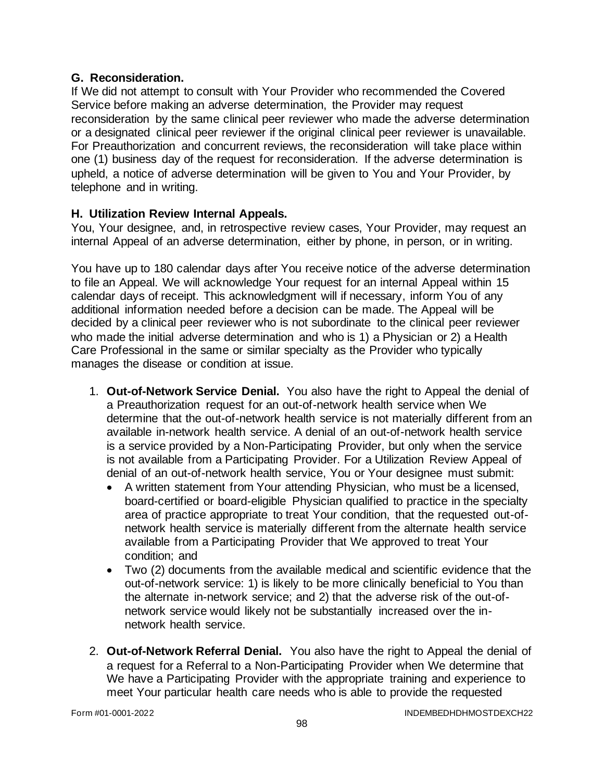### **G. Reconsideration.**

If We did not attempt to consult with Your Provider who recommended the Covered Service before making an adverse determination, the Provider may request reconsideration by the same clinical peer reviewer who made the adverse determination or a designated clinical peer reviewer if the original clinical peer reviewer is unavailable. For Preauthorization and concurrent reviews, the reconsideration will take place within one (1) business day of the request for reconsideration. If the adverse determination is upheld, a notice of adverse determination will be given to You and Your Provider, by telephone and in writing.

## **H. Utilization Review Internal Appeals.**

You, Your designee, and, in retrospective review cases, Your Provider, may request an internal Appeal of an adverse determination, either by phone, in person, or in writing.

You have up to 180 calendar days after You receive notice of the adverse determination to file an Appeal. We will acknowledge Your request for an internal Appeal within 15 calendar days of receipt. This acknowledgment will if necessary, inform You of any additional information needed before a decision can be made. The Appeal will be decided by a clinical peer reviewer who is not subordinate to the clinical peer reviewer who made the initial adverse determination and who is 1) a Physician or 2) a Health Care Professional in the same or similar specialty as the Provider who typically manages the disease or condition at issue.

- 1. **Out-of-Network Service Denial.** You also have the right to Appeal the denial of a Preauthorization request for an out-of-network health service when We determine that the out-of-network health service is not materially different from an available in-network health service. A denial of an out-of-network health service is a service provided by a Non-Participating Provider, but only when the service is not available from a Participating Provider. For a Utilization Review Appeal of denial of an out-of-network health service, You or Your designee must submit:
	- A written statement from Your attending Physician, who must be a licensed, board-certified or board-eligible Physician qualified to practice in the specialty area of practice appropriate to treat Your condition, that the requested out-ofnetwork health service is materially different from the alternate health service available from a Participating Provider that We approved to treat Your condition; and
	- Two (2) documents from the available medical and scientific evidence that the out-of-network service: 1) is likely to be more clinically beneficial to You than the alternate in-network service; and 2) that the adverse risk of the out-ofnetwork service would likely not be substantially increased over the innetwork health service.
- 2. **Out-of-Network Referral Denial.** You also have the right to Appeal the denial of a request for a Referral to a Non-Participating Provider when We determine that We have a Participating Provider with the appropriate training and experience to meet Your particular health care needs who is able to provide the requested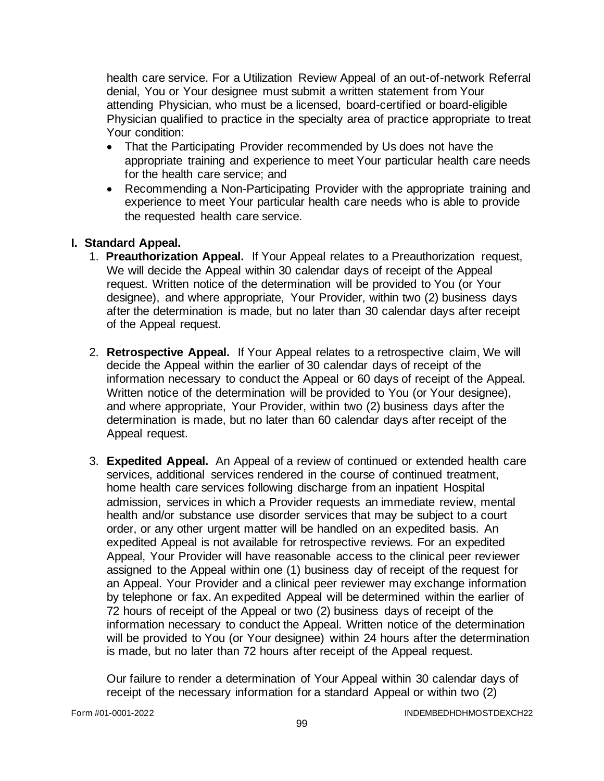health care service. For a Utilization Review Appeal of an out-of-network Referral denial, You or Your designee must submit a written statement from Your attending Physician, who must be a licensed, board-certified or board-eligible Physician qualified to practice in the specialty area of practice appropriate to treat Your condition:

- That the Participating Provider recommended by Us does not have the appropriate training and experience to meet Your particular health care needs for the health care service; and
- Recommending a Non-Participating Provider with the appropriate training and experience to meet Your particular health care needs who is able to provide the requested health care service.

## **I. Standard Appeal.**

- 1. **Preauthorization Appeal.** If Your Appeal relates to a Preauthorization request, We will decide the Appeal within 30 calendar days of receipt of the Appeal request. Written notice of the determination will be provided to You (or Your designee), and where appropriate, Your Provider, within two (2) business days after the determination is made, but no later than 30 calendar days after receipt of the Appeal request.
- 2. **Retrospective Appeal.** If Your Appeal relates to a retrospective claim, We will decide the Appeal within the earlier of 30 calendar days of receipt of the information necessary to conduct the Appeal or 60 days of receipt of the Appeal. Written notice of the determination will be provided to You (or Your designee), and where appropriate, Your Provider, within two (2) business days after the determination is made, but no later than 60 calendar days after receipt of the Appeal request.
- 3. **Expedited Appeal.** An Appeal of a review of continued or extended health care services, additional services rendered in the course of continued treatment, home health care services following discharge from an inpatient Hospital admission, services in which a Provider requests an immediate review, mental health and/or substance use disorder services that may be subject to a court order, or any other urgent matter will be handled on an expedited basis. An expedited Appeal is not available for retrospective reviews. For an expedited Appeal, Your Provider will have reasonable access to the clinical peer reviewer assigned to the Appeal within one (1) business day of receipt of the request for an Appeal. Your Provider and a clinical peer reviewer may exchange information by telephone or fax. An expedited Appeal will be determined within the earlier of 72 hours of receipt of the Appeal or two (2) business days of receipt of the information necessary to conduct the Appeal. Written notice of the determination will be provided to You (or Your designee) within 24 hours after the determination is made, but no later than 72 hours after receipt of the Appeal request.

Our failure to render a determination of Your Appeal within 30 calendar days of receipt of the necessary information for a standard Appeal or within two (2)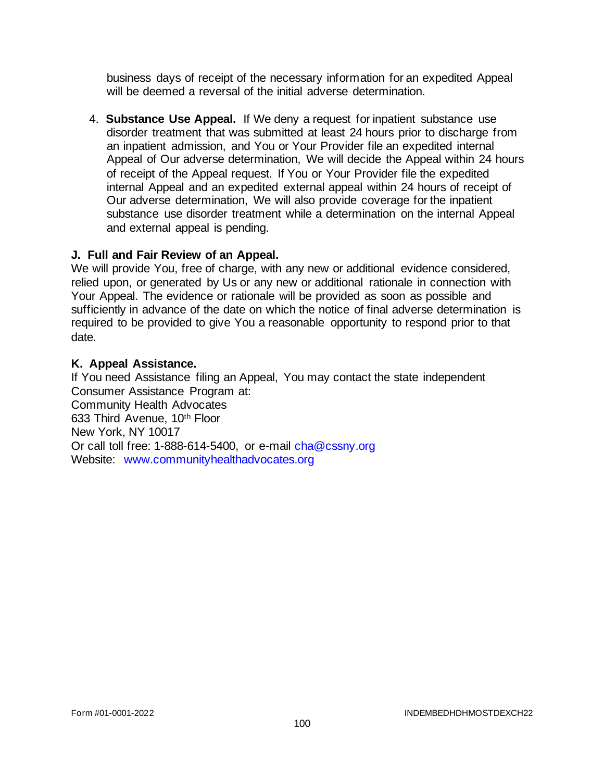business days of receipt of the necessary information for an expedited Appeal will be deemed a reversal of the initial adverse determination.

4. **Substance Use Appeal.** If We deny a request for inpatient substance use disorder treatment that was submitted at least 24 hours prior to discharge from an inpatient admission, and You or Your Provider file an expedited internal Appeal of Our adverse determination, We will decide the Appeal within 24 hours of receipt of the Appeal request. If You or Your Provider file the expedited internal Appeal and an expedited external appeal within 24 hours of receipt of Our adverse determination, We will also provide coverage for the inpatient substance use disorder treatment while a determination on the internal Appeal and external appeal is pending.

### **J. Full and Fair Review of an Appeal.**

We will provide You, free of charge, with any new or additional evidence considered, relied upon, or generated by Us or any new or additional rationale in connection with Your Appeal. The evidence or rationale will be provided as soon as possible and sufficiently in advance of the date on which the notice of final adverse determination is required to be provided to give You a reasonable opportunity to respond prior to that date.

### **K. Appeal Assistance.**

If You need Assistance filing an Appeal, You may contact the state independent Consumer Assistance Program at: Community Health Advocates 633 Third Avenue, 10th Floor New York, NY 10017 Or call toll free: 1-888-614-5400, or e-mail [cha@cssny.org](mailto:cha@cssny.org) Website: [www.communityhealthadvocates.org](http://www.communityhealthadvocates.org/)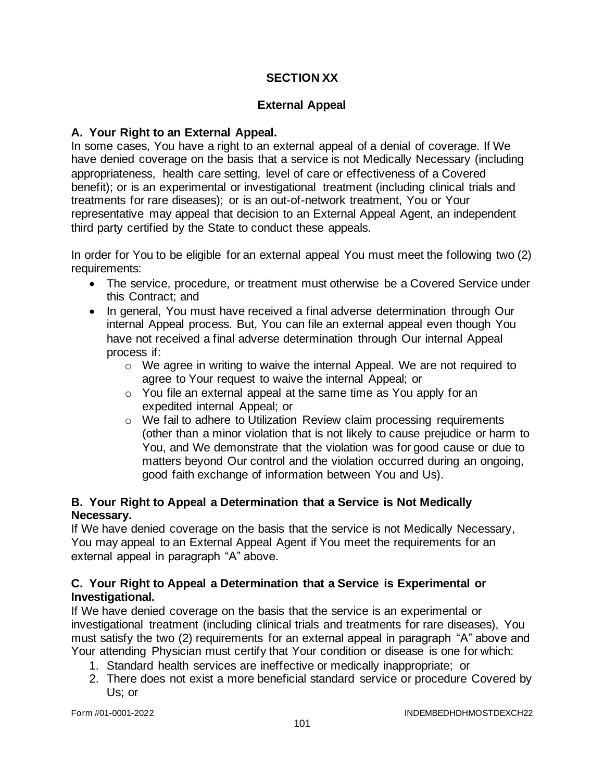## **SECTION XX**

## **External Appeal**

### **A. Your Right to an External Appeal.**

In some cases, You have a right to an external appeal of a denial of coverage. If We have denied coverage on the basis that a service is not Medically Necessary (including appropriateness, health care setting, level of care or effectiveness of a Covered benefit); or is an experimental or investigational treatment (including clinical trials and treatments for rare diseases); or is an out-of-network treatment, You or Your representative may appeal that decision to an External Appeal Agent, an independent third party certified by the State to conduct these appeals.

In order for You to be eligible for an external appeal You must meet the following two (2) requirements:

- The service, procedure, or treatment must otherwise be a Covered Service under this Contract; and
- In general, You must have received a final adverse determination through Our internal Appeal process. But, You can file an external appeal even though You have not received a final adverse determination through Our internal Appeal process if:
	- $\circ$  We agree in writing to waive the internal Appeal. We are not required to agree to Your request to waive the internal Appeal; or
	- o You file an external appeal at the same time as You apply for an expedited internal Appeal; or
	- $\circ$  We fail to adhere to Utilization Review claim processing requirements (other than a minor violation that is not likely to cause prejudice or harm to You, and We demonstrate that the violation was for good cause or due to matters beyond Our control and the violation occurred during an ongoing, good faith exchange of information between You and Us).

### **B. Your Right to Appeal a Determination that a Service is Not Medically Necessary.**

If We have denied coverage on the basis that the service is not Medically Necessary, You may appeal to an External Appeal Agent if You meet the requirements for an external appeal in paragraph "A" above.

### **C. Your Right to Appeal a Determination that a Service is Experimental or Investigational.**

If We have denied coverage on the basis that the service is an experimental or investigational treatment (including clinical trials and treatments for rare diseases), You must satisfy the two (2) requirements for an external appeal in paragraph "A" above and Your attending Physician must certify that Your condition or disease is one for which:

- 1. Standard health services are ineffective or medically inappropriate; or
- 2. There does not exist a more beneficial standard service or procedure Covered by Us; or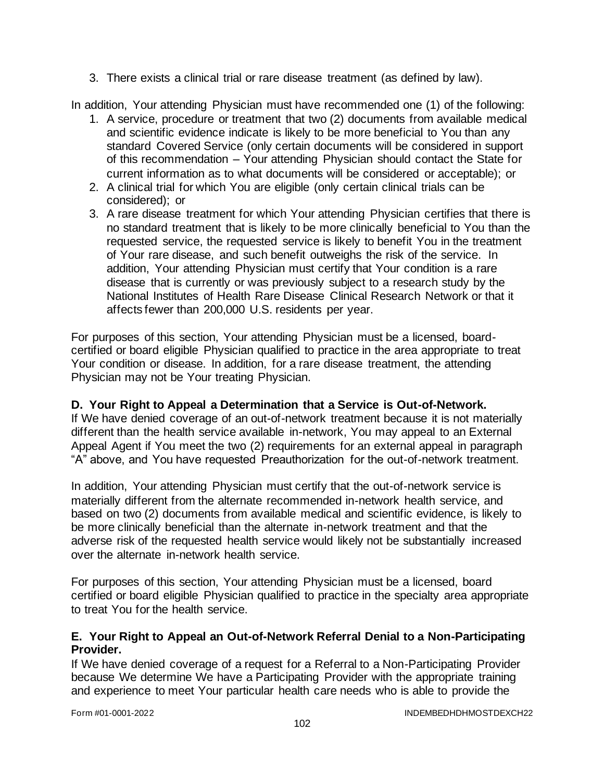3. There exists a clinical trial or rare disease treatment (as defined by law).

In addition, Your attending Physician must have recommended one (1) of the following:

- 1. A service, procedure or treatment that two (2) documents from available medical and scientific evidence indicate is likely to be more beneficial to You than any standard Covered Service (only certain documents will be considered in support of this recommendation – Your attending Physician should contact the State for current information as to what documents will be considered or acceptable); or
- 2. A clinical trial for which You are eligible (only certain clinical trials can be considered); or
- 3. A rare disease treatment for which Your attending Physician certifies that there is no standard treatment that is likely to be more clinically beneficial to You than the requested service, the requested service is likely to benefit You in the treatment of Your rare disease, and such benefit outweighs the risk of the service. In addition, Your attending Physician must certify that Your condition is a rare disease that is currently or was previously subject to a research study by the National Institutes of Health Rare Disease Clinical Research Network or that it affects fewer than 200,000 U.S. residents per year.

For purposes of this section, Your attending Physician must be a licensed, boardcertified or board eligible Physician qualified to practice in the area appropriate to treat Your condition or disease. In addition, for a rare disease treatment, the attending Physician may not be Your treating Physician.

## **D. Your Right to Appeal a Determination that a Service is Out-of-Network.**

If We have denied coverage of an out-of-network treatment because it is not materially different than the health service available in-network, You may appeal to an External Appeal Agent if You meet the two (2) requirements for an external appeal in paragraph "A" above, and You have requested Preauthorization for the out-of-network treatment.

In addition, Your attending Physician must certify that the out-of-network service is materially different from the alternate recommended in-network health service, and based on two (2) documents from available medical and scientific evidence, is likely to be more clinically beneficial than the alternate in-network treatment and that the adverse risk of the requested health service would likely not be substantially increased over the alternate in-network health service.

For purposes of this section, Your attending Physician must be a licensed, board certified or board eligible Physician qualified to practice in the specialty area appropriate to treat You for the health service.

### **E. Your Right to Appeal an Out-of-Network Referral Denial to a Non-Participating Provider.**

If We have denied coverage of a request for a Referral to a Non-Participating Provider because We determine We have a Participating Provider with the appropriate training and experience to meet Your particular health care needs who is able to provide the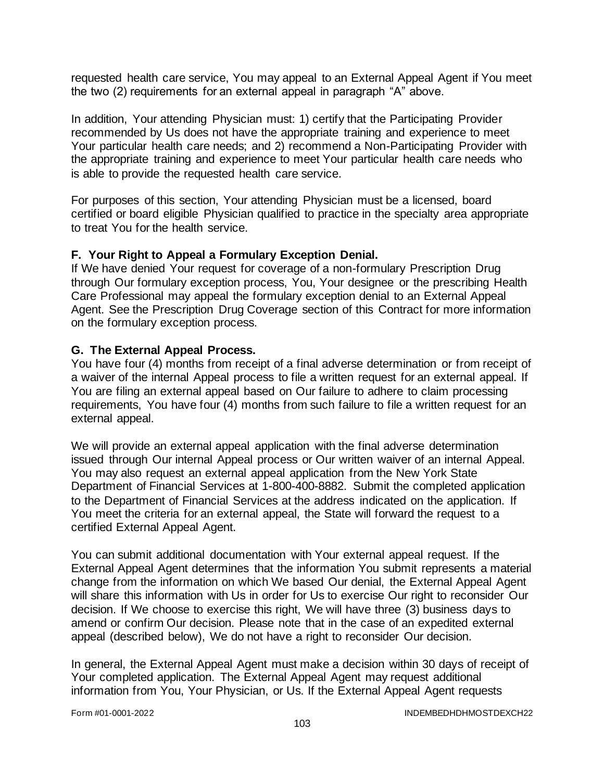requested health care service, You may appeal to an External Appeal Agent if You meet the two (2) requirements for an external appeal in paragraph "A" above.

In addition, Your attending Physician must: 1) certify that the Participating Provider recommended by Us does not have the appropriate training and experience to meet Your particular health care needs; and 2) recommend a Non-Participating Provider with the appropriate training and experience to meet Your particular health care needs who is able to provide the requested health care service.

For purposes of this section, Your attending Physician must be a licensed, board certified or board eligible Physician qualified to practice in the specialty area appropriate to treat You for the health service.

### **F. Your Right to Appeal a Formulary Exception Denial.**

If We have denied Your request for coverage of a non-formulary Prescription Drug through Our formulary exception process, You, Your designee or the prescribing Health Care Professional may appeal the formulary exception denial to an External Appeal Agent. See the Prescription Drug Coverage section of this Contract for more information on the formulary exception process.

#### **G. The External Appeal Process.**

You have four (4) months from receipt of a final adverse determination or from receipt of a waiver of the internal Appeal process to file a written request for an external appeal. If You are filing an external appeal based on Our failure to adhere to claim processing requirements, You have four (4) months from such failure to file a written request for an external appeal.

We will provide an external appeal application with the final adverse determination issued through Our internal Appeal process or Our written waiver of an internal Appeal. You may also request an external appeal application from the New York State Department of Financial Services at 1-800-400-8882. Submit the completed application to the Department of Financial Services at the address indicated on the application. If You meet the criteria for an external appeal, the State will forward the request to a certified External Appeal Agent.

You can submit additional documentation with Your external appeal request. If the External Appeal Agent determines that the information You submit represents a material change from the information on which We based Our denial, the External Appeal Agent will share this information with Us in order for Us to exercise Our right to reconsider Our decision. If We choose to exercise this right, We will have three (3) business days to amend or confirm Our decision. Please note that in the case of an expedited external appeal (described below), We do not have a right to reconsider Our decision.

In general, the External Appeal Agent must make a decision within 30 days of receipt of Your completed application. The External Appeal Agent may request additional information from You, Your Physician, or Us. If the External Appeal Agent requests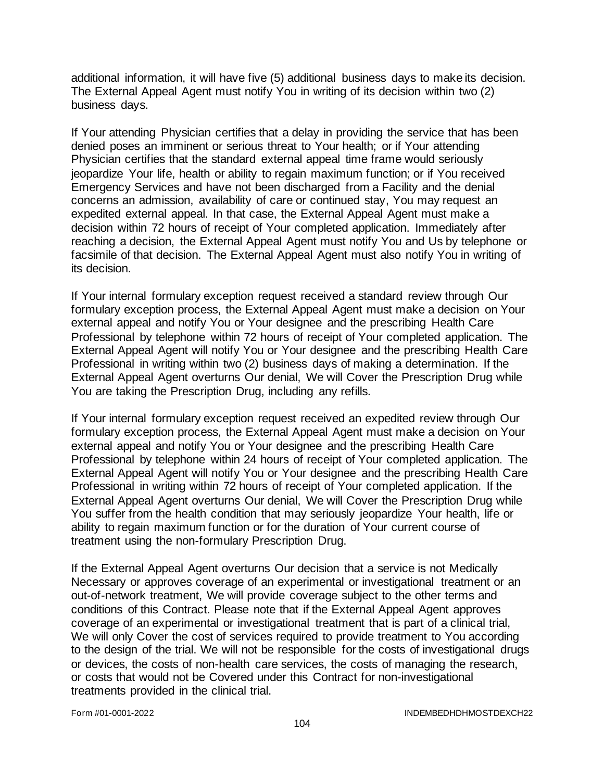additional information, it will have five (5) additional business days to make its decision. The External Appeal Agent must notify You in writing of its decision within two (2) business days.

If Your attending Physician certifies that a delay in providing the service that has been denied poses an imminent or serious threat to Your health; or if Your attending Physician certifies that the standard external appeal time frame would seriously jeopardize Your life, health or ability to regain maximum function; or if You received Emergency Services and have not been discharged from a Facility and the denial concerns an admission, availability of care or continued stay, You may request an expedited external appeal. In that case, the External Appeal Agent must make a decision within 72 hours of receipt of Your completed application. Immediately after reaching a decision, the External Appeal Agent must notify You and Us by telephone or facsimile of that decision. The External Appeal Agent must also notify You in writing of its decision.

If Your internal formulary exception request received a standard review through Our formulary exception process, the External Appeal Agent must make a decision on Your external appeal and notify You or Your designee and the prescribing Health Care Professional by telephone within 72 hours of receipt of Your completed application. The External Appeal Agent will notify You or Your designee and the prescribing Health Care Professional in writing within two (2) business days of making a determination. If the External Appeal Agent overturns Our denial, We will Cover the Prescription Drug while You are taking the Prescription Drug, including any refills.

If Your internal formulary exception request received an expedited review through Our formulary exception process, the External Appeal Agent must make a decision on Your external appeal and notify You or Your designee and the prescribing Health Care Professional by telephone within 24 hours of receipt of Your completed application. The External Appeal Agent will notify You or Your designee and the prescribing Health Care Professional in writing within 72 hours of receipt of Your completed application. If the External Appeal Agent overturns Our denial, We will Cover the Prescription Drug while You suffer from the health condition that may seriously jeopardize Your health, life or ability to regain maximum function or for the duration of Your current course of treatment using the non-formulary Prescription Drug.

If the External Appeal Agent overturns Our decision that a service is not Medically Necessary or approves coverage of an experimental or investigational treatment or an out-of-network treatment, We will provide coverage subject to the other terms and conditions of this Contract. Please note that if the External Appeal Agent approves coverage of an experimental or investigational treatment that is part of a clinical trial, We will only Cover the cost of services required to provide treatment to You according to the design of the trial. We will not be responsible for the costs of investigational drugs or devices, the costs of non-health care services, the costs of managing the research, or costs that would not be Covered under this Contract for non-investigational treatments provided in the clinical trial.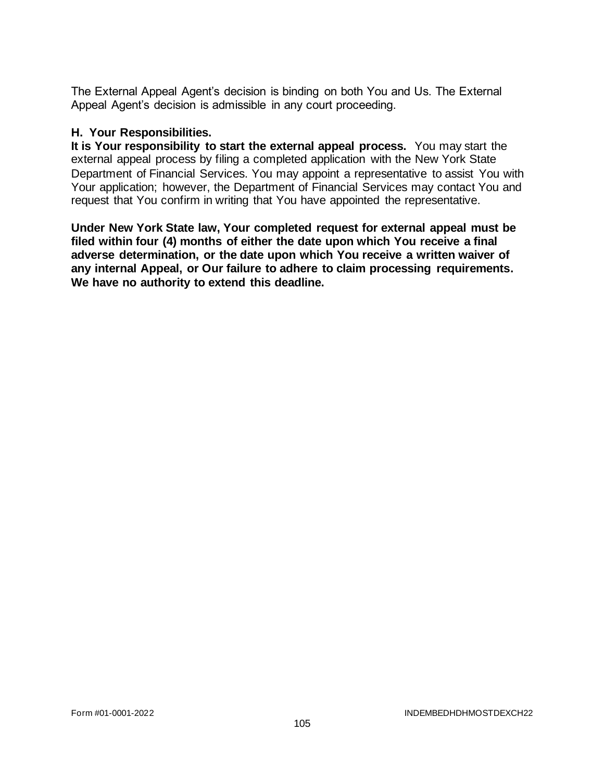The External Appeal Agent's decision is binding on both You and Us. The External Appeal Agent's decision is admissible in any court proceeding.

#### **H. Your Responsibilities.**

**It is Your responsibility to start the external appeal process.** You may start the external appeal process by filing a completed application with the New York State Department of Financial Services. You may appoint a representative to assist You with Your application; however, the Department of Financial Services may contact You and request that You confirm in writing that You have appointed the representative.

**Under New York State law, Your completed request for external appeal must be filed within four (4) months of either the date upon which You receive a final adverse determination, or the date upon which You receive a written waiver of any internal Appeal, or Our failure to adhere to claim processing requirements. We have no authority to extend this deadline.**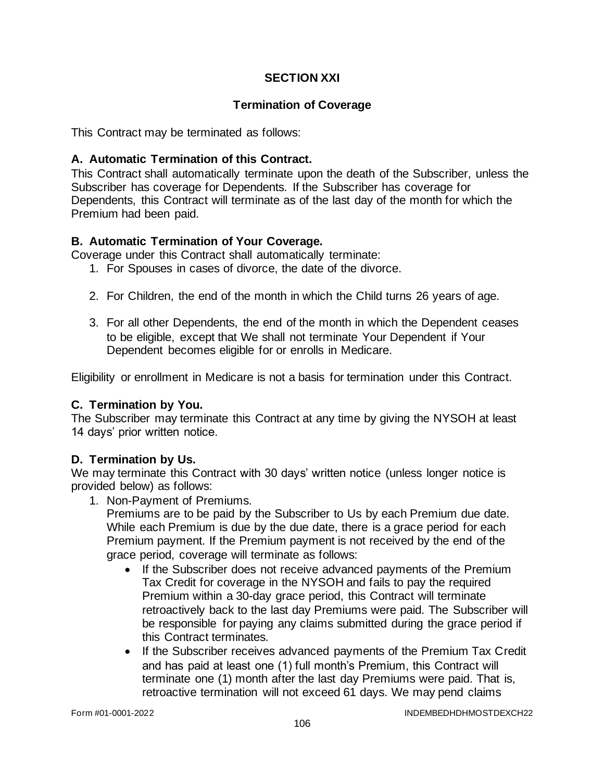## **SECTION XXI**

## **Termination of Coverage**

This Contract may be terminated as follows:

### **A. Automatic Termination of this Contract.**

This Contract shall automatically terminate upon the death of the Subscriber, unless the Subscriber has coverage for Dependents. If the Subscriber has coverage for Dependents, this Contract will terminate as of the last day of the month for which the Premium had been paid.

### **B. Automatic Termination of Your Coverage.**

Coverage under this Contract shall automatically terminate:

- 1. For Spouses in cases of divorce, the date of the divorce.
- 2. For Children, the end of the month in which the Child turns 26 years of age.
- 3. For all other Dependents, the end of the month in which the Dependent ceases to be eligible, except that We shall not terminate Your Dependent if Your Dependent becomes eligible for or enrolls in Medicare.

Eligibility or enrollment in Medicare is not a basis for termination under this Contract.

### **C. Termination by You.**

The Subscriber may terminate this Contract at any time by giving the NYSOH at least 14 days' prior written notice.

### **D. Termination by Us.**

We may terminate this Contract with 30 days' written notice (unless longer notice is provided below) as follows:

1. Non-Payment of Premiums.

Premiums are to be paid by the Subscriber to Us by each Premium due date. While each Premium is due by the due date, there is a grace period for each Premium payment. If the Premium payment is not received by the end of the grace period, coverage will terminate as follows:

- If the Subscriber does not receive advanced payments of the Premium Tax Credit for coverage in the NYSOH and fails to pay the required Premium within a 30-day grace period, this Contract will terminate retroactively back to the last day Premiums were paid. The Subscriber will be responsible for paying any claims submitted during the grace period if this Contract terminates.
- If the Subscriber receives advanced payments of the Premium Tax Credit and has paid at least one (1) full month's Premium, this Contract will terminate one (1) month after the last day Premiums were paid. That is, retroactive termination will not exceed 61 days. We may pend claims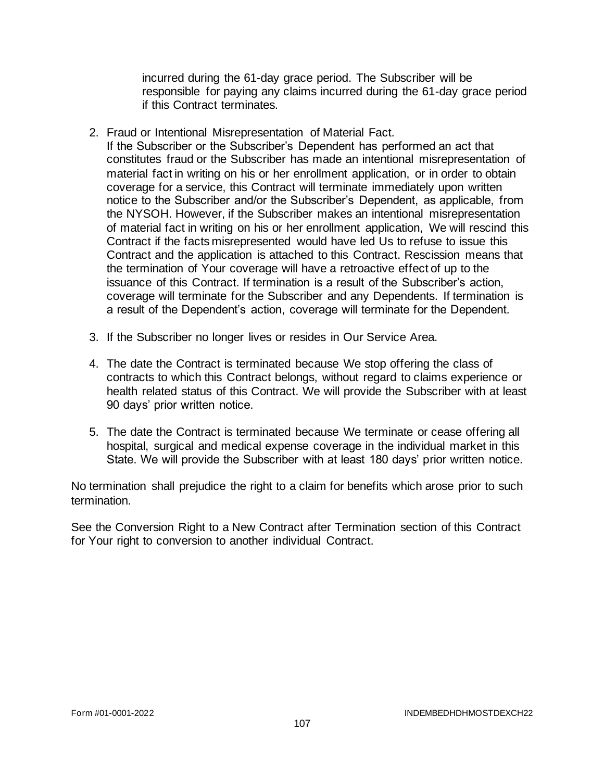incurred during the 61-day grace period. The Subscriber will be responsible for paying any claims incurred during the 61-day grace period if this Contract terminates.

2. Fraud or Intentional Misrepresentation of Material Fact.

If the Subscriber or the Subscriber's Dependent has performed an act that constitutes fraud or the Subscriber has made an intentional misrepresentation of material fact in writing on his or her enrollment application, or in order to obtain coverage for a service, this Contract will terminate immediately upon written notice to the Subscriber and/or the Subscriber's Dependent, as applicable, from the NYSOH. However, if the Subscriber makes an intentional misrepresentation of material fact in writing on his or her enrollment application, We will rescind this Contract if the facts misrepresented would have led Us to refuse to issue this Contract and the application is attached to this Contract. Rescission means that the termination of Your coverage will have a retroactive effect of up to the issuance of this Contract. If termination is a result of the Subscriber's action, coverage will terminate for the Subscriber and any Dependents. If termination is a result of the Dependent's action, coverage will terminate for the Dependent.

- 3. If the Subscriber no longer lives or resides in Our Service Area.
- 4. The date the Contract is terminated because We stop offering the class of contracts to which this Contract belongs, without regard to claims experience or health related status of this Contract. We will provide the Subscriber with at least 90 days' prior written notice.
- 5. The date the Contract is terminated because We terminate or cease offering all hospital, surgical and medical expense coverage in the individual market in this State. We will provide the Subscriber with at least 180 days' prior written notice.

No termination shall prejudice the right to a claim for benefits which arose prior to such termination.

See the Conversion Right to a New Contract after Termination section of this Contract for Your right to conversion to another individual Contract.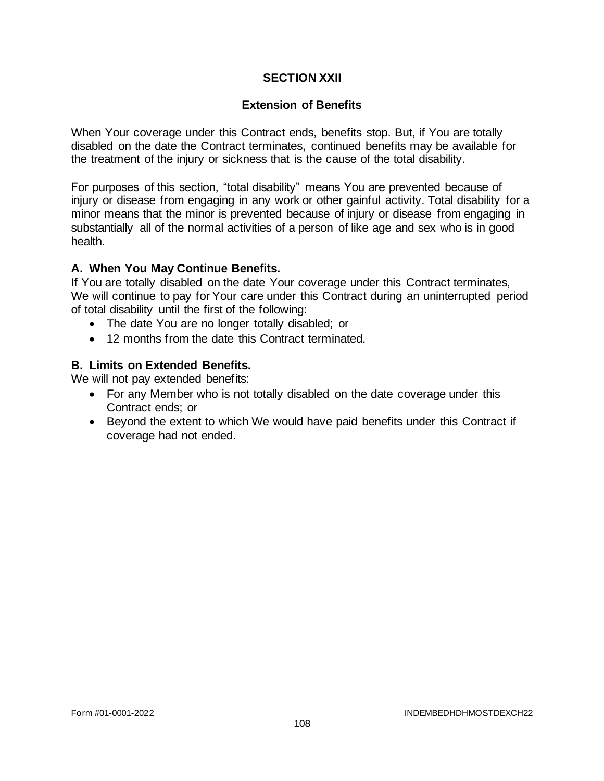### **SECTION XXII**

### **Extension of Benefits**

When Your coverage under this Contract ends, benefits stop. But, if You are totally disabled on the date the Contract terminates, continued benefits may be available for the treatment of the injury or sickness that is the cause of the total disability.

For purposes of this section, "total disability" means You are prevented because of injury or disease from engaging in any work or other gainful activity. Total disability for a minor means that the minor is prevented because of injury or disease from engaging in substantially all of the normal activities of a person of like age and sex who is in good health.

### **A. When You May Continue Benefits.**

If You are totally disabled on the date Your coverage under this Contract terminates, We will continue to pay for Your care under this Contract during an uninterrupted period of total disability until the first of the following:

- The date You are no longer totally disabled; or
- 12 months from the date this Contract terminated.

### **B. Limits on Extended Benefits.**

We will not pay extended benefits:

- For any Member who is not totally disabled on the date coverage under this Contract ends; or
- Beyond the extent to which We would have paid benefits under this Contract if coverage had not ended.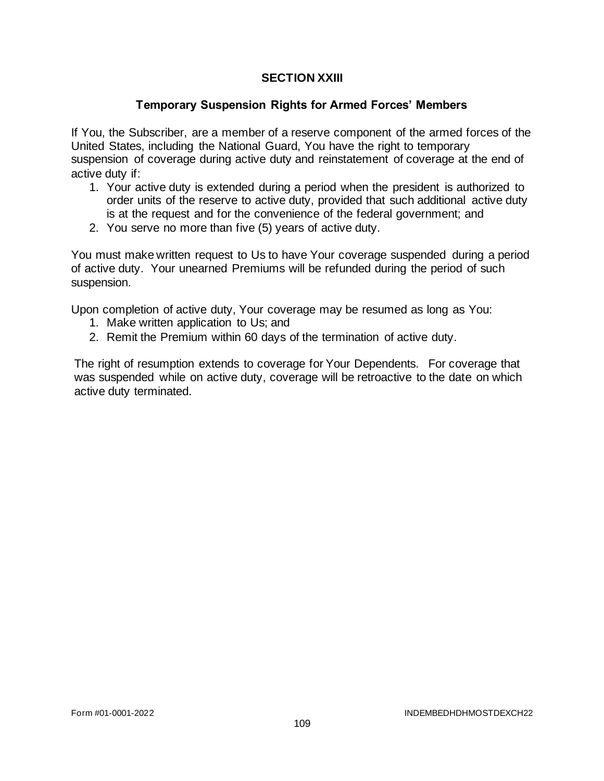## **SECTION XXIII**

### **Temporary Suspension Rights for Armed Forces' Members**

If You, the Subscriber, are a member of a reserve component of the armed forces of the United States, including the National Guard, You have the right to temporary suspension of coverage during active duty and reinstatement of coverage at the end of active duty if:

- 1. Your active duty is extended during a period when the president is authorized to order units of the reserve to active duty, provided that such additional active duty is at the request and for the convenience of the federal government; and
- 2. You serve no more than five (5) years of active duty.

You must make written request to Us to have Your coverage suspended during a period of active duty. Your unearned Premiums will be refunded during the period of such suspension.

Upon completion of active duty, Your coverage may be resumed as long as You:

- 1. Make written application to Us; and
- 2. Remit the Premium within 60 days of the termination of active duty.

The right of resumption extends to coverage for Your Dependents. For coverage that was suspended while on active duty, coverage will be retroactive to the date on which active duty terminated.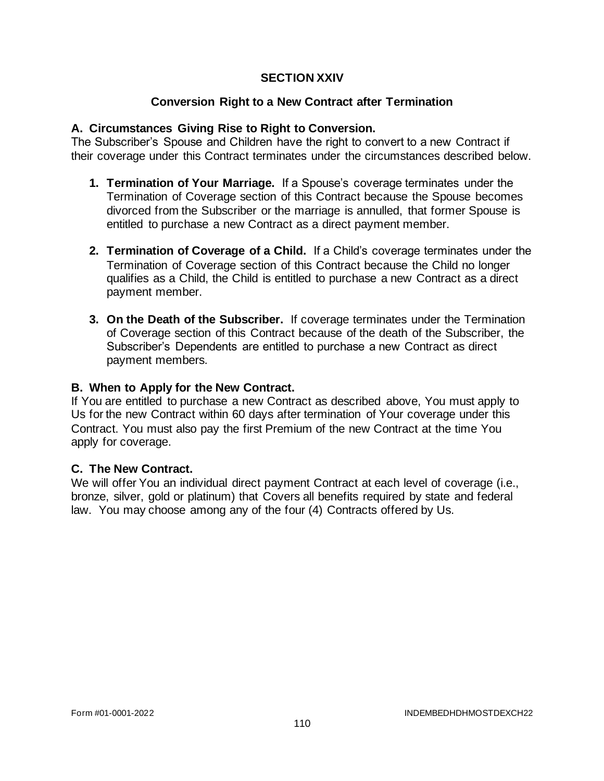### **SECTION XXIV**

## **Conversion Right to a New Contract after Termination**

### **A. Circumstances Giving Rise to Right to Conversion.**

The Subscriber's Spouse and Children have the right to convert to a new Contract if their coverage under this Contract terminates under the circumstances described below.

- **1. Termination of Your Marriage.** If a Spouse's coverage terminates under the Termination of Coverage section of this Contract because the Spouse becomes divorced from the Subscriber or the marriage is annulled, that former Spouse is entitled to purchase a new Contract as a direct payment member.
- **2. Termination of Coverage of a Child.** If a Child's coverage terminates under the Termination of Coverage section of this Contract because the Child no longer qualifies as a Child, the Child is entitled to purchase a new Contract as a direct payment member.
- **3. On the Death of the Subscriber.** If coverage terminates under the Termination of Coverage section of this Contract because of the death of the Subscriber, the Subscriber's Dependents are entitled to purchase a new Contract as direct payment members.

#### **B. When to Apply for the New Contract.**

If You are entitled to purchase a new Contract as described above, You must apply to Us for the new Contract within 60 days after termination of Your coverage under this Contract. You must also pay the first Premium of the new Contract at the time You apply for coverage.

### **C. The New Contract.**

We will offer You an individual direct payment Contract at each level of coverage (i.e., bronze, silver, gold or platinum) that Covers all benefits required by state and federal law. You may choose among any of the four (4) Contracts offered by Us.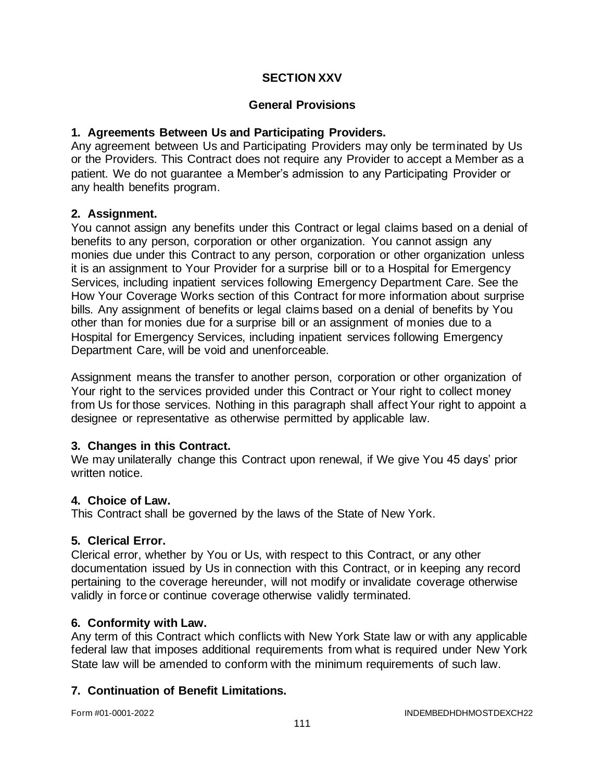## **SECTION XXV**

### **General Provisions**

### **1. Agreements Between Us and Participating Providers.**

Any agreement between Us and Participating Providers may only be terminated by Us or the Providers. This Contract does not require any Provider to accept a Member as a patient. We do not guarantee a Member's admission to any Participating Provider or any health benefits program.

### **2. Assignment.**

You cannot assign any benefits under this Contract or legal claims based on a denial of benefits to any person, corporation or other organization. You cannot assign any monies due under this Contract to any person, corporation or other organization unless it is an assignment to Your Provider for a surprise bill or to a Hospital for Emergency Services, including inpatient services following Emergency Department Care. See the How Your Coverage Works section of this Contract for more information about surprise bills. Any assignment of benefits or legal claims based on a denial of benefits by You other than for monies due for a surprise bill or an assignment of monies due to a Hospital for Emergency Services, including inpatient services following Emergency Department Care, will be void and unenforceable.

Assignment means the transfer to another person, corporation or other organization of Your right to the services provided under this Contract or Your right to collect money from Us for those services. Nothing in this paragraph shall affect Your right to appoint a designee or representative as otherwise permitted by applicable law.

### **3. Changes in this Contract.**

We may unilaterally change this Contract upon renewal, if We give You 45 days' prior written notice.

### **4. Choice of Law.**

This Contract shall be governed by the laws of the State of New York.

### **5. Clerical Error.**

Clerical error, whether by You or Us, with respect to this Contract, or any other documentation issued by Us in connection with this Contract, or in keeping any record pertaining to the coverage hereunder, will not modify or invalidate coverage otherwise validly in force or continue coverage otherwise validly terminated.

### **6. Conformity with Law.**

Any term of this Contract which conflicts with New York State law or with any applicable federal law that imposes additional requirements from what is required under New York State law will be amended to conform with the minimum requirements of such law.

### **7. Continuation of Benefit Limitations.**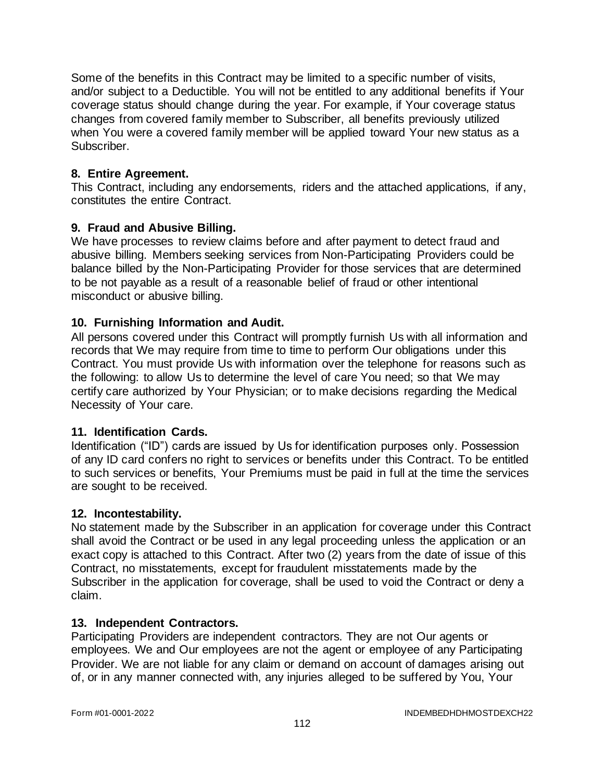Some of the benefits in this Contract may be limited to a specific number of visits, and/or subject to a Deductible. You will not be entitled to any additional benefits if Your coverage status should change during the year. For example, if Your coverage status changes from covered family member to Subscriber, all benefits previously utilized when You were a covered family member will be applied toward Your new status as a Subscriber.

### **8. Entire Agreement.**

This Contract, including any endorsements, riders and the attached applications, if any, constitutes the entire Contract.

## **9. Fraud and Abusive Billing.**

We have processes to review claims before and after payment to detect fraud and abusive billing. Members seeking services from Non-Participating Providers could be balance billed by the Non-Participating Provider for those services that are determined to be not payable as a result of a reasonable belief of fraud or other intentional misconduct or abusive billing.

## **10. Furnishing Information and Audit.**

All persons covered under this Contract will promptly furnish Us with all information and records that We may require from time to time to perform Our obligations under this Contract. You must provide Us with information over the telephone for reasons such as the following: to allow Us to determine the level of care You need; so that We may certify care authorized by Your Physician; or to make decisions regarding the Medical Necessity of Your care.

### **11. Identification Cards.**

Identification ("ID") cards are issued by Us for identification purposes only. Possession of any ID card confers no right to services or benefits under this Contract. To be entitled to such services or benefits, Your Premiums must be paid in full at the time the services are sought to be received.

### **12. Incontestability.**

No statement made by the Subscriber in an application for coverage under this Contract shall avoid the Contract or be used in any legal proceeding unless the application or an exact copy is attached to this Contract. After two (2) years from the date of issue of this Contract, no misstatements, except for fraudulent misstatements made by the Subscriber in the application for coverage, shall be used to void the Contract or deny a claim.

### **13. Independent Contractors.**

Participating Providers are independent contractors. They are not Our agents or employees. We and Our employees are not the agent or employee of any Participating Provider. We are not liable for any claim or demand on account of damages arising out of, or in any manner connected with, any injuries alleged to be suffered by You, Your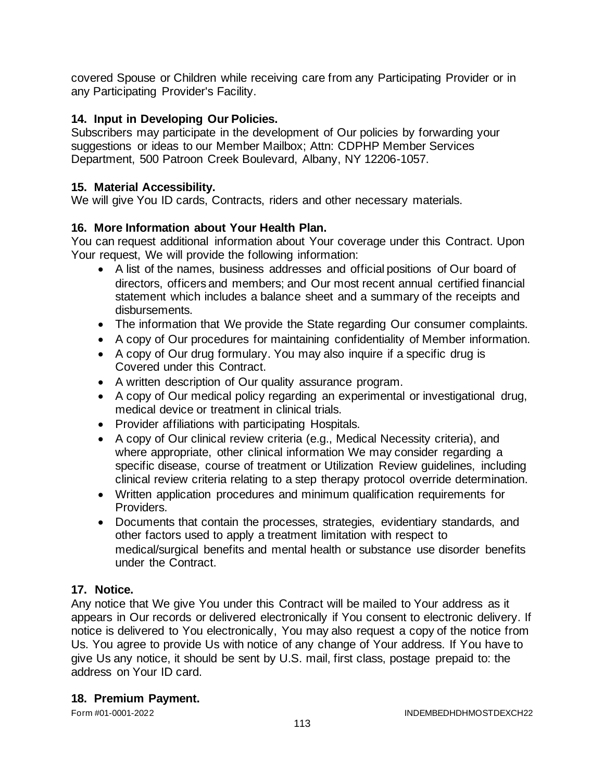covered Spouse or Children while receiving care from any Participating Provider or in any Participating Provider's Facility.

# **14. Input in Developing Our Policies.**

Subscribers may participate in the development of Our policies by forwarding your suggestions or ideas to our Member Mailbox; Attn: CDPHP Member Services Department, 500 Patroon Creek Boulevard, Albany, NY 12206-1057.

### **15. Material Accessibility.**

We will give You ID cards, Contracts, riders and other necessary materials.

## **16. More Information about Your Health Plan.**

You can request additional information about Your coverage under this Contract. Upon Your request, We will provide the following information:

- A list of the names, business addresses and official positions of Our board of directors, officers and members; and Our most recent annual certified financial statement which includes a balance sheet and a summary of the receipts and disbursements.
- The information that We provide the State regarding Our consumer complaints.
- A copy of Our procedures for maintaining confidentiality of Member information.
- A copy of Our drug formulary. You may also inquire if a specific drug is Covered under this Contract.
- A written description of Our quality assurance program.
- A copy of Our medical policy regarding an experimental or investigational drug, medical device or treatment in clinical trials.
- Provider affiliations with participating Hospitals.
- A copy of Our clinical review criteria (e.g., Medical Necessity criteria), and where appropriate, other clinical information We may consider regarding a specific disease, course of treatment or Utilization Review guidelines, including clinical review criteria relating to a step therapy protocol override determination.
- Written application procedures and minimum qualification requirements for Providers.
- Documents that contain the processes, strategies, evidentiary standards, and other factors used to apply a treatment limitation with respect to medical/surgical benefits and mental health or substance use disorder benefits under the Contract.

# **17. Notice.**

Any notice that We give You under this Contract will be mailed to Your address as it appears in Our records or delivered electronically if You consent to electronic delivery. If notice is delivered to You electronically, You may also request a copy of the notice from Us. You agree to provide Us with notice of any change of Your address. If You have to give Us any notice, it should be sent by U.S. mail, first class, postage prepaid to: the address on Your ID card.

### **18. Premium Payment.**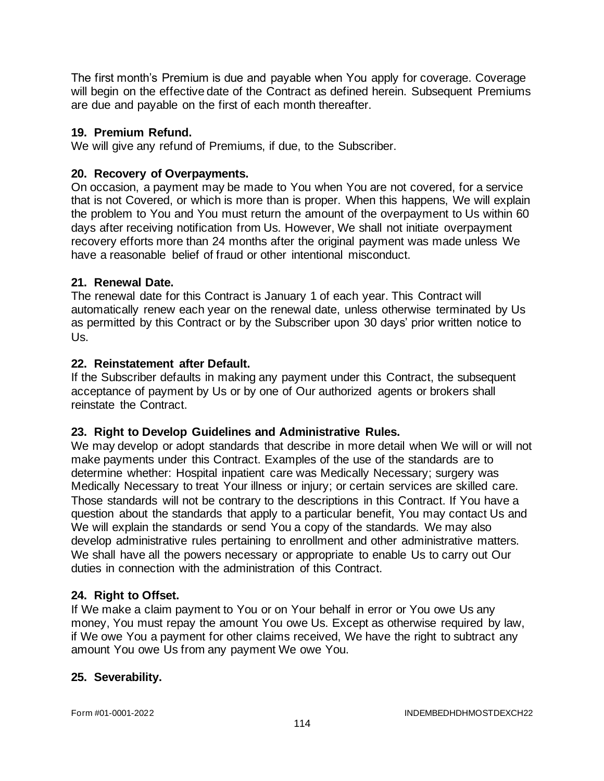The first month's Premium is due and payable when You apply for coverage. Coverage will begin on the effective date of the Contract as defined herein. Subsequent Premiums are due and payable on the first of each month thereafter.

### **19. Premium Refund.**

We will give any refund of Premiums, if due, to the Subscriber.

## **20. Recovery of Overpayments.**

On occasion, a payment may be made to You when You are not covered, for a service that is not Covered, or which is more than is proper. When this happens, We will explain the problem to You and You must return the amount of the overpayment to Us within 60 days after receiving notification from Us. However, We shall not initiate overpayment recovery efforts more than 24 months after the original payment was made unless We have a reasonable belief of fraud or other intentional misconduct.

## **21. Renewal Date.**

The renewal date for this Contract is January 1 of each year. This Contract will automatically renew each year on the renewal date, unless otherwise terminated by Us as permitted by this Contract or by the Subscriber upon 30 days' prior written notice to Us.

## **22. Reinstatement after Default.**

If the Subscriber defaults in making any payment under this Contract, the subsequent acceptance of payment by Us or by one of Our authorized agents or brokers shall reinstate the Contract.

# **23. Right to Develop Guidelines and Administrative Rules.**

We may develop or adopt standards that describe in more detail when We will or will not make payments under this Contract. Examples of the use of the standards are to determine whether: Hospital inpatient care was Medically Necessary; surgery was Medically Necessary to treat Your illness or injury; or certain services are skilled care. Those standards will not be contrary to the descriptions in this Contract. If You have a question about the standards that apply to a particular benefit, You may contact Us and We will explain the standards or send You a copy of the standards. We may also develop administrative rules pertaining to enrollment and other administrative matters. We shall have all the powers necessary or appropriate to enable Us to carry out Our duties in connection with the administration of this Contract.

# **24. Right to Offset.**

If We make a claim payment to You or on Your behalf in error or You owe Us any money, You must repay the amount You owe Us. Except as otherwise required by law, if We owe You a payment for other claims received, We have the right to subtract any amount You owe Us from any payment We owe You.

# **25. Severability.**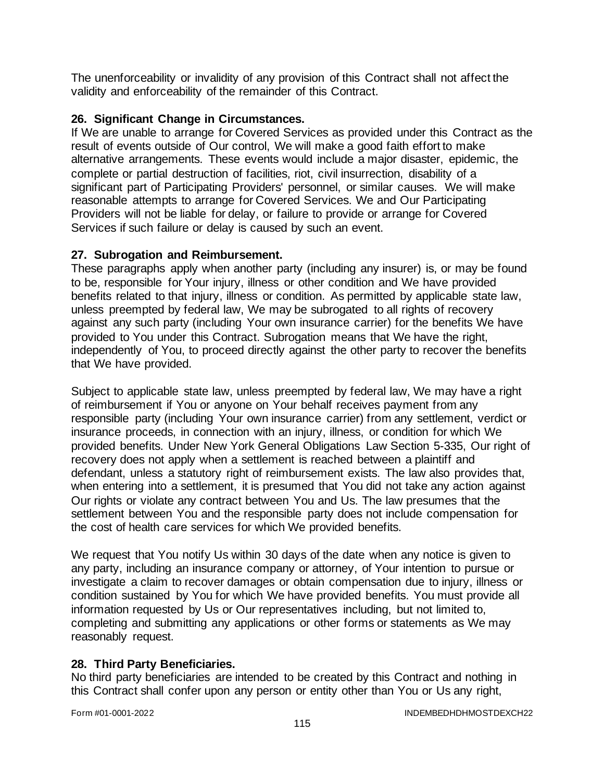The unenforceability or invalidity of any provision of this Contract shall not affect the validity and enforceability of the remainder of this Contract.

## **26. Significant Change in Circumstances.**

If We are unable to arrange for Covered Services as provided under this Contract as the result of events outside of Our control, We will make a good faith effort to make alternative arrangements. These events would include a major disaster, epidemic, the complete or partial destruction of facilities, riot, civil insurrection, disability of a significant part of Participating Providers' personnel, or similar causes. We will make reasonable attempts to arrange for Covered Services. We and Our Participating Providers will not be liable for delay, or failure to provide or arrange for Covered Services if such failure or delay is caused by such an event.

### **27. Subrogation and Reimbursement.**

These paragraphs apply when another party (including any insurer) is, or may be found to be, responsible for Your injury, illness or other condition and We have provided benefits related to that injury, illness or condition. As permitted by applicable state law, unless preempted by federal law, We may be subrogated to all rights of recovery against any such party (including Your own insurance carrier) for the benefits We have provided to You under this Contract. Subrogation means that We have the right, independently of You, to proceed directly against the other party to recover the benefits that We have provided.

Subject to applicable state law, unless preempted by federal law, We may have a right of reimbursement if You or anyone on Your behalf receives payment from any responsible party (including Your own insurance carrier) from any settlement, verdict or insurance proceeds, in connection with an injury, illness, or condition for which We provided benefits. Under New York General Obligations Law Section 5-335, Our right of recovery does not apply when a settlement is reached between a plaintiff and defendant, unless a statutory right of reimbursement exists. The law also provides that, when entering into a settlement, it is presumed that You did not take any action against Our rights or violate any contract between You and Us. The law presumes that the settlement between You and the responsible party does not include compensation for the cost of health care services for which We provided benefits.

We request that You notify Us within 30 days of the date when any notice is given to any party, including an insurance company or attorney, of Your intention to pursue or investigate a claim to recover damages or obtain compensation due to injury, illness or condition sustained by You for which We have provided benefits. You must provide all information requested by Us or Our representatives including, but not limited to, completing and submitting any applications or other forms or statements as We may reasonably request.

### **28. Third Party Beneficiaries.**

No third party beneficiaries are intended to be created by this Contract and nothing in this Contract shall confer upon any person or entity other than You or Us any right,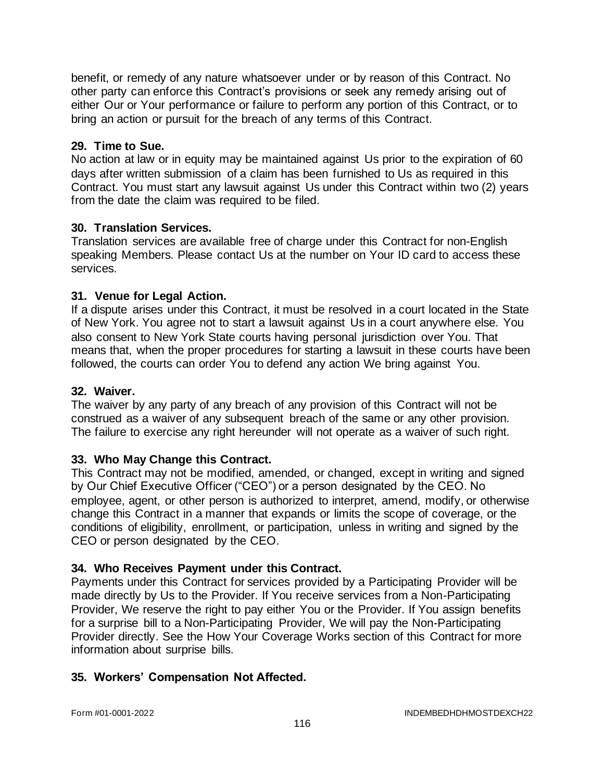benefit, or remedy of any nature whatsoever under or by reason of this Contract. No other party can enforce this Contract's provisions or seek any remedy arising out of either Our or Your performance or failure to perform any portion of this Contract, or to bring an action or pursuit for the breach of any terms of this Contract.

#### **29. Time to Sue.**

No action at law or in equity may be maintained against Us prior to the expiration of 60 days after written submission of a claim has been furnished to Us as required in this Contract. You must start any lawsuit against Us under this Contract within two (2) years from the date the claim was required to be filed.

#### **30. Translation Services.**

Translation services are available free of charge under this Contract for non-English speaking Members. Please contact Us at the number on Your ID card to access these services.

#### **31. Venue for Legal Action.**

If a dispute arises under this Contract, it must be resolved in a court located in the State of New York. You agree not to start a lawsuit against Us in a court anywhere else. You also consent to New York State courts having personal jurisdiction over You. That means that, when the proper procedures for starting a lawsuit in these courts have been followed, the courts can order You to defend any action We bring against You.

#### **32. Waiver.**

The waiver by any party of any breach of any provision of this Contract will not be construed as a waiver of any subsequent breach of the same or any other provision. The failure to exercise any right hereunder will not operate as a waiver of such right.

### **33. Who May Change this Contract.**

This Contract may not be modified, amended, or changed, except in writing and signed by Our Chief Executive Officer ("CEO") or a person designated by the CEO. No employee, agent, or other person is authorized to interpret, amend, modify, or otherwise change this Contract in a manner that expands or limits the scope of coverage, or the conditions of eligibility, enrollment, or participation, unless in writing and signed by the CEO or person designated by the CEO.

### **34. Who Receives Payment under this Contract.**

Payments under this Contract for services provided by a Participating Provider will be made directly by Us to the Provider. If You receive services from a Non-Participating Provider, We reserve the right to pay either You or the Provider. If You assign benefits for a surprise bill to a Non-Participating Provider, We will pay the Non-Participating Provider directly. See the How Your Coverage Works section of this Contract for more information about surprise bills.

### **35. Workers' Compensation Not Affected.**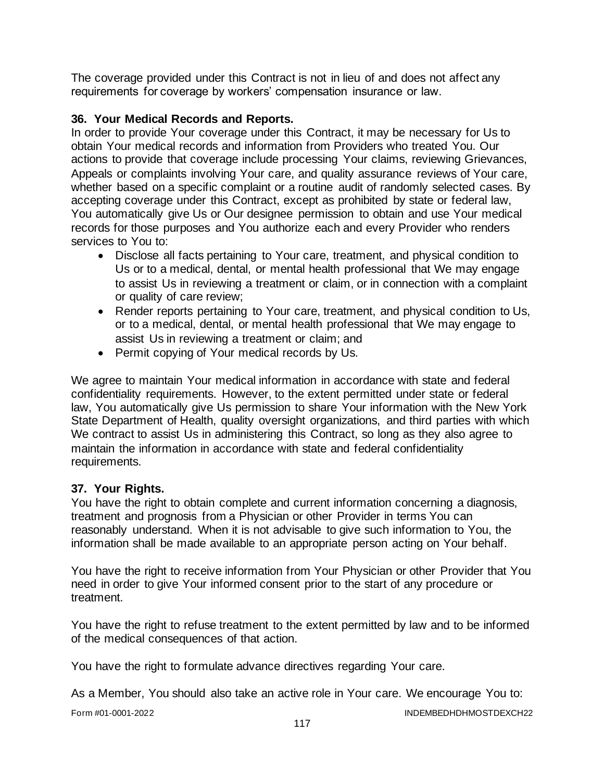The coverage provided under this Contract is not in lieu of and does not affect any requirements for coverage by workers' compensation insurance or law.

### **36. Your Medical Records and Reports.**

In order to provide Your coverage under this Contract, it may be necessary for Us to obtain Your medical records and information from Providers who treated You. Our actions to provide that coverage include processing Your claims, reviewing Grievances, Appeals or complaints involving Your care, and quality assurance reviews of Your care, whether based on a specific complaint or a routine audit of randomly selected cases. By accepting coverage under this Contract, except as prohibited by state or federal law, You automatically give Us or Our designee permission to obtain and use Your medical records for those purposes and You authorize each and every Provider who renders services to You to:

- Disclose all facts pertaining to Your care, treatment, and physical condition to Us or to a medical, dental, or mental health professional that We may engage to assist Us in reviewing a treatment or claim, or in connection with a complaint or quality of care review;
- Render reports pertaining to Your care, treatment, and physical condition to Us, or to a medical, dental, or mental health professional that We may engage to assist Us in reviewing a treatment or claim; and
- Permit copying of Your medical records by Us.

We agree to maintain Your medical information in accordance with state and federal confidentiality requirements. However, to the extent permitted under state or federal law, You automatically give Us permission to share Your information with the New York State Department of Health, quality oversight organizations, and third parties with which We contract to assist Us in administering this Contract, so long as they also agree to maintain the information in accordance with state and federal confidentiality requirements.

### **37. Your Rights.**

You have the right to obtain complete and current information concerning a diagnosis, treatment and prognosis from a Physician or other Provider in terms You can reasonably understand. When it is not advisable to give such information to You, the information shall be made available to an appropriate person acting on Your behalf.

You have the right to receive information from Your Physician or other Provider that You need in order to give Your informed consent prior to the start of any procedure or treatment.

You have the right to refuse treatment to the extent permitted by law and to be informed of the medical consequences of that action.

You have the right to formulate advance directives regarding Your care.

As a Member, You should also take an active role in Your care. We encourage You to: